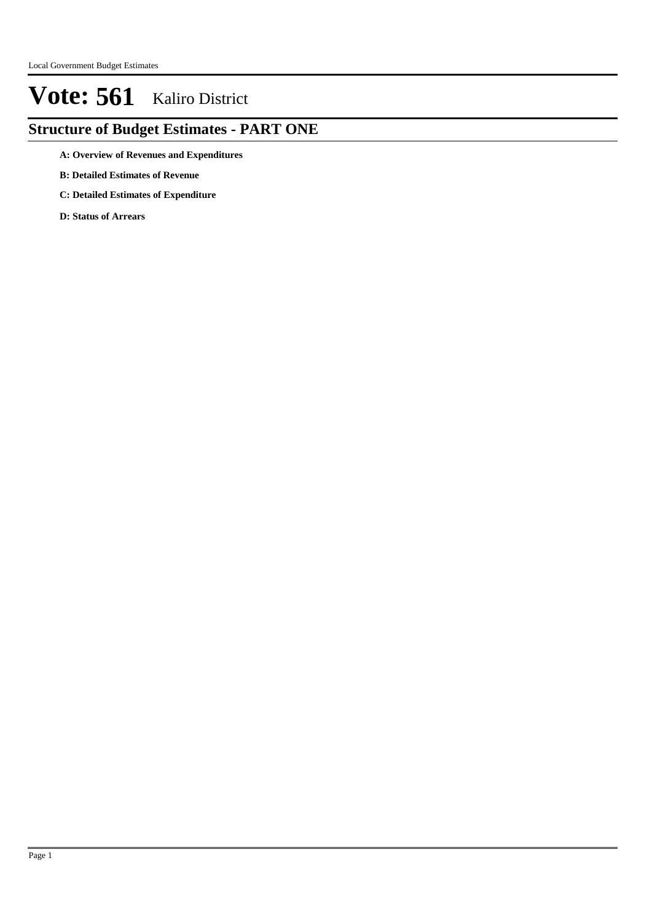## **Structure of Budget Estimates - PART ONE**

- **A: Overview of Revenues and Expenditures**
- **B: Detailed Estimates of Revenue**
- **C: Detailed Estimates of Expenditure**
- **D: Status of Arrears**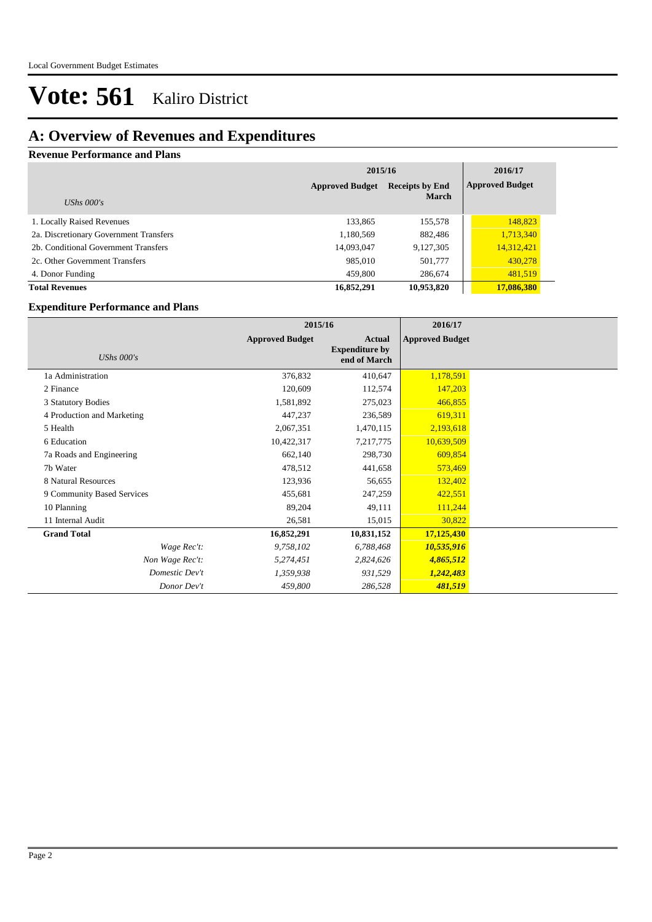### **A: Overview of Revenues and Expenditures**

### **Revenue Performance and Plans**

|                                        | 2015/16                | 2016/17                |            |
|----------------------------------------|------------------------|------------------------|------------|
|                                        | <b>Approved Budget</b> | <b>Approved Budget</b> |            |
| UShs $000's$                           |                        | <b>March</b>           |            |
| 1. Locally Raised Revenues             | 133,865                | 155,578                | 148,823    |
| 2a. Discretionary Government Transfers | 1,180,569              | 882,486                | 1,713,340  |
| 2b. Conditional Government Transfers   | 14,093,047             | 9,127,305              | 14,312,421 |
| 2c. Other Government Transfers         | 985,010                | 501,777                | 430,278    |
| 4. Donor Funding                       | 459,800                | 286,674                | 481,519    |
| <b>Total Revenues</b>                  | 16,852,291             | 10,953,820             | 17,086,380 |

### **Expenditure Performance and Plans**

|                            | 2015/16                |                                                 | 2016/17                |  |
|----------------------------|------------------------|-------------------------------------------------|------------------------|--|
| UShs $000's$               | <b>Approved Budget</b> | Actual<br><b>Expenditure by</b><br>end of March | <b>Approved Budget</b> |  |
| 1a Administration          | 376,832                | 410,647                                         | 1,178,591              |  |
| 2 Finance                  | 120,609                | 112,574                                         | 147,203                |  |
| 3 Statutory Bodies         | 1,581,892              | 275,023                                         | 466,855                |  |
| 4 Production and Marketing | 447,237                | 236,589                                         | 619,311                |  |
| 5 Health                   | 2,067,351              | 1,470,115                                       | 2,193,618              |  |
| 6 Education                | 10,422,317             | 7,217,775                                       | 10,639,509             |  |
| 7a Roads and Engineering   | 662,140                | 298,730                                         | 609,854                |  |
| 7b Water                   | 478,512                | 441,658                                         | 573,469                |  |
| 8 Natural Resources        | 123,936                | 56,655                                          | 132,402                |  |
| 9 Community Based Services | 455,681                | 247,259                                         | 422,551                |  |
| 10 Planning                | 89,204                 | 49,111                                          | 111,244                |  |
| 11 Internal Audit          | 26,581                 | 15,015                                          | 30,822                 |  |
| <b>Grand Total</b>         | 16,852,291             | 10,831,152                                      | 17,125,430             |  |
| Wage Rec't:                | 9,758,102              | 6,788,468                                       | 10,535,916             |  |
| Non Wage Rec't:            | 5,274,451              | 2,824,626                                       | 4,865,512              |  |
| Domestic Dev't             | 1,359,938              | 931,529                                         | 1,242,483              |  |
| Donor Dev't                | 459,800                | 286,528                                         | 481,519                |  |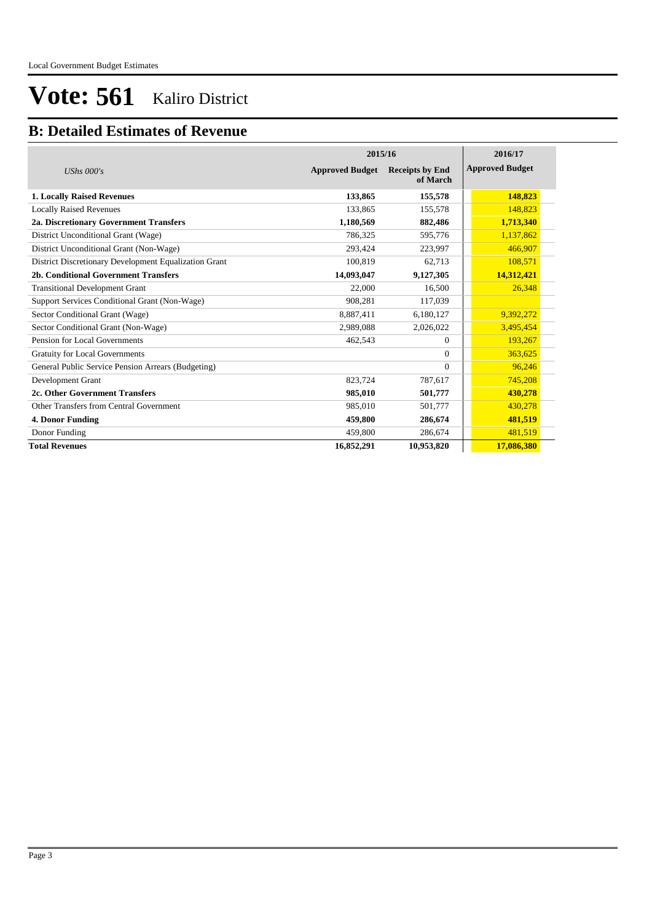### **B: Detailed Estimates of Revenue**

|                                                       | 2015/16                | 2016/17                            |                        |
|-------------------------------------------------------|------------------------|------------------------------------|------------------------|
| UShs $000's$                                          | <b>Approved Budget</b> | <b>Receipts by End</b><br>of March | <b>Approved Budget</b> |
| <b>1. Locally Raised Revenues</b>                     | 133,865                | 155,578                            | 148,823                |
| <b>Locally Raised Revenues</b>                        | 133,865                | 155,578                            | 148,823                |
| 2a. Discretionary Government Transfers                | 1,180,569              | 882,486                            | 1,713,340              |
| District Unconditional Grant (Wage)                   | 786,325                | 595,776                            | 1,137,862              |
| District Unconditional Grant (Non-Wage)               | 293,424                | 223,997                            | 466,907                |
| District Discretionary Development Equalization Grant | 100,819                | 62,713                             | 108,571                |
| 2b. Conditional Government Transfers                  | 14,093,047             | 9,127,305                          | 14,312,421             |
| <b>Transitional Development Grant</b>                 | 22,000                 | 16,500                             | 26,348                 |
| Support Services Conditional Grant (Non-Wage)         | 908,281                | 117,039                            |                        |
| Sector Conditional Grant (Wage)                       | 8,887,411              | 6,180,127                          | 9,392,272              |
| Sector Conditional Grant (Non-Wage)                   | 2,989,088              | 2,026,022                          | 3,495,454              |
| Pension for Local Governments                         | 462,543                | $\mathbf{0}$                       | 193,267                |
| <b>Gratuity for Local Governments</b>                 |                        | $\Omega$                           | 363,625                |
| General Public Service Pension Arrears (Budgeting)    |                        | $\Omega$                           | 96,246                 |
| Development Grant                                     | 823,724                | 787,617                            | 745,208                |
| 2c. Other Government Transfers                        | 985,010                | 501,777                            | 430,278                |
| Other Transfers from Central Government               | 985,010                | 501,777                            | 430,278                |
| 4. Donor Funding                                      | 459,800                | 286,674                            | 481,519                |
| Donor Funding                                         | 459,800                | 286,674                            | 481,519                |
| <b>Total Revenues</b>                                 | 16,852,291             | 10,953,820                         | 17,086,380             |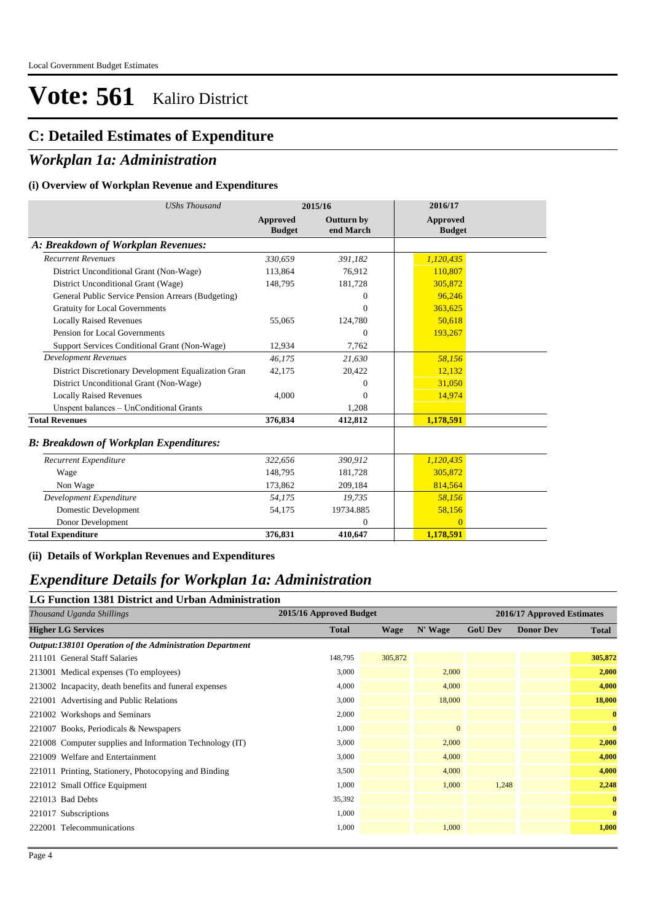### **C: Detailed Estimates of Expenditure**

### *Workplan 1a: Administration*

#### **(i) Overview of Workplan Revenue and Expenditures**

| <b>UShs Thousand</b>                                 |                           | 2015/16                        | 2016/17                          |  |
|------------------------------------------------------|---------------------------|--------------------------------|----------------------------------|--|
|                                                      | Approved<br><b>Budget</b> | <b>Outturn by</b><br>end March | <b>Approved</b><br><b>Budget</b> |  |
| A: Breakdown of Workplan Revenues:                   |                           |                                |                                  |  |
| <b>Recurrent Revenues</b>                            | 330,659                   | 391,182                        | 1,120,435                        |  |
| District Unconditional Grant (Non-Wage)              | 113,864                   | 76,912                         | 110,807                          |  |
| District Unconditional Grant (Wage)                  | 148,795                   | 181,728                        | 305,872                          |  |
| General Public Service Pension Arrears (Budgeting)   |                           | $\Omega$                       | 96,246                           |  |
| <b>Gratuity for Local Governments</b>                |                           | $\Omega$                       | 363,625                          |  |
| <b>Locally Raised Revenues</b>                       | 55,065                    | 124,780                        | 50,618                           |  |
| Pension for Local Governments                        |                           | $\Omega$                       | 193,267                          |  |
| Support Services Conditional Grant (Non-Wage)        | 12,934                    | 7,762                          |                                  |  |
| <b>Development Revenues</b>                          | 46.175                    | 21,630                         | 58,156                           |  |
| District Discretionary Development Equalization Gran | 42,175                    | 20,422                         | 12,132                           |  |
| District Unconditional Grant (Non-Wage)              |                           | $\mathbf{0}$                   | 31,050                           |  |
| <b>Locally Raised Revenues</b>                       | 4,000                     | $\Omega$                       | 14,974                           |  |
| Unspent balances - UnConditional Grants              |                           | 1.208                          |                                  |  |
| <b>Total Revenues</b>                                | 376,834                   | 412,812                        | 1,178,591                        |  |
| <b>B: Breakdown of Workplan Expenditures:</b>        |                           |                                |                                  |  |
| Recurrent Expenditure                                | 322,656                   | 390,912                        | 1,120,435                        |  |
| Wage                                                 | 148,795                   | 181,728                        | 305,872                          |  |
| Non Wage                                             | 173,862                   | 209,184                        | 814,564                          |  |
| Development Expenditure                              | 54,175                    | 19,735                         | 58,156                           |  |
| Domestic Development                                 | 54,175                    | 19734.885                      | 58,156                           |  |
| Donor Development                                    |                           | $\mathbf{0}$                   | $\Omega$                         |  |
| <b>Total Expenditure</b>                             | 376,831                   | 410,647                        | 1,178,591                        |  |

**(ii) Details of Workplan Revenues and Expenditures**

### *Expenditure Details for Workplan 1a: Administration*

### **LG Function 1381 District and Urban Administration** *Thousand Uganda Shillings* **2015/16 Approved Budget 2016/17 Approved Estimates Higher LG Services Total Wage N' Wage GoU Dev Donor Dev Total** *Output:138101 Operation of the Administration Department*  211101 General Staff Salaries 148,795 305,872 **305,872** 213001 Medical expenses (To employees) 3,000 2,000 **2,000** 213002 Incapacity, death benefits and funeral expenses 4,000 4,000 **4,000** 221001 Advertising and Public Relations **18,000** 18,000 **18,000** 18,000 **18,000** 18,000 **18,000** 18,000 **18,000** 221002 Workshops and Seminars 2,000 **0** 221007 Books, Periodicals & Newspapers 1,000 0 **0** 221008 Computer supplies and Information Technology (IT) 3,000 2,000 **2,000** 221009 Welfare and Entertainment 3,000 4,000 **4,000** 221011 Printing, Stationery, Photocopying and Binding 3,500 4,000 **4,000** 221012 Small Office Equipment 1,000 1,000 1,248 **2,248** 221013 Bad Debts 35,392 **0** 221017 Subscriptions 1,000 **0** 222001 Telecommunications 1,000 1,000 **1,000**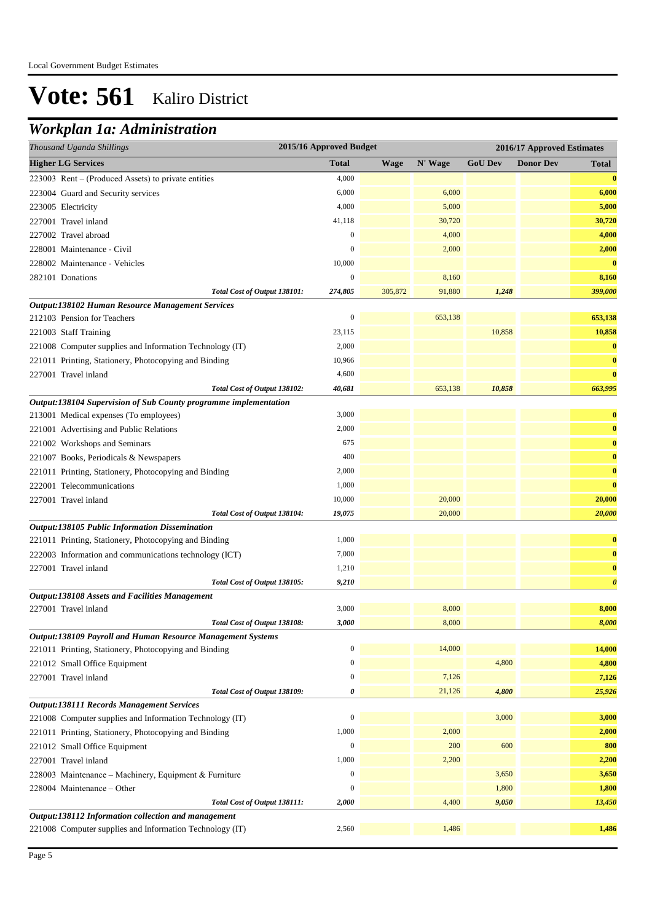## *Workplan 1a: Administration*

| Thousand Uganda Shillings                                        |                  | 2015/16 Approved Budget<br>2016/17 Approved Estimates |         |                |                  |                       |  |
|------------------------------------------------------------------|------------------|-------------------------------------------------------|---------|----------------|------------------|-----------------------|--|
| <b>Higher LG Services</b>                                        | <b>Total</b>     | <b>Wage</b>                                           | N' Wage | <b>GoU Dev</b> | <b>Donor Dev</b> | <b>Total</b>          |  |
| 223003 Rent – (Produced Assets) to private entities              | 4,000            |                                                       |         |                |                  | $\bf{0}$              |  |
| 223004 Guard and Security services                               | 6,000            |                                                       | 6,000   |                |                  | 6,000                 |  |
| 223005 Electricity                                               | 4,000            |                                                       | 5,000   |                |                  | 5,000                 |  |
| 227001 Travel inland                                             | 41,118           |                                                       | 30,720  |                |                  | 30,720                |  |
| 227002 Travel abroad                                             | 0                |                                                       | 4,000   |                |                  | 4,000                 |  |
| 228001 Maintenance - Civil                                       | $\overline{0}$   |                                                       | 2,000   |                |                  | 2,000                 |  |
| 228002 Maintenance - Vehicles                                    | 10,000           |                                                       |         |                |                  | $\bf{0}$              |  |
| 282101 Donations                                                 | $\boldsymbol{0}$ |                                                       | 8,160   |                |                  | 8,160                 |  |
| Total Cost of Output 138101:                                     | 274,805          | 305,872                                               | 91,880  | 1,248          |                  | 399,000               |  |
| Output:138102 Human Resource Management Services                 |                  |                                                       |         |                |                  |                       |  |
| 212103 Pension for Teachers                                      | $\boldsymbol{0}$ |                                                       | 653,138 |                |                  | 653,138               |  |
| 221003 Staff Training                                            | 23,115           |                                                       |         | 10,858         |                  | 10,858                |  |
| 221008 Computer supplies and Information Technology (IT)         | 2,000            |                                                       |         |                |                  | $\bf{0}$              |  |
| 221011 Printing, Stationery, Photocopying and Binding            | 10,966           |                                                       |         |                |                  | $\bf{0}$              |  |
| 227001 Travel inland                                             | 4,600            |                                                       |         |                |                  | $\bf{0}$              |  |
| Total Cost of Output 138102:                                     | 40,681           |                                                       | 653,138 | 10,858         |                  | 663,995               |  |
| Output:138104 Supervision of Sub County programme implementation |                  |                                                       |         |                |                  |                       |  |
| 213001 Medical expenses (To employees)                           | 3,000            |                                                       |         |                |                  | $\bf{0}$              |  |
| 221001 Advertising and Public Relations                          | 2,000            |                                                       |         |                |                  | $\bf{0}$              |  |
| 221002 Workshops and Seminars                                    | 675              |                                                       |         |                |                  | $\bf{0}$              |  |
| 221007 Books, Periodicals & Newspapers                           | 400              |                                                       |         |                |                  | $\bf{0}$              |  |
| 221011 Printing, Stationery, Photocopying and Binding            | 2,000            |                                                       |         |                |                  | $\bf{0}$              |  |
| 222001 Telecommunications                                        | 1,000            |                                                       |         |                |                  | $\bf{0}$              |  |
| 227001 Travel inland                                             | 10,000           |                                                       | 20,000  |                |                  | 20,000                |  |
| Total Cost of Output 138104:                                     | 19,075           |                                                       | 20,000  |                |                  | 20,000                |  |
| Output:138105 Public Information Dissemination                   |                  |                                                       |         |                |                  |                       |  |
| 221011 Printing, Stationery, Photocopying and Binding            | 1,000            |                                                       |         |                |                  | $\bf{0}$              |  |
| 222003 Information and communications technology (ICT)           | 7,000            |                                                       |         |                |                  | $\bf{0}$              |  |
| 227001 Travel inland                                             | 1,210            |                                                       |         |                |                  | $\bf{0}$              |  |
| Total Cost of Output 138105:                                     | 9,210            |                                                       |         |                |                  | $\boldsymbol{\theta}$ |  |
| <b>Output:138108 Assets and Facilities Management</b>            |                  |                                                       |         |                |                  |                       |  |
| 227001 Travel inland                                             | 3,000            |                                                       | 8,000   |                |                  | 8,000                 |  |
| Total Cost of Output 138108:                                     | 3,000            |                                                       | 8,000   |                |                  | 8,000                 |  |
| Output:138109 Payroll and Human Resource Management Systems      |                  |                                                       |         |                |                  |                       |  |
| 221011 Printing, Stationery, Photocopying and Binding            | 0                |                                                       | 14,000  |                |                  | 14,000                |  |
| 221012 Small Office Equipment                                    | $\boldsymbol{0}$ |                                                       |         | 4,800          |                  | 4,800                 |  |
| 227001 Travel inland                                             | 0                |                                                       | 7,126   |                |                  | 7,126                 |  |
| Total Cost of Output 138109:                                     | 0                |                                                       | 21,126  | 4,800          |                  | 25,926                |  |
| <b>Output:138111 Records Management Services</b>                 |                  |                                                       |         |                |                  |                       |  |
| 221008 Computer supplies and Information Technology (IT)         | $\boldsymbol{0}$ |                                                       |         | 3,000          |                  | 3,000                 |  |
| 221011 Printing, Stationery, Photocopying and Binding            | 1,000            |                                                       | 2,000   |                |                  | 2,000                 |  |
| 221012 Small Office Equipment                                    | $\boldsymbol{0}$ |                                                       | 200     | 600            |                  | 800                   |  |
| 227001 Travel inland                                             | 1,000            |                                                       | 2,200   |                |                  | 2,200                 |  |
| 228003 Maintenance - Machinery, Equipment & Furniture            | 0                |                                                       |         | 3,650          |                  | 3,650                 |  |
| 228004 Maintenance – Other                                       | $\overline{0}$   |                                                       |         | 1,800          |                  | 1,800                 |  |
| Total Cost of Output 138111:                                     | 2,000            |                                                       | 4,400   | 9,050          |                  | 13,450                |  |
| Output:138112 Information collection and management              |                  |                                                       |         |                |                  |                       |  |
| 221008 Computer supplies and Information Technology (IT)         | 2,560            |                                                       | 1,486   |                |                  | 1,486                 |  |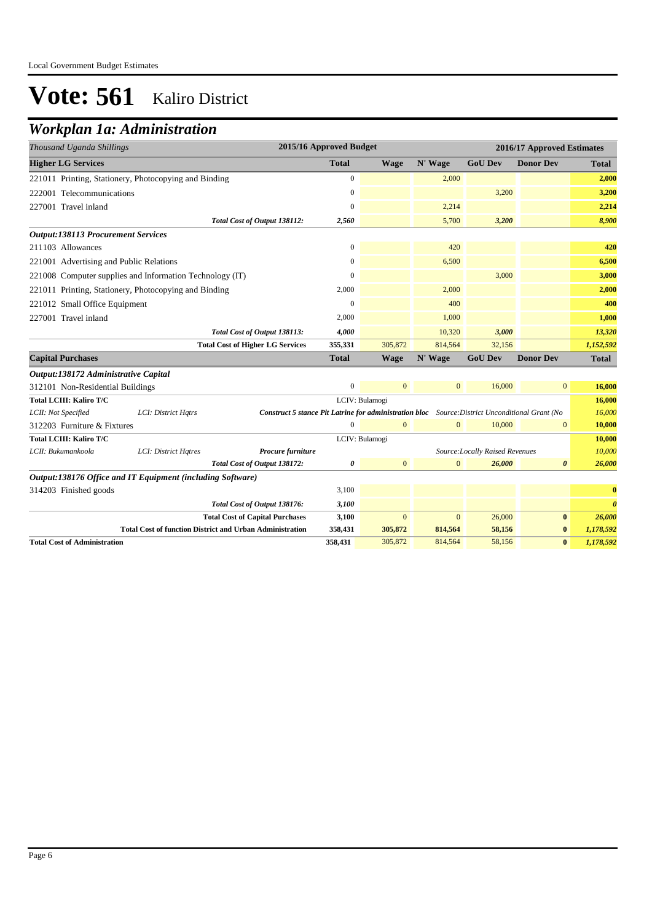### *Workplan 1a: Administration*

| Thousand Uganda Shillings                 |                                                                 |                                                                                                        | 2015/16 Approved Budget |                |              |                                 | 2016/17 Approved Estimates |                       |
|-------------------------------------------|-----------------------------------------------------------------|--------------------------------------------------------------------------------------------------------|-------------------------|----------------|--------------|---------------------------------|----------------------------|-----------------------|
| <b>Higher LG Services</b>                 |                                                                 |                                                                                                        | <b>Total</b>            | <b>Wage</b>    | N' Wage      | <b>GoU Dev</b>                  | <b>Donor Dev</b>           | <b>Total</b>          |
|                                           | 221011 Printing, Stationery, Photocopying and Binding           |                                                                                                        | $\overline{0}$          |                | 2,000        |                                 |                            | 2,000                 |
| 222001 Telecommunications                 |                                                                 |                                                                                                        | 0                       |                |              | 3,200                           |                            | 3,200                 |
| 227001 Travel inland                      |                                                                 |                                                                                                        | $\overline{0}$          |                | 2,214        |                                 |                            | 2,214                 |
|                                           |                                                                 | Total Cost of Output 138112:                                                                           | 2,560                   |                | 5,700        | 3,200                           |                            | 8,900                 |
| <b>Output:138113 Procurement Services</b> |                                                                 |                                                                                                        |                         |                |              |                                 |                            |                       |
| 211103 Allowances                         |                                                                 |                                                                                                        | 0                       |                | 420          |                                 |                            | 420                   |
| 221001 Advertising and Public Relations   |                                                                 |                                                                                                        | $\overline{0}$          |                | 6,500        |                                 |                            | 6,500                 |
|                                           | 221008 Computer supplies and Information Technology (IT)        |                                                                                                        | $\Omega$                |                |              | 3,000                           |                            | 3,000                 |
|                                           | 221011 Printing, Stationery, Photocopying and Binding           |                                                                                                        | 2,000                   |                | 2,000        |                                 |                            | 2,000                 |
| 221012 Small Office Equipment             |                                                                 |                                                                                                        | $\mathbf{0}$            |                | 400          |                                 |                            | 400                   |
| 227001 Travel inland                      |                                                                 |                                                                                                        | 2,000                   |                | 1,000        |                                 |                            | 1,000                 |
|                                           |                                                                 | Total Cost of Output 138113:                                                                           | 4,000                   |                | 10,320       | 3,000                           |                            | 13,320                |
|                                           |                                                                 | <b>Total Cost of Higher LG Services</b>                                                                | 355,331                 | 305,872        | 814,564      | 32.156                          |                            | 1,152,592             |
| <b>Capital Purchases</b>                  |                                                                 |                                                                                                        | <b>Total</b>            | <b>Wage</b>    | N' Wage      | <b>GoU Dev</b>                  | <b>Donor Dev</b>           | <b>Total</b>          |
| Output:138172 Administrative Capital      |                                                                 |                                                                                                        |                         |                |              |                                 |                            |                       |
| 312101 Non-Residential Buildings          |                                                                 |                                                                                                        | $\mathbf{0}$            | $\overline{0}$ | $\mathbf{0}$ | 16,000                          | $\overline{0}$             | 16,000                |
| <b>Total LCIII: Kaliro T/C</b>            |                                                                 |                                                                                                        |                         | LCIV: Bulamogi |              |                                 |                            | 16,000                |
| LCII: Not Specified                       | LCI: District Hqtrs                                             | <b>Construct 5 stance Pit Latrine for administration bloc</b> Source: District Unconditional Grant (No |                         |                |              |                                 |                            | 16,000                |
| 312203 Furniture & Fixtures               |                                                                 |                                                                                                        | $\mathbf{0}$            | $\mathbf{0}$   | $\mathbf{0}$ | 10,000                          | $\mathbf{0}$               | 10,000                |
| <b>Total LCIII: Kaliro T/C</b>            |                                                                 |                                                                                                        |                         | LCIV: Bulamogi |              |                                 |                            | 10,000                |
| LCII: Bukumankoola                        | LCI: District Hatres                                            | Procure furniture                                                                                      |                         |                |              | Source: Locally Raised Revenues |                            | 10,000                |
|                                           |                                                                 | Total Cost of Output 138172:                                                                           | 0                       | $\overline{0}$ | $\mathbf{0}$ | 26,000                          | $\boldsymbol{\theta}$      | 26,000                |
|                                           | Output:138176 Office and IT Equipment (including Software)      |                                                                                                        |                         |                |              |                                 |                            |                       |
| 314203 Finished goods                     |                                                                 |                                                                                                        | 3,100                   |                |              |                                 |                            | $\bf{0}$              |
|                                           |                                                                 | Total Cost of Output 138176:                                                                           | 3,100                   |                |              |                                 |                            | $\boldsymbol{\theta}$ |
|                                           |                                                                 | <b>Total Cost of Capital Purchases</b>                                                                 | 3,100                   | $\mathbf{0}$   | $\mathbf{0}$ | 26,000                          | $\bf{0}$                   | 26,000                |
|                                           | <b>Total Cost of function District and Urban Administration</b> |                                                                                                        | 358,431                 | 305,872        | 814,564      | 58,156                          | $\bf{0}$                   | 1,178,592             |
| <b>Total Cost of Administration</b>       |                                                                 |                                                                                                        | 358,431                 | 305,872        | 814,564      | 58,156                          | $\bf{0}$                   | 1,178,592             |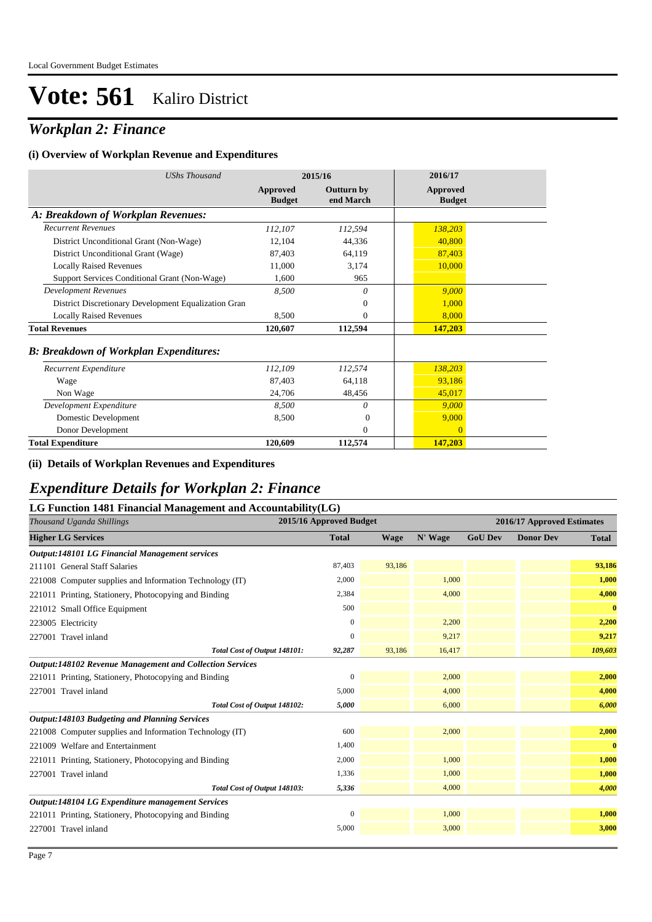## *Workplan 2: Finance*

#### **(i) Overview of Workplan Revenue and Expenditures**

| <b>UShs Thousand</b>                                 | 2015/16                   |                                | 2016/17                          |
|------------------------------------------------------|---------------------------|--------------------------------|----------------------------------|
|                                                      | Approved<br><b>Budget</b> | <b>Outturn by</b><br>end March | <b>Approved</b><br><b>Budget</b> |
| A: Breakdown of Workplan Revenues:                   |                           |                                |                                  |
| <b>Recurrent Revenues</b>                            | 112,107                   | 112,594                        | 138,203                          |
| District Unconditional Grant (Non-Wage)              | 12,104                    | 44,336                         | 40,800                           |
| District Unconditional Grant (Wage)                  | 87,403                    | 64,119                         | 87,403                           |
| <b>Locally Raised Revenues</b>                       | 11,000                    | 3,174                          | 10,000                           |
| Support Services Conditional Grant (Non-Wage)        | 1,600                     | 965                            |                                  |
| <b>Development Revenues</b>                          | 8,500                     | 0                              | 9,000                            |
| District Discretionary Development Equalization Gran |                           | $\theta$                       | 1,000                            |
| <b>Locally Raised Revenues</b>                       | 8,500                     | $\mathbf{0}$                   | 8,000                            |
| <b>Total Revenues</b>                                | 120,607                   | 112,594                        | 147,203                          |
| <b>B: Breakdown of Workplan Expenditures:</b>        |                           |                                |                                  |
| Recurrent Expenditure                                | 112,109                   | 112,574                        | 138,203                          |
| Wage                                                 | 87,403                    | 64,118                         | 93,186                           |
| Non Wage                                             | 24,706                    | 48,456                         | 45,017                           |
| Development Expenditure                              | 8,500                     | 0                              | 9,000                            |
| Domestic Development                                 | 8,500                     | $\Omega$                       | 9,000                            |
| Donor Development                                    |                           | $\Omega$                       | $\Omega$                         |
| <b>Total Expenditure</b>                             | 120,609                   | 112,574                        | 147,203                          |

### **(ii) Details of Workplan Revenues and Expenditures**

### *Expenditure Details for Workplan 2: Finance*

### **LG Function 1481 Financial Management and Accountability(LG)**

| 2015/16 Approved Budget<br>Thousand Uganda Shillings<br>2016/17 Approved Estimates |              |             |         |                |                  |              |
|------------------------------------------------------------------------------------|--------------|-------------|---------|----------------|------------------|--------------|
| <b>Higher LG Services</b>                                                          | <b>Total</b> | <b>Wage</b> | N' Wage | <b>GoU Dev</b> | <b>Donor Dev</b> | <b>Total</b> |
| Output:148101 LG Financial Management services                                     |              |             |         |                |                  |              |
| 211101 General Staff Salaries                                                      | 87,403       | 93,186      |         |                |                  | 93,186       |
| 221008 Computer supplies and Information Technology (IT)                           | 2,000        |             | 1,000   |                |                  | 1,000        |
| 221011 Printing, Stationery, Photocopying and Binding                              | 2,384        |             | 4,000   |                |                  | 4,000        |
| 221012 Small Office Equipment                                                      | 500          |             |         |                |                  | $\bf{0}$     |
| 223005 Electricity                                                                 | $\mathbf{0}$ |             | 2,200   |                |                  | 2,200        |
| 227001 Travel inland                                                               | $\mathbf{0}$ |             | 9,217   |                |                  | 9,217        |
| Total Cost of Output 148101:                                                       | 92,287       | 93,186      | 16,417  |                |                  | 109,603      |
| <b>Output:148102 Revenue Management and Collection Services</b>                    |              |             |         |                |                  |              |
| 221011 Printing, Stationery, Photocopying and Binding                              | $\mathbf{0}$ |             | 2,000   |                |                  | 2,000        |
| 227001 Travel inland                                                               | 5,000        |             | 4,000   |                |                  | 4,000        |
| Total Cost of Output 148102:                                                       | 5,000        |             | 6,000   |                |                  | 6,000        |
| Output:148103 Budgeting and Planning Services                                      |              |             |         |                |                  |              |
| 221008 Computer supplies and Information Technology (IT)                           | 600          |             | 2,000   |                |                  | 2,000        |
| 221009 Welfare and Entertainment                                                   | 1,400        |             |         |                |                  | $\bf{0}$     |
| 221011 Printing, Stationery, Photocopying and Binding                              | 2,000        |             | 1,000   |                |                  | 1,000        |
| 227001 Travel inland                                                               | 1,336        |             | 1,000   |                |                  | 1,000        |
| Total Cost of Output 148103:                                                       | 5,336        |             | 4,000   |                |                  | 4,000        |
| Output:148104 LG Expenditure management Services                                   |              |             |         |                |                  |              |
| 221011 Printing, Stationery, Photocopying and Binding                              | $\mathbf{0}$ |             | 1,000   |                |                  | 1,000        |
| 227001 Travel inland                                                               | 5,000        |             | 3,000   |                |                  | 3,000        |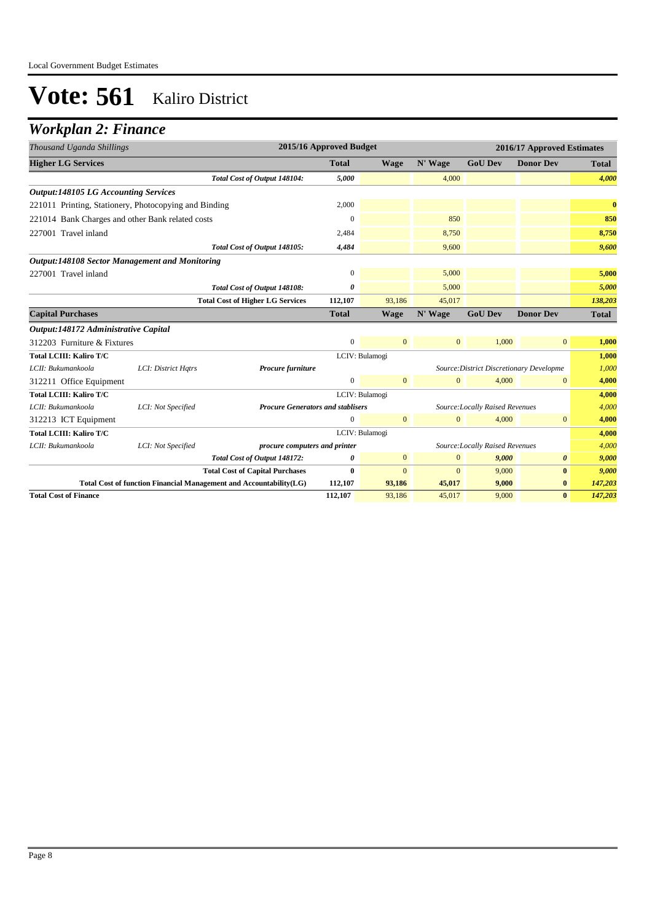### *Workplan 2: Finance*

| Thousand Uganda Shillings                             |                                                                    |                                          | 2015/16 Approved Budget |                |              |                                          | 2016/17 Approved Estimates |              |
|-------------------------------------------------------|--------------------------------------------------------------------|------------------------------------------|-------------------------|----------------|--------------|------------------------------------------|----------------------------|--------------|
| <b>Higher LG Services</b>                             |                                                                    |                                          | <b>Total</b>            | <b>Wage</b>    | N' Wage      | <b>GoU Dev</b>                           | <b>Donor Dev</b>           | <b>Total</b> |
|                                                       |                                                                    | Total Cost of Output 148104:             | 5,000                   |                | 4,000        |                                          |                            | 4,000        |
| <b>Output:148105 LG Accounting Services</b>           |                                                                    |                                          |                         |                |              |                                          |                            |              |
| 221011 Printing, Stationery, Photocopying and Binding |                                                                    |                                          | 2,000                   |                |              |                                          |                            | $\mathbf{0}$ |
| 221014 Bank Charges and other Bank related costs      |                                                                    |                                          | $\Omega$                |                | 850          |                                          |                            | 850          |
| 227001 Travel inland                                  |                                                                    |                                          | 2,484                   |                | 8,750        |                                          |                            | 8,750        |
|                                                       |                                                                    | Total Cost of Output 148105:             | 4,484                   |                | 9,600        |                                          |                            | 9,600        |
| <b>Output:148108 Sector Management and Monitoring</b> |                                                                    |                                          |                         |                |              |                                          |                            |              |
| 227001 Travel inland                                  |                                                                    |                                          | $\mathbf{0}$            |                | 5,000        |                                          |                            | 5,000        |
|                                                       |                                                                    | Total Cost of Output 148108:             | 0                       |                | 5,000        |                                          |                            | 5,000        |
|                                                       |                                                                    | <b>Total Cost of Higher LG Services</b>  | 112,107                 | 93.186         | 45,017       |                                          |                            | 138,203      |
| <b>Capital Purchases</b>                              |                                                                    |                                          | <b>Total</b>            | <b>Wage</b>    | N' Wage      | <b>GoU Dev</b>                           | <b>Donor Dev</b>           | Total        |
| Output:148172 Administrative Capital                  |                                                                    |                                          |                         |                |              |                                          |                            |              |
| 312203 Furniture & Fixtures                           |                                                                    |                                          | $\mathbf{0}$            | $\overline{0}$ | $\mathbf{0}$ | 1,000                                    | $\mathbf{0}$               | 1,000        |
| <b>Total LCIII: Kaliro T/C</b>                        |                                                                    |                                          |                         | LCIV: Bulamogi |              |                                          |                            | 1,000        |
| LCII: Bukumankoola                                    | LCI: District Hqtrs                                                | Procure furniture                        |                         |                |              | Source: District Discretionary Developme |                            | 1,000        |
| 312211 Office Equipment                               |                                                                    |                                          | $\mathbf{0}$            | $\mathbf{0}$   | $\mathbf{0}$ | 4,000                                    | $\bf{0}$                   | 4,000        |
| <b>Total LCIII: Kaliro T/C</b>                        |                                                                    |                                          |                         | LCIV: Bulamogi |              |                                          |                            | 4,000        |
| LCII: Bukumankoola                                    | LCI: Not Specified                                                 | <b>Procure Generators and stablisers</b> |                         |                |              | Source: Locally Raised Revenues          |                            | 4,000        |
| 312213 ICT Equipment                                  |                                                                    |                                          | $\mathbf{0}$            | $\mathbf{0}$   | $\mathbf{0}$ | 4,000                                    | $\overline{0}$             | 4,000        |
| <b>Total LCIII: Kaliro T/C</b>                        |                                                                    |                                          |                         | LCIV: Bulamogi |              |                                          |                            | 4,000        |
| LCII: Bukumankoola                                    | LCI: Not Specified                                                 | procure computers and printer            |                         |                |              | Source: Locally Raised Revenues          |                            | 4,000        |
|                                                       |                                                                    | Total Cost of Output 148172:             | 0                       | $\mathbf{0}$   | $\mathbf{0}$ | 9,000                                    | $\boldsymbol{\theta}$      | 9,000        |
|                                                       |                                                                    | <b>Total Cost of Capital Purchases</b>   | $\mathbf{0}$            | $\Omega$       | $\Omega$     | 9,000                                    | $\bf{0}$                   | 9,000        |
|                                                       | Total Cost of function Financial Management and Accountability(LG) |                                          | 112,107                 | 93,186         | 45,017       | 9,000                                    | $\bf{0}$                   | 147,203      |
| <b>Total Cost of Finance</b>                          |                                                                    |                                          | 112,107                 | 93,186         | 45,017       | 9,000                                    | $\mathbf{0}$               | 147,203      |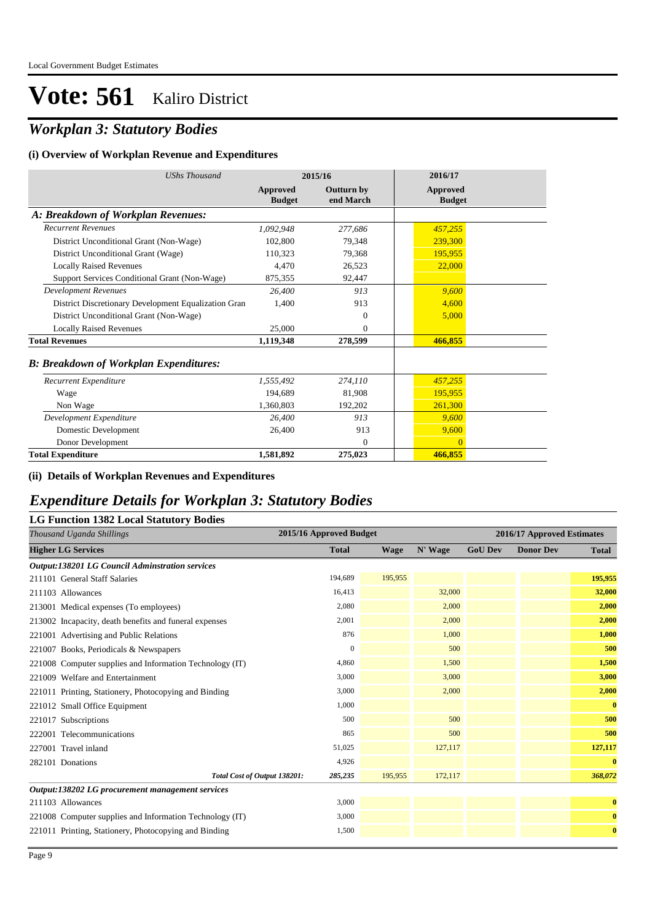## *Workplan 3: Statutory Bodies*

#### **(i) Overview of Workplan Revenue and Expenditures**

| <b>UShs Thousand</b>                                 |                           | 2015/16                        | 2016/17                   |  |
|------------------------------------------------------|---------------------------|--------------------------------|---------------------------|--|
|                                                      | Approved<br><b>Budget</b> | <b>Outturn by</b><br>end March | Approved<br><b>Budget</b> |  |
| A: Breakdown of Workplan Revenues:                   |                           |                                |                           |  |
| <b>Recurrent Revenues</b>                            | 1,092,948                 | 277,686                        | 457,255                   |  |
| District Unconditional Grant (Non-Wage)              | 102,800                   | 79.348                         | 239,300                   |  |
| District Unconditional Grant (Wage)                  | 110,323                   | 79,368                         | 195,955                   |  |
| <b>Locally Raised Revenues</b>                       | 4.470                     | 26,523                         | 22,000                    |  |
| Support Services Conditional Grant (Non-Wage)        | 875,355                   | 92,447                         |                           |  |
| <b>Development Revenues</b>                          | 26,400                    | 913                            | 9.600                     |  |
| District Discretionary Development Equalization Gran | 1.400                     | 913                            | 4,600                     |  |
| District Unconditional Grant (Non-Wage)              |                           | $\Omega$                       | 5,000                     |  |
| <b>Locally Raised Revenues</b>                       | 25,000                    | $\Omega$                       |                           |  |
| <b>Total Revenues</b>                                | 1,119,348                 | 278,599                        | 466,855                   |  |
| <b>B: Breakdown of Workplan Expenditures:</b>        |                           |                                |                           |  |
| Recurrent Expenditure                                | 1,555,492                 | 274,110                        | 457,255                   |  |
| Wage                                                 | 194.689                   | 81,908                         | 195.955                   |  |
| Non Wage                                             | 1,360,803                 | 192,202                        | 261,300                   |  |
| Development Expenditure                              | 26,400                    | 913                            | 9,600                     |  |
| Domestic Development                                 | 26,400                    | 913                            | 9,600                     |  |
| Donor Development                                    |                           | $\theta$                       | $\Omega$                  |  |
| <b>Total Expenditure</b>                             | 1.581.892                 | 275,023                        | 466,855                   |  |

#### **(ii) Details of Workplan Revenues and Expenditures**

### *Expenditure Details for Workplan 3: Statutory Bodies*

### **LG Function 1382 Local Statutory Bodies**

| Thousand Uganda Shillings                                | 2015/16 Approved Budget |             | 2016/17 Approved Estimates |                |                  |              |
|----------------------------------------------------------|-------------------------|-------------|----------------------------|----------------|------------------|--------------|
| <b>Higher LG Services</b>                                | <b>Total</b>            | <b>Wage</b> | N' Wage                    | <b>GoU Dev</b> | <b>Donor Dev</b> | <b>Total</b> |
| <b>Output:138201 LG Council Adminstration services</b>   |                         |             |                            |                |                  |              |
| 211101 General Staff Salaries                            | 194,689                 | 195,955     |                            |                |                  | 195,955      |
| 211103 Allowances                                        | 16,413                  |             | 32,000                     |                |                  | 32,000       |
| 213001 Medical expenses (To employees)                   | 2,080                   |             | 2,000                      |                |                  | 2,000        |
| 213002 Incapacity, death benefits and funeral expenses   | 2,001                   |             | 2,000                      |                |                  | 2,000        |
| 221001 Advertising and Public Relations                  | 876                     |             | 1,000                      |                |                  | 1,000        |
| 221007 Books, Periodicals & Newspapers                   | $\Omega$                |             | 500                        |                |                  | 500          |
| 221008 Computer supplies and Information Technology (IT) | 4,860                   |             | 1,500                      |                |                  | 1,500        |
| 221009 Welfare and Entertainment                         | 3,000                   |             | 3,000                      |                |                  | 3,000        |
| 221011 Printing, Stationery, Photocopying and Binding    | 3,000                   |             | 2,000                      |                |                  | 2,000        |
| 221012 Small Office Equipment                            | 1,000                   |             |                            |                |                  | $\bf{0}$     |
| 221017 Subscriptions                                     | 500                     |             | 500                        |                |                  | 500          |
| 222001 Telecommunications                                | 865                     |             | 500                        |                |                  | 500          |
| 227001 Travel inland                                     | 51,025                  |             | 127,117                    |                |                  | 127,117      |
| 282101 Donations                                         | 4,926                   |             |                            |                |                  | $\bf{0}$     |
| Total Cost of Output 138201:                             | 285,235                 | 195,955     | 172,117                    |                |                  | 368,072      |
| Output:138202 LG procurement management services         |                         |             |                            |                |                  |              |
| 211103 Allowances                                        | 3,000                   |             |                            |                |                  | $\bf{0}$     |
| 221008 Computer supplies and Information Technology (IT) | 3,000                   |             |                            |                |                  | $\bf{0}$     |
| 221011 Printing, Stationery, Photocopying and Binding    | 1,500                   |             |                            |                |                  | $\bf{0}$     |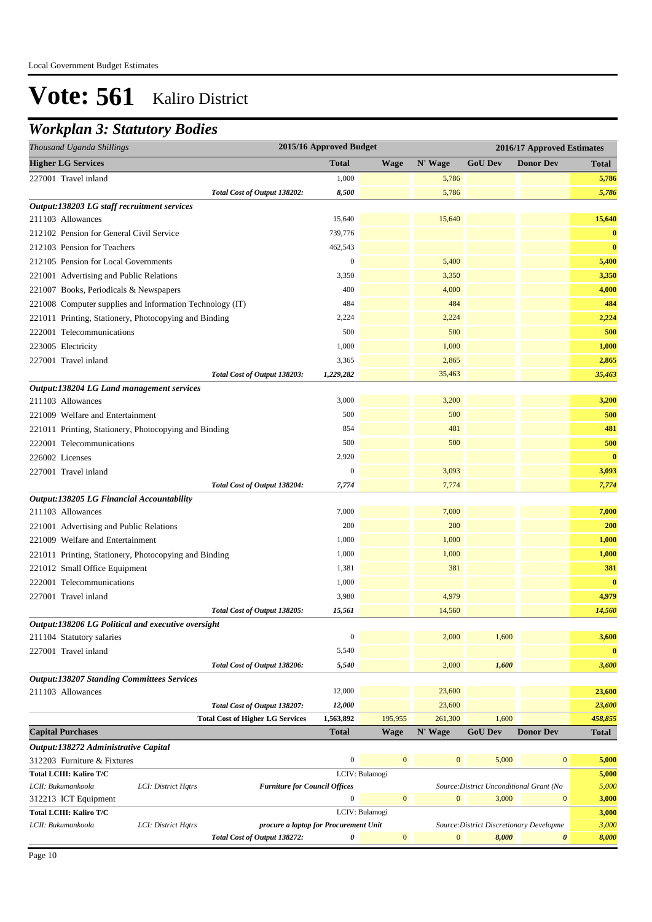### *Workplan 3: Statutory Bodies*

| N' Wage<br><b>GoU Dev</b><br><b>Total</b><br><b>Wage</b><br><b>Donor Dev</b><br><b>Total</b><br>1,000<br>5,786<br>227001 Travel inland<br>5,786<br>8,500<br>5,786<br>Total Cost of Output 138202:<br>5,786<br>15,640<br>15,640<br>15,640<br>211103 Allowances<br>$\bf{0}$<br>739,776<br>212102 Pension for General Civil Service<br>462,543<br>$\bf{0}$<br>212103 Pension for Teachers<br>$\boldsymbol{0}$<br>5,400<br>5,400<br>212105 Pension for Local Governments<br>3,350<br>3,350<br>3,350<br>400<br>4,000<br>4,000<br>484<br>484<br>484<br>2,224<br>2,224<br>2,224<br>500<br>500<br>222001 Telecommunications<br>500<br>1,000<br>1,000<br>1,000<br>2,865<br>2,865<br>227001 Travel inland<br>3,365<br>Total Cost of Output 138203:<br>35,463<br>1,229,282<br>35,463<br>3,000<br>3,200<br>3,200<br>211103 Allowances<br>500<br>500<br>500<br>221009 Welfare and Entertainment<br>481<br>854<br>481<br>500<br>500<br>500<br>222001 Telecommunications<br>$\bf{0}$<br>2,920<br>226002 Licenses<br>$\boldsymbol{0}$<br>3,093<br>3,093<br>227001 Travel inland<br>7,774<br>7,774<br>Total Cost of Output 138204:<br>7,774<br>7,000<br>7,000<br>211103 Allowances<br>7,000<br>200<br>200<br>200<br>1,000<br>1,000<br>1,000<br>221009 Welfare and Entertainment<br>1,000<br>1,000<br>1,000<br>1,381<br>381<br>381<br>$\bf{0}$<br>1,000<br>222001 Telecommunications<br>4,979<br>4,979<br>227001 Travel inland<br>3,980<br>14,560<br>15,561<br>14,560<br>Total Cost of Output 138205:<br>Output:138206 LG Political and executive oversight<br>$\boldsymbol{0}$<br>2,000<br>1,600<br>3,600<br>227001 Travel inland<br>5,540<br>$\bf{0}$<br>5,540<br>2,000<br>1,600<br>3,600<br>Total Cost of Output 138206:<br>12,000<br>23,600<br>211103 Allowances<br>23,600<br>23,600<br>Total Cost of Output 138207:<br>12,000<br>23,600<br>195,955<br>1,600<br><b>Total Cost of Higher LG Services</b><br>1,563,892<br>261,300<br>458,855<br><b>GoU Dev</b><br><b>Donor Dev</b><br><b>Total</b><br><b>Wage</b><br>N' Wage<br><b>Total</b><br>$\boldsymbol{0}$<br>$\mathbf{0}$<br>$\mathbf{0}$<br>5,000<br>$\mathbf{0}$<br>312203 Furniture & Fixtures<br>5,000<br>LCIV: Bulamogi<br><b>Total LCIII: Kaliro T/C</b><br>5,000<br>5,000<br>LCII: Bukumankoola<br>LCI: District Hatrs<br>Source: District Unconditional Grant (No<br><b>Furniture for Council Offices</b><br>$\boldsymbol{0}$<br>$\mathbf{0}$<br>$\boldsymbol{0}$<br>3,000<br>$\boldsymbol{0}$<br>3,000<br>312213 ICT Equipment<br>Total LCIII: Kaliro T/C<br>LCIV: Bulamogi<br>3,000<br>3,000<br>LCII: Bukumankoola<br>LCI: District Hqtrs<br>Source: District Discretionary Developme<br>procure a laptop for Procurement Unit<br>Total Cost of Output 138272:<br>0<br>$\mathbf{0}$<br>$\boldsymbol{0}$<br>8,000<br>0<br>8,000 | Thousand Uganda Shillings                                | 2015/16 Approved Budget |  | 2016/17 Approved Estimates |  |
|---------------------------------------------------------------------------------------------------------------------------------------------------------------------------------------------------------------------------------------------------------------------------------------------------------------------------------------------------------------------------------------------------------------------------------------------------------------------------------------------------------------------------------------------------------------------------------------------------------------------------------------------------------------------------------------------------------------------------------------------------------------------------------------------------------------------------------------------------------------------------------------------------------------------------------------------------------------------------------------------------------------------------------------------------------------------------------------------------------------------------------------------------------------------------------------------------------------------------------------------------------------------------------------------------------------------------------------------------------------------------------------------------------------------------------------------------------------------------------------------------------------------------------------------------------------------------------------------------------------------------------------------------------------------------------------------------------------------------------------------------------------------------------------------------------------------------------------------------------------------------------------------------------------------------------------------------------------------------------------------------------------------------------------------------------------------------------------------------------------------------------------------------------------------------------------------------------------------------------------------------------------------------------------------------------------------------------------------------------------------------------------------------------------------------------------------------------------------------------------------------------------------------------------------------------------------------------------------------------------------------------------------------------------------------------------------------------------------------------------------------------------------------------|----------------------------------------------------------|-------------------------|--|----------------------------|--|
|                                                                                                                                                                                                                                                                                                                                                                                                                                                                                                                                                                                                                                                                                                                                                                                                                                                                                                                                                                                                                                                                                                                                                                                                                                                                                                                                                                                                                                                                                                                                                                                                                                                                                                                                                                                                                                                                                                                                                                                                                                                                                                                                                                                                                                                                                                                                                                                                                                                                                                                                                                                                                                                                                                                                                                                 | <b>Higher LG Services</b>                                |                         |  |                            |  |
|                                                                                                                                                                                                                                                                                                                                                                                                                                                                                                                                                                                                                                                                                                                                                                                                                                                                                                                                                                                                                                                                                                                                                                                                                                                                                                                                                                                                                                                                                                                                                                                                                                                                                                                                                                                                                                                                                                                                                                                                                                                                                                                                                                                                                                                                                                                                                                                                                                                                                                                                                                                                                                                                                                                                                                                 |                                                          |                         |  |                            |  |
|                                                                                                                                                                                                                                                                                                                                                                                                                                                                                                                                                                                                                                                                                                                                                                                                                                                                                                                                                                                                                                                                                                                                                                                                                                                                                                                                                                                                                                                                                                                                                                                                                                                                                                                                                                                                                                                                                                                                                                                                                                                                                                                                                                                                                                                                                                                                                                                                                                                                                                                                                                                                                                                                                                                                                                                 |                                                          |                         |  |                            |  |
|                                                                                                                                                                                                                                                                                                                                                                                                                                                                                                                                                                                                                                                                                                                                                                                                                                                                                                                                                                                                                                                                                                                                                                                                                                                                                                                                                                                                                                                                                                                                                                                                                                                                                                                                                                                                                                                                                                                                                                                                                                                                                                                                                                                                                                                                                                                                                                                                                                                                                                                                                                                                                                                                                                                                                                                 | Output:138203 LG staff recruitment services              |                         |  |                            |  |
|                                                                                                                                                                                                                                                                                                                                                                                                                                                                                                                                                                                                                                                                                                                                                                                                                                                                                                                                                                                                                                                                                                                                                                                                                                                                                                                                                                                                                                                                                                                                                                                                                                                                                                                                                                                                                                                                                                                                                                                                                                                                                                                                                                                                                                                                                                                                                                                                                                                                                                                                                                                                                                                                                                                                                                                 |                                                          |                         |  |                            |  |
|                                                                                                                                                                                                                                                                                                                                                                                                                                                                                                                                                                                                                                                                                                                                                                                                                                                                                                                                                                                                                                                                                                                                                                                                                                                                                                                                                                                                                                                                                                                                                                                                                                                                                                                                                                                                                                                                                                                                                                                                                                                                                                                                                                                                                                                                                                                                                                                                                                                                                                                                                                                                                                                                                                                                                                                 |                                                          |                         |  |                            |  |
|                                                                                                                                                                                                                                                                                                                                                                                                                                                                                                                                                                                                                                                                                                                                                                                                                                                                                                                                                                                                                                                                                                                                                                                                                                                                                                                                                                                                                                                                                                                                                                                                                                                                                                                                                                                                                                                                                                                                                                                                                                                                                                                                                                                                                                                                                                                                                                                                                                                                                                                                                                                                                                                                                                                                                                                 |                                                          |                         |  |                            |  |
|                                                                                                                                                                                                                                                                                                                                                                                                                                                                                                                                                                                                                                                                                                                                                                                                                                                                                                                                                                                                                                                                                                                                                                                                                                                                                                                                                                                                                                                                                                                                                                                                                                                                                                                                                                                                                                                                                                                                                                                                                                                                                                                                                                                                                                                                                                                                                                                                                                                                                                                                                                                                                                                                                                                                                                                 |                                                          |                         |  |                            |  |
|                                                                                                                                                                                                                                                                                                                                                                                                                                                                                                                                                                                                                                                                                                                                                                                                                                                                                                                                                                                                                                                                                                                                                                                                                                                                                                                                                                                                                                                                                                                                                                                                                                                                                                                                                                                                                                                                                                                                                                                                                                                                                                                                                                                                                                                                                                                                                                                                                                                                                                                                                                                                                                                                                                                                                                                 | 221001 Advertising and Public Relations                  |                         |  |                            |  |
|                                                                                                                                                                                                                                                                                                                                                                                                                                                                                                                                                                                                                                                                                                                                                                                                                                                                                                                                                                                                                                                                                                                                                                                                                                                                                                                                                                                                                                                                                                                                                                                                                                                                                                                                                                                                                                                                                                                                                                                                                                                                                                                                                                                                                                                                                                                                                                                                                                                                                                                                                                                                                                                                                                                                                                                 | 221007 Books, Periodicals & Newspapers                   |                         |  |                            |  |
|                                                                                                                                                                                                                                                                                                                                                                                                                                                                                                                                                                                                                                                                                                                                                                                                                                                                                                                                                                                                                                                                                                                                                                                                                                                                                                                                                                                                                                                                                                                                                                                                                                                                                                                                                                                                                                                                                                                                                                                                                                                                                                                                                                                                                                                                                                                                                                                                                                                                                                                                                                                                                                                                                                                                                                                 | 221008 Computer supplies and Information Technology (IT) |                         |  |                            |  |
|                                                                                                                                                                                                                                                                                                                                                                                                                                                                                                                                                                                                                                                                                                                                                                                                                                                                                                                                                                                                                                                                                                                                                                                                                                                                                                                                                                                                                                                                                                                                                                                                                                                                                                                                                                                                                                                                                                                                                                                                                                                                                                                                                                                                                                                                                                                                                                                                                                                                                                                                                                                                                                                                                                                                                                                 | 221011 Printing, Stationery, Photocopying and Binding    |                         |  |                            |  |
|                                                                                                                                                                                                                                                                                                                                                                                                                                                                                                                                                                                                                                                                                                                                                                                                                                                                                                                                                                                                                                                                                                                                                                                                                                                                                                                                                                                                                                                                                                                                                                                                                                                                                                                                                                                                                                                                                                                                                                                                                                                                                                                                                                                                                                                                                                                                                                                                                                                                                                                                                                                                                                                                                                                                                                                 |                                                          |                         |  |                            |  |
|                                                                                                                                                                                                                                                                                                                                                                                                                                                                                                                                                                                                                                                                                                                                                                                                                                                                                                                                                                                                                                                                                                                                                                                                                                                                                                                                                                                                                                                                                                                                                                                                                                                                                                                                                                                                                                                                                                                                                                                                                                                                                                                                                                                                                                                                                                                                                                                                                                                                                                                                                                                                                                                                                                                                                                                 | 223005 Electricity                                       |                         |  |                            |  |
|                                                                                                                                                                                                                                                                                                                                                                                                                                                                                                                                                                                                                                                                                                                                                                                                                                                                                                                                                                                                                                                                                                                                                                                                                                                                                                                                                                                                                                                                                                                                                                                                                                                                                                                                                                                                                                                                                                                                                                                                                                                                                                                                                                                                                                                                                                                                                                                                                                                                                                                                                                                                                                                                                                                                                                                 |                                                          |                         |  |                            |  |
|                                                                                                                                                                                                                                                                                                                                                                                                                                                                                                                                                                                                                                                                                                                                                                                                                                                                                                                                                                                                                                                                                                                                                                                                                                                                                                                                                                                                                                                                                                                                                                                                                                                                                                                                                                                                                                                                                                                                                                                                                                                                                                                                                                                                                                                                                                                                                                                                                                                                                                                                                                                                                                                                                                                                                                                 |                                                          |                         |  |                            |  |
|                                                                                                                                                                                                                                                                                                                                                                                                                                                                                                                                                                                                                                                                                                                                                                                                                                                                                                                                                                                                                                                                                                                                                                                                                                                                                                                                                                                                                                                                                                                                                                                                                                                                                                                                                                                                                                                                                                                                                                                                                                                                                                                                                                                                                                                                                                                                                                                                                                                                                                                                                                                                                                                                                                                                                                                 | Output:138204 LG Land management services                |                         |  |                            |  |
|                                                                                                                                                                                                                                                                                                                                                                                                                                                                                                                                                                                                                                                                                                                                                                                                                                                                                                                                                                                                                                                                                                                                                                                                                                                                                                                                                                                                                                                                                                                                                                                                                                                                                                                                                                                                                                                                                                                                                                                                                                                                                                                                                                                                                                                                                                                                                                                                                                                                                                                                                                                                                                                                                                                                                                                 |                                                          |                         |  |                            |  |
|                                                                                                                                                                                                                                                                                                                                                                                                                                                                                                                                                                                                                                                                                                                                                                                                                                                                                                                                                                                                                                                                                                                                                                                                                                                                                                                                                                                                                                                                                                                                                                                                                                                                                                                                                                                                                                                                                                                                                                                                                                                                                                                                                                                                                                                                                                                                                                                                                                                                                                                                                                                                                                                                                                                                                                                 |                                                          |                         |  |                            |  |
|                                                                                                                                                                                                                                                                                                                                                                                                                                                                                                                                                                                                                                                                                                                                                                                                                                                                                                                                                                                                                                                                                                                                                                                                                                                                                                                                                                                                                                                                                                                                                                                                                                                                                                                                                                                                                                                                                                                                                                                                                                                                                                                                                                                                                                                                                                                                                                                                                                                                                                                                                                                                                                                                                                                                                                                 | 221011 Printing, Stationery, Photocopying and Binding    |                         |  |                            |  |
|                                                                                                                                                                                                                                                                                                                                                                                                                                                                                                                                                                                                                                                                                                                                                                                                                                                                                                                                                                                                                                                                                                                                                                                                                                                                                                                                                                                                                                                                                                                                                                                                                                                                                                                                                                                                                                                                                                                                                                                                                                                                                                                                                                                                                                                                                                                                                                                                                                                                                                                                                                                                                                                                                                                                                                                 |                                                          |                         |  |                            |  |
|                                                                                                                                                                                                                                                                                                                                                                                                                                                                                                                                                                                                                                                                                                                                                                                                                                                                                                                                                                                                                                                                                                                                                                                                                                                                                                                                                                                                                                                                                                                                                                                                                                                                                                                                                                                                                                                                                                                                                                                                                                                                                                                                                                                                                                                                                                                                                                                                                                                                                                                                                                                                                                                                                                                                                                                 |                                                          |                         |  |                            |  |
|                                                                                                                                                                                                                                                                                                                                                                                                                                                                                                                                                                                                                                                                                                                                                                                                                                                                                                                                                                                                                                                                                                                                                                                                                                                                                                                                                                                                                                                                                                                                                                                                                                                                                                                                                                                                                                                                                                                                                                                                                                                                                                                                                                                                                                                                                                                                                                                                                                                                                                                                                                                                                                                                                                                                                                                 |                                                          |                         |  |                            |  |
|                                                                                                                                                                                                                                                                                                                                                                                                                                                                                                                                                                                                                                                                                                                                                                                                                                                                                                                                                                                                                                                                                                                                                                                                                                                                                                                                                                                                                                                                                                                                                                                                                                                                                                                                                                                                                                                                                                                                                                                                                                                                                                                                                                                                                                                                                                                                                                                                                                                                                                                                                                                                                                                                                                                                                                                 |                                                          |                         |  |                            |  |
|                                                                                                                                                                                                                                                                                                                                                                                                                                                                                                                                                                                                                                                                                                                                                                                                                                                                                                                                                                                                                                                                                                                                                                                                                                                                                                                                                                                                                                                                                                                                                                                                                                                                                                                                                                                                                                                                                                                                                                                                                                                                                                                                                                                                                                                                                                                                                                                                                                                                                                                                                                                                                                                                                                                                                                                 | Output:138205 LG Financial Accountability                |                         |  |                            |  |
|                                                                                                                                                                                                                                                                                                                                                                                                                                                                                                                                                                                                                                                                                                                                                                                                                                                                                                                                                                                                                                                                                                                                                                                                                                                                                                                                                                                                                                                                                                                                                                                                                                                                                                                                                                                                                                                                                                                                                                                                                                                                                                                                                                                                                                                                                                                                                                                                                                                                                                                                                                                                                                                                                                                                                                                 |                                                          |                         |  |                            |  |
|                                                                                                                                                                                                                                                                                                                                                                                                                                                                                                                                                                                                                                                                                                                                                                                                                                                                                                                                                                                                                                                                                                                                                                                                                                                                                                                                                                                                                                                                                                                                                                                                                                                                                                                                                                                                                                                                                                                                                                                                                                                                                                                                                                                                                                                                                                                                                                                                                                                                                                                                                                                                                                                                                                                                                                                 | 221001 Advertising and Public Relations                  |                         |  |                            |  |
|                                                                                                                                                                                                                                                                                                                                                                                                                                                                                                                                                                                                                                                                                                                                                                                                                                                                                                                                                                                                                                                                                                                                                                                                                                                                                                                                                                                                                                                                                                                                                                                                                                                                                                                                                                                                                                                                                                                                                                                                                                                                                                                                                                                                                                                                                                                                                                                                                                                                                                                                                                                                                                                                                                                                                                                 |                                                          |                         |  |                            |  |
|                                                                                                                                                                                                                                                                                                                                                                                                                                                                                                                                                                                                                                                                                                                                                                                                                                                                                                                                                                                                                                                                                                                                                                                                                                                                                                                                                                                                                                                                                                                                                                                                                                                                                                                                                                                                                                                                                                                                                                                                                                                                                                                                                                                                                                                                                                                                                                                                                                                                                                                                                                                                                                                                                                                                                                                 | 221011 Printing, Stationery, Photocopying and Binding    |                         |  |                            |  |
|                                                                                                                                                                                                                                                                                                                                                                                                                                                                                                                                                                                                                                                                                                                                                                                                                                                                                                                                                                                                                                                                                                                                                                                                                                                                                                                                                                                                                                                                                                                                                                                                                                                                                                                                                                                                                                                                                                                                                                                                                                                                                                                                                                                                                                                                                                                                                                                                                                                                                                                                                                                                                                                                                                                                                                                 | 221012 Small Office Equipment                            |                         |  |                            |  |
|                                                                                                                                                                                                                                                                                                                                                                                                                                                                                                                                                                                                                                                                                                                                                                                                                                                                                                                                                                                                                                                                                                                                                                                                                                                                                                                                                                                                                                                                                                                                                                                                                                                                                                                                                                                                                                                                                                                                                                                                                                                                                                                                                                                                                                                                                                                                                                                                                                                                                                                                                                                                                                                                                                                                                                                 |                                                          |                         |  |                            |  |
|                                                                                                                                                                                                                                                                                                                                                                                                                                                                                                                                                                                                                                                                                                                                                                                                                                                                                                                                                                                                                                                                                                                                                                                                                                                                                                                                                                                                                                                                                                                                                                                                                                                                                                                                                                                                                                                                                                                                                                                                                                                                                                                                                                                                                                                                                                                                                                                                                                                                                                                                                                                                                                                                                                                                                                                 |                                                          |                         |  |                            |  |
|                                                                                                                                                                                                                                                                                                                                                                                                                                                                                                                                                                                                                                                                                                                                                                                                                                                                                                                                                                                                                                                                                                                                                                                                                                                                                                                                                                                                                                                                                                                                                                                                                                                                                                                                                                                                                                                                                                                                                                                                                                                                                                                                                                                                                                                                                                                                                                                                                                                                                                                                                                                                                                                                                                                                                                                 |                                                          |                         |  |                            |  |
|                                                                                                                                                                                                                                                                                                                                                                                                                                                                                                                                                                                                                                                                                                                                                                                                                                                                                                                                                                                                                                                                                                                                                                                                                                                                                                                                                                                                                                                                                                                                                                                                                                                                                                                                                                                                                                                                                                                                                                                                                                                                                                                                                                                                                                                                                                                                                                                                                                                                                                                                                                                                                                                                                                                                                                                 |                                                          |                         |  |                            |  |
|                                                                                                                                                                                                                                                                                                                                                                                                                                                                                                                                                                                                                                                                                                                                                                                                                                                                                                                                                                                                                                                                                                                                                                                                                                                                                                                                                                                                                                                                                                                                                                                                                                                                                                                                                                                                                                                                                                                                                                                                                                                                                                                                                                                                                                                                                                                                                                                                                                                                                                                                                                                                                                                                                                                                                                                 | 211104 Statutory salaries                                |                         |  |                            |  |
|                                                                                                                                                                                                                                                                                                                                                                                                                                                                                                                                                                                                                                                                                                                                                                                                                                                                                                                                                                                                                                                                                                                                                                                                                                                                                                                                                                                                                                                                                                                                                                                                                                                                                                                                                                                                                                                                                                                                                                                                                                                                                                                                                                                                                                                                                                                                                                                                                                                                                                                                                                                                                                                                                                                                                                                 |                                                          |                         |  |                            |  |
|                                                                                                                                                                                                                                                                                                                                                                                                                                                                                                                                                                                                                                                                                                                                                                                                                                                                                                                                                                                                                                                                                                                                                                                                                                                                                                                                                                                                                                                                                                                                                                                                                                                                                                                                                                                                                                                                                                                                                                                                                                                                                                                                                                                                                                                                                                                                                                                                                                                                                                                                                                                                                                                                                                                                                                                 |                                                          |                         |  |                            |  |
|                                                                                                                                                                                                                                                                                                                                                                                                                                                                                                                                                                                                                                                                                                                                                                                                                                                                                                                                                                                                                                                                                                                                                                                                                                                                                                                                                                                                                                                                                                                                                                                                                                                                                                                                                                                                                                                                                                                                                                                                                                                                                                                                                                                                                                                                                                                                                                                                                                                                                                                                                                                                                                                                                                                                                                                 | <b>Output:138207 Standing Committees Services</b>        |                         |  |                            |  |
|                                                                                                                                                                                                                                                                                                                                                                                                                                                                                                                                                                                                                                                                                                                                                                                                                                                                                                                                                                                                                                                                                                                                                                                                                                                                                                                                                                                                                                                                                                                                                                                                                                                                                                                                                                                                                                                                                                                                                                                                                                                                                                                                                                                                                                                                                                                                                                                                                                                                                                                                                                                                                                                                                                                                                                                 |                                                          |                         |  |                            |  |
|                                                                                                                                                                                                                                                                                                                                                                                                                                                                                                                                                                                                                                                                                                                                                                                                                                                                                                                                                                                                                                                                                                                                                                                                                                                                                                                                                                                                                                                                                                                                                                                                                                                                                                                                                                                                                                                                                                                                                                                                                                                                                                                                                                                                                                                                                                                                                                                                                                                                                                                                                                                                                                                                                                                                                                                 |                                                          |                         |  |                            |  |
|                                                                                                                                                                                                                                                                                                                                                                                                                                                                                                                                                                                                                                                                                                                                                                                                                                                                                                                                                                                                                                                                                                                                                                                                                                                                                                                                                                                                                                                                                                                                                                                                                                                                                                                                                                                                                                                                                                                                                                                                                                                                                                                                                                                                                                                                                                                                                                                                                                                                                                                                                                                                                                                                                                                                                                                 |                                                          |                         |  |                            |  |
|                                                                                                                                                                                                                                                                                                                                                                                                                                                                                                                                                                                                                                                                                                                                                                                                                                                                                                                                                                                                                                                                                                                                                                                                                                                                                                                                                                                                                                                                                                                                                                                                                                                                                                                                                                                                                                                                                                                                                                                                                                                                                                                                                                                                                                                                                                                                                                                                                                                                                                                                                                                                                                                                                                                                                                                 | <b>Capital Purchases</b>                                 |                         |  |                            |  |
|                                                                                                                                                                                                                                                                                                                                                                                                                                                                                                                                                                                                                                                                                                                                                                                                                                                                                                                                                                                                                                                                                                                                                                                                                                                                                                                                                                                                                                                                                                                                                                                                                                                                                                                                                                                                                                                                                                                                                                                                                                                                                                                                                                                                                                                                                                                                                                                                                                                                                                                                                                                                                                                                                                                                                                                 | Output:138272 Administrative Capital                     |                         |  |                            |  |
|                                                                                                                                                                                                                                                                                                                                                                                                                                                                                                                                                                                                                                                                                                                                                                                                                                                                                                                                                                                                                                                                                                                                                                                                                                                                                                                                                                                                                                                                                                                                                                                                                                                                                                                                                                                                                                                                                                                                                                                                                                                                                                                                                                                                                                                                                                                                                                                                                                                                                                                                                                                                                                                                                                                                                                                 |                                                          |                         |  |                            |  |
|                                                                                                                                                                                                                                                                                                                                                                                                                                                                                                                                                                                                                                                                                                                                                                                                                                                                                                                                                                                                                                                                                                                                                                                                                                                                                                                                                                                                                                                                                                                                                                                                                                                                                                                                                                                                                                                                                                                                                                                                                                                                                                                                                                                                                                                                                                                                                                                                                                                                                                                                                                                                                                                                                                                                                                                 |                                                          |                         |  |                            |  |
|                                                                                                                                                                                                                                                                                                                                                                                                                                                                                                                                                                                                                                                                                                                                                                                                                                                                                                                                                                                                                                                                                                                                                                                                                                                                                                                                                                                                                                                                                                                                                                                                                                                                                                                                                                                                                                                                                                                                                                                                                                                                                                                                                                                                                                                                                                                                                                                                                                                                                                                                                                                                                                                                                                                                                                                 |                                                          |                         |  |                            |  |
|                                                                                                                                                                                                                                                                                                                                                                                                                                                                                                                                                                                                                                                                                                                                                                                                                                                                                                                                                                                                                                                                                                                                                                                                                                                                                                                                                                                                                                                                                                                                                                                                                                                                                                                                                                                                                                                                                                                                                                                                                                                                                                                                                                                                                                                                                                                                                                                                                                                                                                                                                                                                                                                                                                                                                                                 |                                                          |                         |  |                            |  |
|                                                                                                                                                                                                                                                                                                                                                                                                                                                                                                                                                                                                                                                                                                                                                                                                                                                                                                                                                                                                                                                                                                                                                                                                                                                                                                                                                                                                                                                                                                                                                                                                                                                                                                                                                                                                                                                                                                                                                                                                                                                                                                                                                                                                                                                                                                                                                                                                                                                                                                                                                                                                                                                                                                                                                                                 |                                                          |                         |  |                            |  |
|                                                                                                                                                                                                                                                                                                                                                                                                                                                                                                                                                                                                                                                                                                                                                                                                                                                                                                                                                                                                                                                                                                                                                                                                                                                                                                                                                                                                                                                                                                                                                                                                                                                                                                                                                                                                                                                                                                                                                                                                                                                                                                                                                                                                                                                                                                                                                                                                                                                                                                                                                                                                                                                                                                                                                                                 |                                                          |                         |  |                            |  |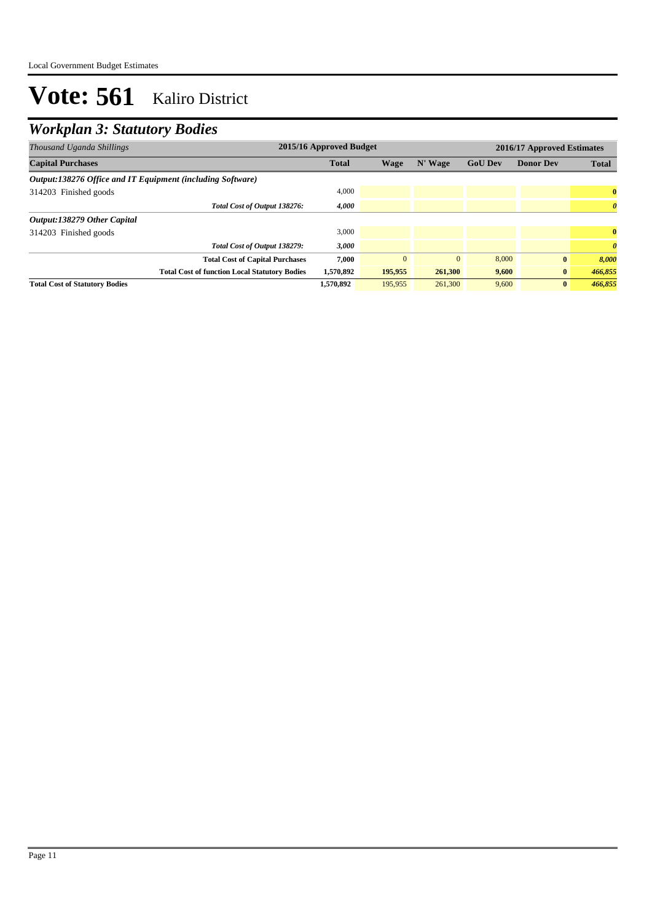## *Workplan 3: Statutory Bodies*

| Thousand Uganda Shillings                                  | 2015/16 Approved Budget |             |              |                |                  | 2016/17 Approved Estimates |  |  |  |
|------------------------------------------------------------|-------------------------|-------------|--------------|----------------|------------------|----------------------------|--|--|--|
| <b>Capital Purchases</b>                                   | <b>Total</b>            | <b>Wage</b> | N' Wage      | <b>GoU Dev</b> | <b>Donor Dev</b> | <b>Total</b>               |  |  |  |
| Output:138276 Office and IT Equipment (including Software) |                         |             |              |                |                  |                            |  |  |  |
| 314203 Finished goods                                      | 4,000                   |             |              |                |                  | $\bf{0}$                   |  |  |  |
| Total Cost of Output 138276:                               | 4,000                   |             |              |                |                  | $\boldsymbol{\theta}$      |  |  |  |
| Output:138279 Other Capital                                |                         |             |              |                |                  |                            |  |  |  |
| 314203 Finished goods                                      | 3,000                   |             |              |                |                  | $\mathbf{0}$               |  |  |  |
| Total Cost of Output 138279:                               | 3,000                   |             |              |                |                  | $\boldsymbol{\theta}$      |  |  |  |
| <b>Total Cost of Capital Purchases</b>                     | 7.000                   | $\Omega$    | $\mathbf{0}$ | 8,000          | $\bf{0}$         | 8,000                      |  |  |  |
| <b>Total Cost of function Local Statutory Bodies</b>       | 1,570,892               | 195,955     | 261,300      | 9,600          | $\bf{0}$         | 466,855                    |  |  |  |
| <b>Total Cost of Statutory Bodies</b>                      | 1,570,892               | 195,955     | 261,300      | 9,600          | $\mathbf{0}$     | 466,855                    |  |  |  |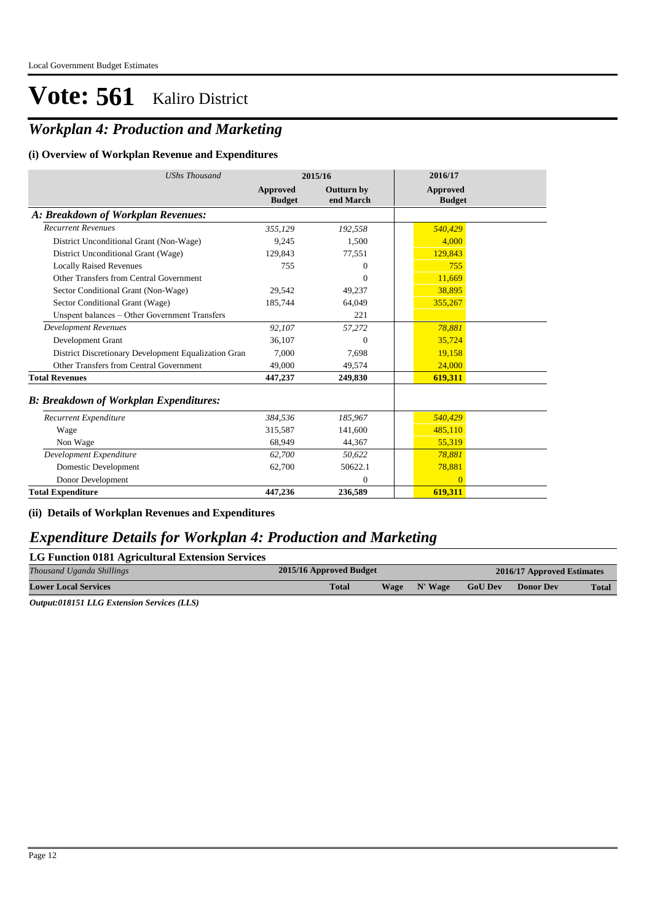## *Workplan 4: Production and Marketing*

#### **(i) Overview of Workplan Revenue and Expenditures**

| <b>UShs Thousand</b>                                 | 2015/16                          |                                | 2016/17                          |
|------------------------------------------------------|----------------------------------|--------------------------------|----------------------------------|
|                                                      | <b>Approved</b><br><b>Budget</b> | <b>Outturn by</b><br>end March | <b>Approved</b><br><b>Budget</b> |
| A: Breakdown of Workplan Revenues:                   |                                  |                                |                                  |
| <b>Recurrent Revenues</b>                            | 355,129                          | 192,558                        | 540,429                          |
| District Unconditional Grant (Non-Wage)              | 9,245                            | 1,500                          | 4.000                            |
| District Unconditional Grant (Wage)                  | 129.843                          | 77,551                         | 129.843                          |
| <b>Locally Raised Revenues</b>                       | 755                              | $\overline{0}$                 | 755                              |
| Other Transfers from Central Government              |                                  | $\Omega$                       | 11,669                           |
| Sector Conditional Grant (Non-Wage)                  | 29.542                           | 49,237                         | 38,895                           |
| Sector Conditional Grant (Wage)                      | 185,744                          | 64,049                         | 355,267                          |
| Unspent balances - Other Government Transfers        |                                  | 221                            |                                  |
| <b>Development Revenues</b>                          | 92,107                           | 57,272                         | 78.881                           |
| Development Grant                                    | 36,107                           | $\Omega$                       | 35,724                           |
| District Discretionary Development Equalization Gran | 7.000                            | 7,698                          | 19,158                           |
| Other Transfers from Central Government              | 49.000                           | 49,574                         | 24,000                           |
| <b>Total Revenues</b>                                | 447,237                          | 249,830                        | 619,311                          |
| <b>B: Breakdown of Workplan Expenditures:</b>        |                                  |                                |                                  |
| Recurrent Expenditure                                | 384,536                          | 185,967                        | 540,429                          |
| Wage                                                 | 315.587                          | 141,600                        | 485.110                          |
| Non Wage                                             | 68,949                           | 44,367                         | 55,319                           |
| Development Expenditure                              | 62,700                           | 50,622                         | 78,881                           |
| Domestic Development                                 | 62,700                           | 50622.1                        | 78,881                           |
| Donor Development                                    |                                  | $\Omega$                       | $\Omega$                         |
| <b>Total Expenditure</b>                             | 447,236                          | 236,589                        | 619,311                          |

#### **(ii) Details of Workplan Revenues and Expenditures**

### *Expenditure Details for Workplan 4: Production and Marketing*

| LG Function 0181 Agricultural Extension Services |                         |             |         |                |                            |              |
|--------------------------------------------------|-------------------------|-------------|---------|----------------|----------------------------|--------------|
| Thousand Uganda Shillings                        | 2015/16 Approved Budget |             |         |                | 2016/17 Approved Estimates |              |
| <b>Lower Local Services</b>                      | <b>Total</b>            | <b>Wage</b> | N' Wage | <b>GoU Dev</b> | <b>Donor Dev</b>           | <b>Total</b> |
|                                                  |                         |             |         |                |                            |              |

*Output:018151 LLG Extension Services (LLS)*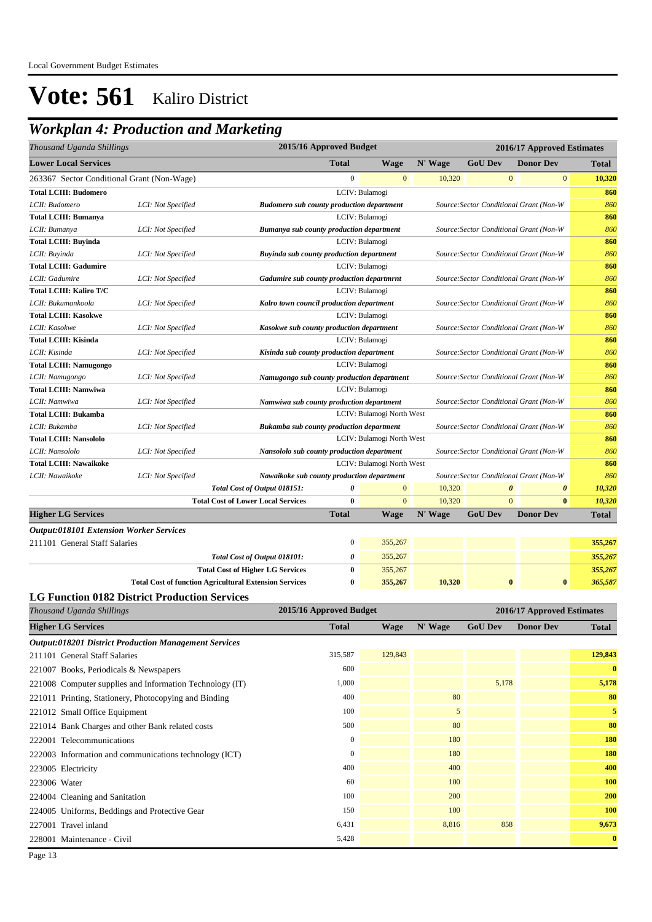## *Workplan 4: Production and Marketing*

| Thousand Uganda Shillings                      |                    |                                                               | 2015/16 Approved Budget                                                             |                           | 2016/17 Approved Estimates |                                         |                                         |              |
|------------------------------------------------|--------------------|---------------------------------------------------------------|-------------------------------------------------------------------------------------|---------------------------|----------------------------|-----------------------------------------|-----------------------------------------|--------------|
| <b>Lower Local Services</b>                    |                    |                                                               | <b>Total</b>                                                                        | <b>Wage</b>               | N' Wage                    | <b>GoU Dev</b>                          | <b>Donor Dev</b>                        | <b>Total</b> |
| 263367 Sector Conditional Grant (Non-Wage)     |                    |                                                               | $\overline{0}$                                                                      | $\mathbf{0}$              | 10,320                     | $\mathbf{0}$                            | $\mathbf{0}$                            | 10,320       |
| <b>Total LCIII: Budomero</b>                   |                    |                                                               |                                                                                     | LCIV: Bulamogi            |                            |                                         |                                         | 860          |
| LCII: Budomero                                 | LCI: Not Specified | <b>Budomero sub county production department</b>              |                                                                                     |                           |                            | Source: Sector Conditional Grant (Non-W |                                         | 860          |
| <b>Total LCIII: Bumanya</b>                    |                    |                                                               |                                                                                     | LCIV: Bulamogi            |                            |                                         |                                         | 860          |
| LCII: Bumanya                                  | LCI: Not Specified | Bumanya sub county production department                      |                                                                                     |                           |                            | Source: Sector Conditional Grant (Non-W |                                         | 860          |
| <b>Total LCIII: Buyinda</b>                    |                    |                                                               |                                                                                     | LCIV: Bulamogi            |                            |                                         |                                         | 860          |
| LCII: Buyinda                                  | LCI: Not Specified | Buyinda sub county production department                      |                                                                                     |                           |                            | Source: Sector Conditional Grant (Non-W |                                         | 860          |
| <b>Total LCIII: Gadumire</b>                   |                    |                                                               |                                                                                     | LCIV: Bulamogi            |                            |                                         |                                         | 860          |
| LCII: Gadumire                                 | LCI: Not Specified | Gadumire sub county production departmrnt                     |                                                                                     |                           |                            |                                         | Source: Sector Conditional Grant (Non-W | 860          |
| <b>Total LCIII: Kaliro T/C</b>                 |                    |                                                               |                                                                                     | LCIV: Bulamogi            |                            |                                         |                                         | 860          |
| LCII: Bukumankoola                             | LCI: Not Specified | Kalro town council production department                      |                                                                                     |                           |                            |                                         | Source: Sector Conditional Grant (Non-W | 860          |
| <b>Total LCIII: Kasokwe</b>                    |                    |                                                               | LCIV: Bulamogi                                                                      |                           |                            |                                         |                                         | 860          |
| LCII: Kasokwe                                  | LCI: Not Specified |                                                               | Kasokwe sub county production department<br>Source: Sector Conditional Grant (Non-W |                           |                            |                                         |                                         | 860          |
| <b>Total LCIII: Kisinda</b>                    |                    |                                                               | LCIV: Bulamogi                                                                      |                           |                            |                                         |                                         | 860          |
| LCII: Kisinda                                  | LCI: Not Specified |                                                               | Kisinda sub county production department<br>Source: Sector Conditional Grant (Non-W |                           |                            |                                         |                                         | 860          |
| <b>Total LCIII: Namugongo</b>                  |                    |                                                               | LCIV: Bulamogi                                                                      |                           |                            |                                         |                                         | 860          |
| LCII: Namugongo                                | LCI: Not Specified | Namugongo sub county production department                    |                                                                                     |                           |                            | Source: Sector Conditional Grant (Non-W |                                         | 860          |
| <b>Total LCIII: Namwiwa</b>                    |                    |                                                               |                                                                                     | LCIV: Bulamogi            |                            |                                         |                                         | 860          |
| LCII: Namwiwa                                  | LCI: Not Specified | Namwiwa sub county production department                      |                                                                                     |                           |                            | Source: Sector Conditional Grant (Non-W |                                         | 860          |
| <b>Total LCIII: Bukamba</b>                    |                    |                                                               |                                                                                     | LCIV: Bulamogi North West |                            |                                         |                                         | 860          |
| LCII: Bukamba                                  | LCI: Not Specified | <b>Bukamba sub county production department</b>               |                                                                                     |                           |                            | Source: Sector Conditional Grant (Non-W |                                         | 860          |
| <b>Total LCIII: Nansololo</b>                  |                    |                                                               |                                                                                     | LCIV: Bulamogi North West |                            |                                         |                                         | 860          |
| LCII: Nansololo                                | LCI: Not Specified | Nansololo sub county production department                    |                                                                                     |                           |                            |                                         | Source: Sector Conditional Grant (Non-W | 860          |
| <b>Total LCIII: Nawaikoke</b>                  |                    |                                                               |                                                                                     | LCIV: Bulamogi North West |                            |                                         |                                         | 860          |
| LCII: Nawaikoke                                | LCI: Not Specified | Nawaikoke sub county production department                    |                                                                                     |                           |                            |                                         | Source: Sector Conditional Grant (Non-W | 860          |
|                                                |                    | Total Cost of Output 018151:                                  | $\boldsymbol{\theta}$                                                               | $\mathbf{0}$              | 10,320                     | $\pmb{\theta}$                          | $\boldsymbol{\theta}$                   | 10,320       |
|                                                |                    | <b>Total Cost of Lower Local Services</b>                     | $\bf{0}$                                                                            | $\mathbf{0}$              | 10,320                     | $\mathbf{0}$                            | $\bf{0}$                                | 10,320       |
| <b>Higher LG Services</b>                      |                    |                                                               | <b>Total</b>                                                                        | Wage                      | N' Wage                    | <b>GoU Dev</b>                          | <b>Donor Dev</b>                        | <b>Total</b> |
| <b>Output:018101 Extension Worker Services</b> |                    |                                                               |                                                                                     |                           |                            |                                         |                                         |              |
| 211101 General Staff Salaries                  |                    |                                                               | $\boldsymbol{0}$                                                                    | 355,267                   |                            |                                         |                                         | 355,267      |
|                                                |                    | Total Cost of Output 018101:                                  | 0                                                                                   | 355,267                   |                            |                                         |                                         | 355,267      |
|                                                |                    | <b>Total Cost of Higher LG Services</b>                       | $\bf{0}$                                                                            | 355,267                   |                            |                                         |                                         | 355,267      |
|                                                |                    | <b>Total Cost of function Agricultural Extension Services</b> | 0                                                                                   | 355,267                   | 10,320                     | $\bf{0}$                                | $\bf{0}$                                | 365,587      |

#### **LG Function 0182 District Production Services**

| Thousand Uganda Shillings                                    | 2015/16 Approved Budget |             | 2016/17 Approved Estimates |                |                  |              |
|--------------------------------------------------------------|-------------------------|-------------|----------------------------|----------------|------------------|--------------|
| <b>Higher LG Services</b>                                    | <b>Total</b>            | <b>Wage</b> | N' Wage                    | <b>GoU Dev</b> | <b>Donor Dev</b> | Total        |
| <b>Output:018201 District Production Management Services</b> |                         |             |                            |                |                  |              |
| 211101 General Staff Salaries                                | 315,587                 | 129,843     |                            |                |                  | 129,843      |
| 221007 Books, Periodicals & Newspapers                       | 600                     |             |                            |                |                  | $\mathbf{0}$ |
| 221008 Computer supplies and Information Technology (IT)     | 1,000                   |             |                            | 5,178          |                  | 5,178        |
| 221011 Printing, Stationery, Photocopying and Binding        | 400                     |             | 80                         |                |                  | 80           |
| 221012 Small Office Equipment                                | 100                     |             | $\mathfrak{S}$             |                |                  | 5            |
| 221014 Bank Charges and other Bank related costs             | 500                     |             | 80                         |                |                  | 80           |
| 222001 Telecommunications                                    | $\mathbf{0}$            |             | 180                        |                |                  | 180          |
| 222003 Information and communications technology (ICT)       | $\boldsymbol{0}$        |             | 180                        |                |                  | 180          |
| 223005 Electricity                                           | 400                     |             | 400                        |                |                  | 400          |
| 223006 Water                                                 | 60                      |             | 100                        |                |                  | 100          |
| 224004 Cleaning and Sanitation                               | 100                     |             | 200                        |                |                  | 200          |
| 224005 Uniforms, Beddings and Protective Gear                | 150                     |             | 100                        |                |                  | 100          |
| 227001 Travel inland                                         | 6,431                   |             | 8,816                      | 858            |                  | 9,673        |
| 228001 Maintenance - Civil                                   | 5,428                   |             |                            |                |                  | $\mathbf{0}$ |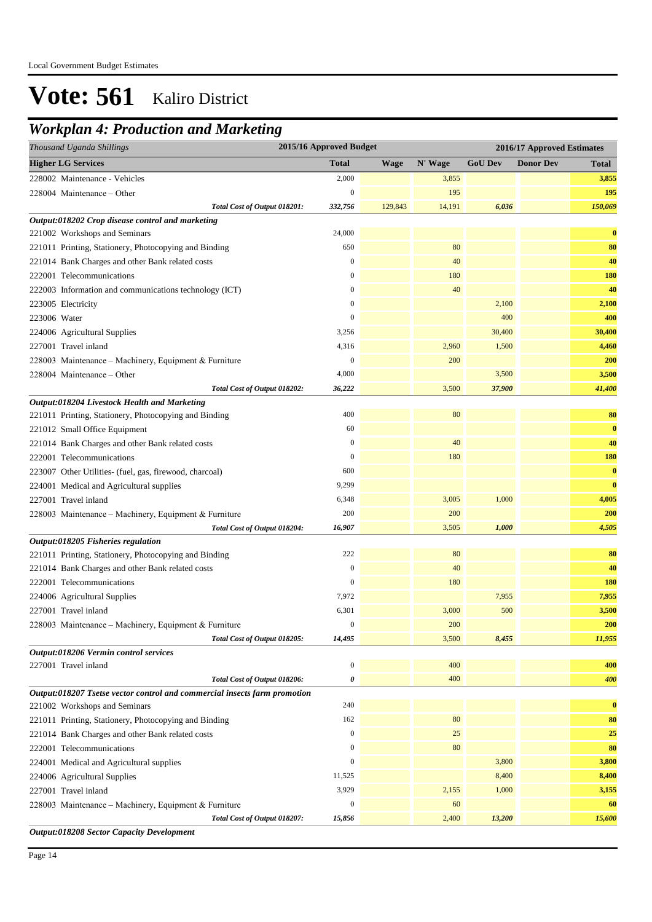## *Workplan 4: Production and Marketing*

| 2015/16 Approved Budget<br>Thousand Uganda Shillings<br>2016/17 Approved Estimates |                  |             |         |                |                  |              |
|------------------------------------------------------------------------------------|------------------|-------------|---------|----------------|------------------|--------------|
| <b>Higher LG Services</b>                                                          | <b>Total</b>     | <b>Wage</b> | N' Wage | <b>GoU Dev</b> | <b>Donor Dev</b> | <b>Total</b> |
| 228002 Maintenance - Vehicles                                                      | 2,000            |             | 3,855   |                |                  | 3,855        |
| 228004 Maintenance – Other                                                         | $\mathbf{0}$     |             | 195     |                |                  | 195          |
| Total Cost of Output 018201:                                                       | 332,756          | 129,843     | 14,191  | 6,036          |                  | 150,069      |
| Output:018202 Crop disease control and marketing                                   |                  |             |         |                |                  |              |
| 221002 Workshops and Seminars                                                      | 24,000           |             |         |                |                  | $\bf{0}$     |
| 221011 Printing, Stationery, Photocopying and Binding                              | 650              |             | 80      |                |                  | 80           |
| 221014 Bank Charges and other Bank related costs                                   | $\boldsymbol{0}$ |             | 40      |                |                  | 40           |
| 222001 Telecommunications                                                          | $\mathbf{0}$     |             | 180     |                |                  | 180          |
| 222003 Information and communications technology (ICT)                             | $\mathbf{0}$     |             | 40      |                |                  | 40           |
| 223005 Electricity                                                                 | $\mathbf{0}$     |             |         | 2,100          |                  | 2,100        |
| 223006 Water                                                                       | $\mathbf{0}$     |             |         | 400            |                  | 400          |
| 224006 Agricultural Supplies                                                       | 3,256            |             |         | 30,400         |                  | 30,400       |
| 227001 Travel inland                                                               | 4,316            |             | 2,960   | 1,500          |                  | 4,460        |
| 228003 Maintenance - Machinery, Equipment & Furniture                              | $\boldsymbol{0}$ |             | 200     |                |                  | 200          |
| 228004 Maintenance - Other                                                         | 4,000            |             |         | 3,500          |                  | 3,500        |
| Total Cost of Output 018202:                                                       | 36,222           |             | 3,500   | 37,900         |                  | 41,400       |
| Output:018204 Livestock Health and Marketing                                       |                  |             |         |                |                  |              |
| 221011 Printing, Stationery, Photocopying and Binding                              | 400              |             | 80      |                |                  | 80           |
| 221012 Small Office Equipment                                                      | 60               |             |         |                |                  | $\bf{0}$     |
| 221014 Bank Charges and other Bank related costs                                   | $\mathbf{0}$     |             | 40      |                |                  | 40           |
| 222001 Telecommunications                                                          | $\mathbf{0}$     |             | 180     |                |                  | <b>180</b>   |
| 223007 Other Utilities- (fuel, gas, firewood, charcoal)                            | 600              |             |         |                |                  | $\bf{0}$     |
| 224001 Medical and Agricultural supplies                                           | 9,299            |             |         |                |                  | $\bf{0}$     |
| 227001 Travel inland                                                               | 6,348            |             | 3,005   | 1,000          |                  | 4,005        |
| 228003 Maintenance - Machinery, Equipment & Furniture                              | 200              |             | 200     |                |                  | 200          |
| Total Cost of Output 018204:                                                       | 16,907           |             | 3,505   | 1,000          |                  | 4,505        |
| Output:018205 Fisheries regulation                                                 |                  |             |         |                |                  |              |
| 221011 Printing, Stationery, Photocopying and Binding                              | 222              |             | 80      |                |                  | 80           |
| 221014 Bank Charges and other Bank related costs                                   | $\boldsymbol{0}$ |             | 40      |                |                  | 40           |
| 222001 Telecommunications                                                          | $\boldsymbol{0}$ |             | 180     |                |                  | <b>180</b>   |
| 224006 Agricultural Supplies                                                       | 7,972            |             |         | 7,955          |                  | 7,955        |
| 227001 Travel inland                                                               | 6,301            |             | 3,000   | 500            |                  | 3,500        |
| 228003 Maintenance - Machinery, Equipment & Furniture                              | $\bf{0}$         |             | 200     |                |                  | 200          |
| Total Cost of Output 018205:                                                       | 14,495           |             | 3,500   | 8,455          |                  | 11,955       |
| Output:018206 Vermin control services                                              |                  |             |         |                |                  |              |
| 227001 Travel inland                                                               | $\boldsymbol{0}$ |             | 400     |                |                  | 400          |
| Total Cost of Output 018206:                                                       | 0                |             | 400     |                |                  | 400          |
| Output:018207 Tsetse vector control and commercial insects farm promotion          |                  |             |         |                |                  |              |
| 221002 Workshops and Seminars                                                      | 240              |             |         |                |                  | $\bf{0}$     |
| 221011 Printing, Stationery, Photocopying and Binding                              | 162              |             | 80      |                |                  | 80           |
| 221014 Bank Charges and other Bank related costs                                   | $\boldsymbol{0}$ |             | 25      |                |                  | 25           |
| 222001 Telecommunications                                                          | $\boldsymbol{0}$ |             | 80      |                |                  | 80           |
| 224001 Medical and Agricultural supplies                                           | $\boldsymbol{0}$ |             |         | 3,800          |                  | 3,800        |
| 224006 Agricultural Supplies                                                       | 11,525           |             |         | 8,400          |                  | 8,400        |
| 227001 Travel inland                                                               | 3,929            |             | 2,155   | 1,000          |                  | 3,155        |
| 228003 Maintenance - Machinery, Equipment & Furniture                              | $\boldsymbol{0}$ |             | 60      |                |                  | 60           |
| Total Cost of Output 018207:                                                       | 15,856           |             | 2,400   | 13,200         |                  | 15,600       |
| <b>Output:018208 Sector Capacity Development</b>                                   |                  |             |         |                |                  |              |

Page 14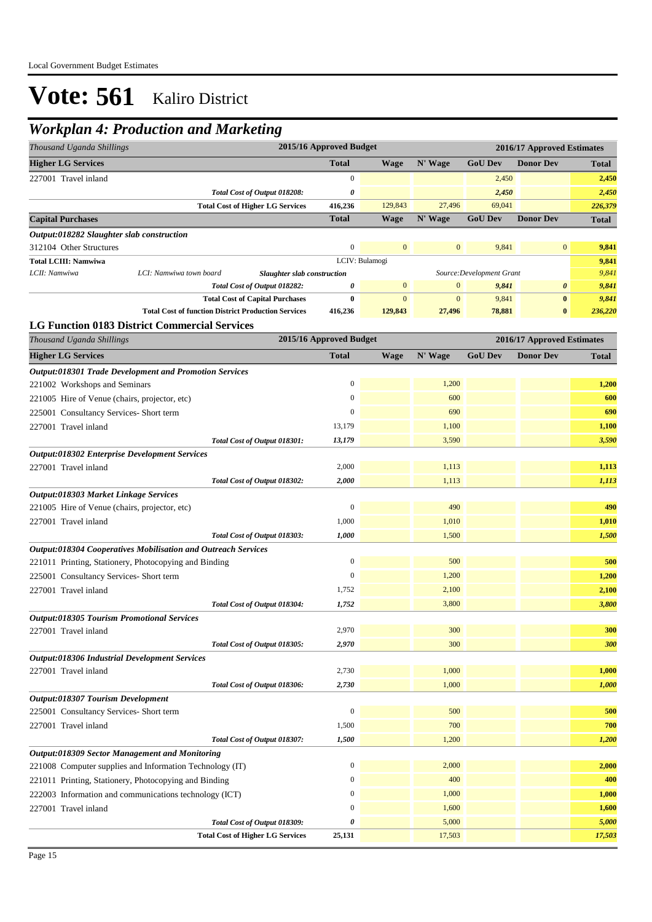## *Workplan 4: Production and Marketing*

| 2015/16 Approved Budget<br>Thousand Uganda Shillings<br>2016/17 Approved Estimates |                                                               |                         |                |                |                           |                            |              |
|------------------------------------------------------------------------------------|---------------------------------------------------------------|-------------------------|----------------|----------------|---------------------------|----------------------------|--------------|
| <b>Higher LG Services</b>                                                          |                                                               | <b>Total</b>            | <b>Wage</b>    | N' Wage        | <b>GoU Dev</b>            | <b>Donor Dev</b>           | <b>Total</b> |
| 227001 Travel inland                                                               |                                                               | $\boldsymbol{0}$        |                |                | 2,450                     |                            | 2,450        |
|                                                                                    | Total Cost of Output 018208:                                  | 0                       |                |                | 2,450                     |                            | 2,450        |
|                                                                                    | <b>Total Cost of Higher LG Services</b>                       | 416,236                 | 129,843        | 27,496         | 69,041                    |                            | 226,379      |
| <b>Capital Purchases</b>                                                           |                                                               | <b>Total</b>            | <b>Wage</b>    | N' Wage        | <b>GoU Dev</b>            | <b>Donor Dev</b>           | Total        |
| Output:018282 Slaughter slab construction                                          |                                                               |                         |                |                |                           |                            |              |
| 312104 Other Structures                                                            |                                                               | $\boldsymbol{0}$        | $\mathbf{0}$   | $\mathbf{0}$   | 9,841                     | $\bf{0}$                   | 9,841        |
| <b>Total LCIII: Namwiwa</b>                                                        |                                                               |                         | LCIV: Bulamogi |                |                           |                            | 9,841        |
| LCII: Namwiwa                                                                      | LCI: Namwiwa town board<br>Slaughter slab construction        |                         |                |                | Source: Development Grant |                            | 9,841        |
|                                                                                    | Total Cost of Output 018282:                                  | 0                       | $\mathbf{0}$   | $\mathbf{0}$   | 9,841                     | $\boldsymbol{\theta}$      | 9,841        |
|                                                                                    | <b>Total Cost of Capital Purchases</b>                        | $\bf{0}$                | $\mathbf{0}$   | $\overline{0}$ | 9,841                     | $\pmb{0}$                  | 9,841        |
|                                                                                    | <b>Total Cost of function District Production Services</b>    | 416,236                 | 129,843        | 27,496         | 78,881                    | $\bf{0}$                   | 236,220      |
|                                                                                    | <b>LG Function 0183 District Commercial Services</b>          |                         |                |                |                           |                            |              |
| Thousand Uganda Shillings                                                          |                                                               | 2015/16 Approved Budget |                |                |                           | 2016/17 Approved Estimates |              |
| <b>Higher LG Services</b>                                                          |                                                               | <b>Total</b>            | <b>Wage</b>    | N' Wage        | <b>GoU Dev</b>            | <b>Donor Dev</b>           | <b>Total</b> |
|                                                                                    | Output:018301 Trade Development and Promotion Services        |                         |                |                |                           |                            |              |
| 221002 Workshops and Seminars                                                      |                                                               | $\boldsymbol{0}$        |                | 1,200          |                           |                            | 1,200        |
| 221005 Hire of Venue (chairs, projector, etc)                                      |                                                               | $\boldsymbol{0}$        |                | 600            |                           |                            | 600          |
| 225001 Consultancy Services- Short term                                            |                                                               | $\boldsymbol{0}$        |                | 690            |                           |                            | 690          |
| 227001 Travel inland                                                               |                                                               | 13,179                  |                | 1,100          |                           |                            | 1,100        |
|                                                                                    | Total Cost of Output 018301:                                  | 13,179                  |                | 3,590          |                           |                            | 3,590        |
| <b>Output:018302 Enterprise Development Services</b>                               |                                                               |                         |                |                |                           |                            |              |
| 227001 Travel inland                                                               |                                                               | 2,000                   |                | 1,113          |                           |                            | 1,113        |
|                                                                                    | Total Cost of Output 018302:                                  | 2,000                   |                | 1,113          |                           |                            | 1,113        |
| Output:018303 Market Linkage Services                                              |                                                               |                         |                |                |                           |                            |              |
| 221005 Hire of Venue (chairs, projector, etc)                                      |                                                               | $\mathbf{0}$            |                | 490            |                           |                            | 490          |
| 227001 Travel inland                                                               |                                                               | 1,000                   |                | 1,010          |                           |                            | 1,010        |
|                                                                                    | Total Cost of Output 018303:                                  | 1,000                   |                | 1,500          |                           |                            | 1,500        |
|                                                                                    | Output:018304 Cooperatives Mobilisation and Outreach Services |                         |                |                |                           |                            |              |
|                                                                                    | 221011 Printing, Stationery, Photocopying and Binding         | $\mathbf{0}$            |                | 500            |                           |                            | 500          |
| 225001 Consultancy Services- Short term                                            |                                                               | $\boldsymbol{0}$        |                | 1,200          |                           |                            | 1,200        |
| 227001 Travel inland                                                               |                                                               | 1,752                   |                | 2,100          |                           |                            | 2,100        |
|                                                                                    | Total Cost of Output 018304:                                  | 1,752                   |                | 3,800          |                           |                            | 3,800        |
| <b>Output:018305 Tourism Promotional Services</b>                                  |                                                               |                         |                |                |                           |                            |              |
| 227001 Travel inland                                                               |                                                               | 2,970                   |                | 300            |                           |                            | 300          |
|                                                                                    | Total Cost of Output 018305:                                  | 2,970                   |                | 300            |                           |                            | 300          |
| Output:018306 Industrial Development Services                                      |                                                               |                         |                |                |                           |                            |              |
| 227001 Travel inland                                                               |                                                               | 2,730                   |                | 1,000          |                           |                            | 1,000        |
|                                                                                    | Total Cost of Output 018306:                                  | 2,730                   |                | 1,000          |                           |                            | 1,000        |
| Output:018307 Tourism Development                                                  |                                                               |                         |                |                |                           |                            |              |
| 225001 Consultancy Services- Short term                                            |                                                               | $\boldsymbol{0}$        |                | 500            |                           |                            | 500          |
| 227001 Travel inland                                                               |                                                               | 1,500                   |                | 700            |                           |                            | 700          |
|                                                                                    | Total Cost of Output 018307:                                  | 1,500                   |                | 1,200          |                           |                            | 1,200        |
| Output:018309 Sector Management and Monitoring                                     |                                                               |                         |                |                |                           |                            |              |
|                                                                                    | 221008 Computer supplies and Information Technology (IT)      | $\boldsymbol{0}$        |                | 2,000          |                           |                            | 2,000        |
|                                                                                    | 221011 Printing, Stationery, Photocopying and Binding         | $\boldsymbol{0}$        |                | 400            |                           |                            | 400          |
|                                                                                    | 222003 Information and communications technology (ICT)        | $\boldsymbol{0}$        |                | 1,000          |                           |                            | 1,000        |
| 227001 Travel inland                                                               |                                                               | $\mathbf{0}$            |                | 1,600          |                           |                            | 1,600        |
|                                                                                    | Total Cost of Output 018309:                                  | 0                       |                | 5,000          |                           |                            | 5,000        |
|                                                                                    | <b>Total Cost of Higher LG Services</b>                       | 25,131                  |                | 17,503         |                           |                            | 17,503       |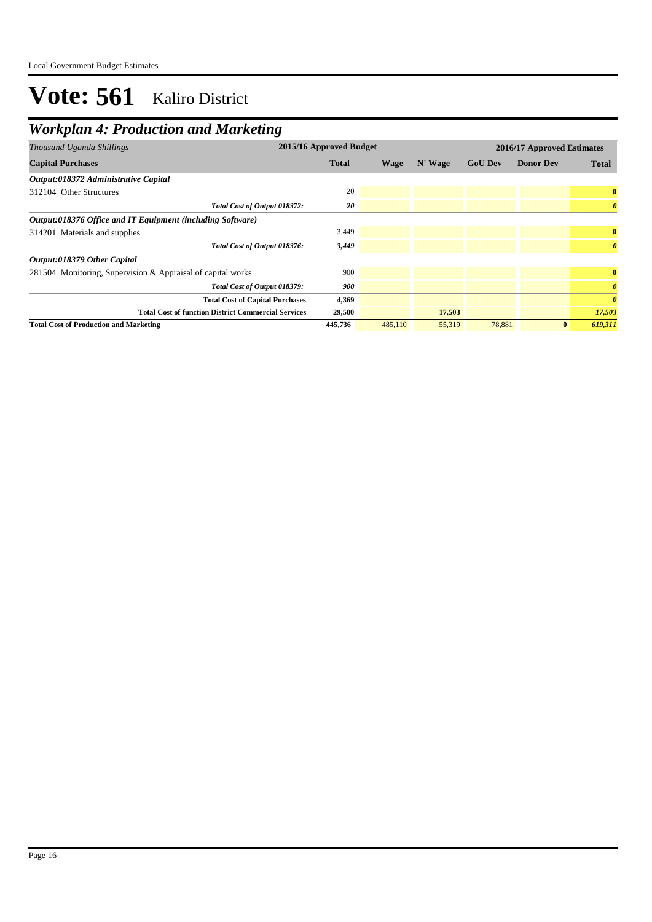## *Workplan 4: Production and Marketing*

| Thousand Uganda Shillings                                   | 2015/16 Approved Budget |         |         |                | 2016/17 Approved Estimates |                       |  |  |
|-------------------------------------------------------------|-------------------------|---------|---------|----------------|----------------------------|-----------------------|--|--|
| <b>Capital Purchases</b>                                    | <b>Total</b>            | Wage    | N' Wage | <b>GoU Dev</b> | <b>Donor Dev</b>           | <b>Total</b>          |  |  |
| Output:018372 Administrative Capital                        |                         |         |         |                |                            |                       |  |  |
| 312104 Other Structures                                     | 20                      |         |         |                |                            | $\bf{0}$              |  |  |
| Total Cost of Output 018372:                                | 20                      |         |         |                |                            | $\boldsymbol{\theta}$ |  |  |
| Output:018376 Office and IT Equipment (including Software)  |                         |         |         |                |                            |                       |  |  |
| 314201 Materials and supplies                               | 3,449                   |         |         |                |                            | $\bf{0}$              |  |  |
| Total Cost of Output 018376:                                | 3,449                   |         |         |                |                            | $\boldsymbol{\theta}$ |  |  |
| Output:018379 Other Capital                                 |                         |         |         |                |                            |                       |  |  |
| 281504 Monitoring, Supervision & Appraisal of capital works | 900                     |         |         |                |                            | $\bf{0}$              |  |  |
| Total Cost of Output 018379:                                | 900                     |         |         |                |                            | $\boldsymbol{\theta}$ |  |  |
| <b>Total Cost of Capital Purchases</b>                      | 4,369                   |         |         |                |                            | $\boldsymbol{\theta}$ |  |  |
| <b>Total Cost of function District Commercial Services</b>  | 29,500                  |         | 17,503  |                |                            | 17,503                |  |  |
| <b>Total Cost of Production and Marketing</b>               | 445,736                 | 485,110 | 55,319  | 78,881         | $\bf{0}$                   | 619,311               |  |  |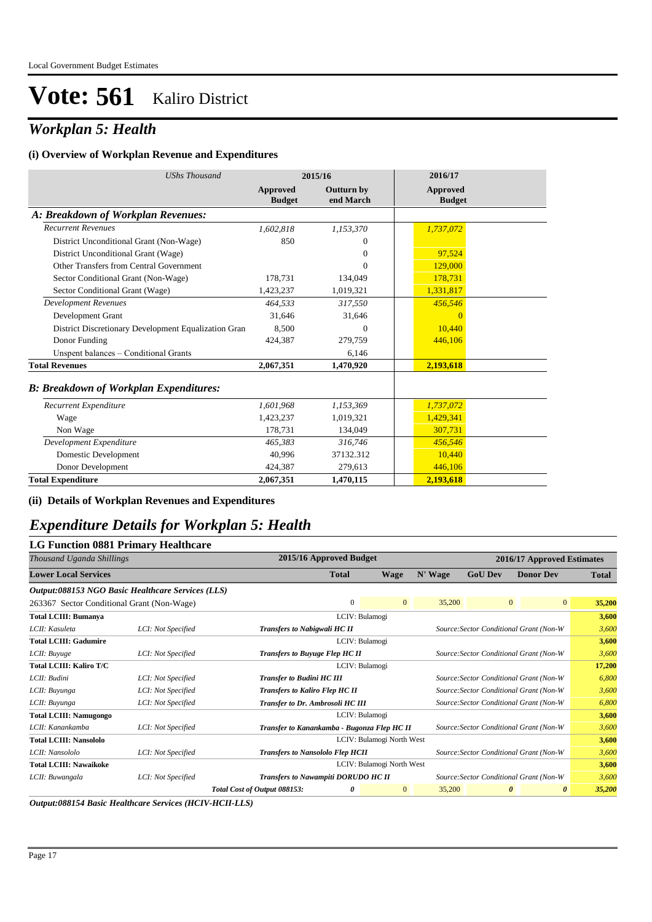## *Workplan 5: Health*

#### **(i) Overview of Workplan Revenue and Expenditures**

| <b>UShs Thousand</b>                                 | 2015/16                   |                                | 2016/17                   |
|------------------------------------------------------|---------------------------|--------------------------------|---------------------------|
|                                                      | Approved<br><b>Budget</b> | <b>Outturn by</b><br>end March | Approved<br><b>Budget</b> |
| A: Breakdown of Workplan Revenues:                   |                           |                                |                           |
| <b>Recurrent Revenues</b>                            | 1,602,818                 | 1,153,370                      | 1,737,072                 |
| District Unconditional Grant (Non-Wage)              | 850                       | $\Omega$                       |                           |
| District Unconditional Grant (Wage)                  |                           | $\overline{0}$                 | 97.524                    |
| Other Transfers from Central Government              |                           | $\Omega$                       | 129,000                   |
| Sector Conditional Grant (Non-Wage)                  | 178,731                   | 134,049                        | 178.731                   |
| Sector Conditional Grant (Wage)                      | 1,423,237                 | 1,019,321                      | 1,331,817                 |
| <b>Development Revenues</b>                          | 464.533                   | 317.550                        | 456,546                   |
| Development Grant                                    | 31.646                    | 31,646                         | $\Omega$                  |
| District Discretionary Development Equalization Gran | 8.500                     | $\overline{0}$                 | 10.440                    |
| Donor Funding                                        | 424,387                   | 279.759                        | 446.106                   |
| Unspent balances - Conditional Grants                |                           | 6,146                          |                           |
| <b>Total Revenues</b>                                | 2,067,351                 | 1,470,920                      | 2,193,618                 |
| <b>B: Breakdown of Workplan Expenditures:</b>        |                           |                                |                           |
| Recurrent Expenditure                                | 1,601,968                 | 1,153,369                      | 1,737,072                 |
| Wage                                                 | 1,423,237                 | 1.019.321                      | 1,429,341                 |
| Non Wage                                             | 178,731                   | 134,049                        | 307,731                   |
| Development Expenditure                              | 465.383                   | 316.746                        | 456,546                   |
| Domestic Development                                 | 40.996                    | 37132.312                      | 10.440                    |
| Donor Development                                    | 424,387                   | 279,613                        | 446,106                   |
| <b>Total Expenditure</b>                             | 2,067,351                 | 1,470,115                      | 2,193,618                 |

### **(ii) Details of Workplan Revenues and Expenditures**

### *Expenditure Details for Workplan 5: Health*

### **LG Function 0881 Primary Healthcare**

| Thousand Uganda Shillings                         |                    | 2015/16 Approved Budget                     |                                                                                  |                           |         |                | 2016/17 Approved Estimates                     |              |
|---------------------------------------------------|--------------------|---------------------------------------------|----------------------------------------------------------------------------------|---------------------------|---------|----------------|------------------------------------------------|--------------|
| <b>Lower Local Services</b>                       |                    |                                             | <b>Total</b>                                                                     | <b>Wage</b>               | N' Wage | <b>GoU Dev</b> | <b>Donor Dev</b>                               | <b>Total</b> |
| Output:088153 NGO Basic Healthcare Services (LLS) |                    |                                             |                                                                                  |                           |         |                |                                                |              |
| 263367 Sector Conditional Grant (Non-Wage)        |                    |                                             | $\mathbf{0}$                                                                     | $\overline{0}$            | 35,200  |                | $\mathbf{0}$<br>$\overline{0}$                 | 35,200       |
| <b>Total LCIII: Bumanya</b>                       |                    |                                             | LCIV: Bulamogi                                                                   |                           |         |                |                                                | 3,600        |
| LCII: Kasuleta                                    | LCI: Not Specified | <b>Transfers to Nabigwali HC II</b>         |                                                                                  |                           |         |                | Source: Sector Conditional Grant (Non-W        | 3,600        |
| <b>Total LCIII: Gadumire</b>                      |                    |                                             | LCIV: Bulamogi                                                                   |                           |         |                |                                                | 3,600        |
| LCII: Buyuge                                      | LCI: Not Specified |                                             | <b>Transfers to Buyuge Flep HC II</b><br>Source: Sector Conditional Grant (Non-W |                           |         |                |                                                |              |
| Total LCIII: Kaliro T/C                           |                    |                                             | LCIV: Bulamogi                                                                   |                           |         |                |                                                | 17,200       |
| LCII: Budini                                      | LCI: Not Specified |                                             | Source: Sector Conditional Grant (Non-W<br><b>Transfer to Budini HC III</b>      |                           |         |                |                                                | 6,800        |
| LCII: Buyunga                                     | LCI: Not Specified | <b>Transfers to Kaliro Flep HC II</b>       |                                                                                  |                           |         |                | Source: Sector Conditional Grant (Non-W        | 3,600        |
| LCII: Buyunga                                     | LCI: Not Specified | Transfer to Dr. Ambrosoli HC III            |                                                                                  |                           |         |                | Source: Sector Conditional Grant (Non-W        | 6,800        |
| <b>Total LCIII: Namugongo</b>                     |                    |                                             | LCIV: Bulamogi                                                                   |                           |         |                |                                                | 3,600        |
| LCII: Kanankamba                                  | LCI: Not Specified | Transfer to Kanankamba - Bugonza Flep HC II |                                                                                  |                           |         |                | Source: Sector Conditional Grant (Non-W        | 3,600        |
| <b>Total LCIII: Nansololo</b>                     |                    |                                             |                                                                                  | LCIV: Bulamogi North West |         |                |                                                | 3,600        |
| LCII: Nansololo                                   | LCI: Not Specified | <b>Transfers to Nansololo Flep HCII</b>     |                                                                                  |                           |         |                | Source: Sector Conditional Grant (Non-W        | 3,600        |
| <b>Total LCIII: Nawaikoke</b>                     |                    |                                             |                                                                                  | LCIV: Bulamogi North West |         |                |                                                | 3,600        |
| LCII: Buwangala                                   | LCI: Not Specified | Transfers to Nawampiti DORUDO HC II         |                                                                                  |                           |         |                | Source: Sector Conditional Grant (Non-W        | 3,600        |
|                                                   |                    | Total Cost of Output 088153:                | 0                                                                                | $\mathbf{0}$              | 35,200  |                | $\boldsymbol{\theta}$<br>$\boldsymbol{\theta}$ | 35,200       |

*Output:088154 Basic Healthcare Services (HCIV-HCII-LLS)*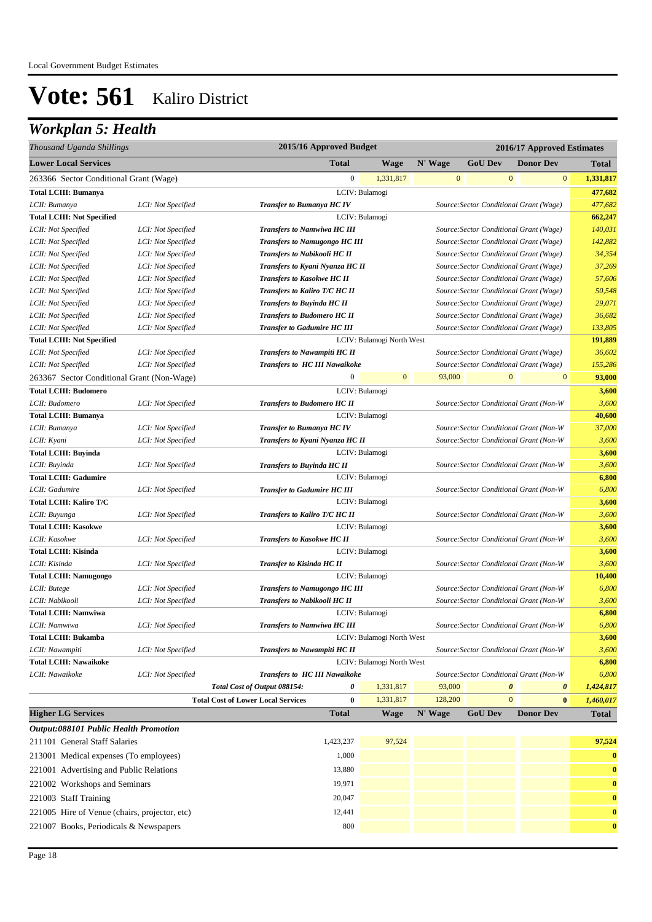## *Workplan 5: Health*

| Thousand Uganda Shillings                           |                    | 2015/16 Approved Budget                               |                                                           |              |                                         |                  | 2016/17 Approved Estimates |                |  |
|-----------------------------------------------------|--------------------|-------------------------------------------------------|-----------------------------------------------------------|--------------|-----------------------------------------|------------------|----------------------------|----------------|--|
| <b>Lower Local Services</b>                         |                    | <b>Total</b>                                          | <b>Wage</b>                                               | N' Wage      | <b>GoU Dev</b>                          |                  | <b>Donor Dev</b>           | <b>Total</b>   |  |
| 263366 Sector Conditional Grant (Wage)              |                    | $\boldsymbol{0}$                                      | 1,331,817                                                 | $\mathbf{0}$ |                                         | $\mathbf{0}$     | $\boldsymbol{0}$           | 1,331,817      |  |
| <b>Total LCIII: Bumanya</b>                         |                    |                                                       | LCIV: Bulamogi                                            |              |                                         |                  |                            | 477,682        |  |
| LCII: Bumanya                                       | LCI: Not Specified | <b>Transfer to Bumanya HC IV</b>                      |                                                           |              | Source: Sector Conditional Grant (Wage) |                  |                            | 477,682        |  |
| <b>Total LCIII: Not Specified</b>                   |                    |                                                       | LCIV: Bulamogi                                            |              |                                         |                  |                            | 662,247        |  |
| LCII: Not Specified                                 | LCI: Not Specified | <b>Transfers to Namwiwa HC III</b>                    |                                                           |              | Source: Sector Conditional Grant (Wage) |                  |                            | 140,031        |  |
| LCII: Not Specified                                 | LCI: Not Specified | <b>Transfers to Namugongo HC III</b>                  |                                                           |              | Source: Sector Conditional Grant (Wage) |                  |                            | 142,882        |  |
| LCII: Not Specified                                 | LCI: Not Specified | <b>Transfers to Nabikooli HC II</b>                   |                                                           |              | Source: Sector Conditional Grant (Wage) |                  |                            | 34,354         |  |
| LCII: Not Specified                                 | LCI: Not Specified | Transfers to Kyani Nyanza HC II                       |                                                           |              | Source: Sector Conditional Grant (Wage) |                  |                            | 37,269         |  |
| LCII: Not Specified                                 | LCI: Not Specified | <b>Transfers to Kasokwe HC II</b>                     |                                                           |              | Source: Sector Conditional Grant (Wage) |                  |                            | 57,606         |  |
| LCII: Not Specified                                 | LCI: Not Specified | Transfers to Kaliro T/C HC II                         |                                                           |              | Source: Sector Conditional Grant (Wage) |                  |                            | 50,548         |  |
| LCII: Not Specified                                 | LCI: Not Specified | <b>Transfers to Buyinda HC II</b>                     |                                                           |              | Source: Sector Conditional Grant (Wage) |                  |                            | 29,071         |  |
| LCII: Not Specified                                 | LCI: Not Specified | <b>Transfers to Budomero HC II</b>                    |                                                           |              | Source: Sector Conditional Grant (Wage) |                  |                            | 36,682         |  |
| LCII: Not Specified                                 | LCI: Not Specified | <b>Transfer to Gadumire HC III</b>                    |                                                           |              | Source: Sector Conditional Grant (Wage) |                  |                            | 133,805        |  |
| <b>Total LCIII: Not Specified</b>                   |                    |                                                       | LCIV: Bulamogi North West                                 |              |                                         |                  |                            | 191,889        |  |
| LCII: Not Specified                                 | LCI: Not Specified | <b>Transfers to Nawampiti HC II</b>                   |                                                           |              | Source: Sector Conditional Grant (Wage) |                  |                            | 36,602         |  |
| LCII: Not Specified                                 | LCI: Not Specified | <b>Transfers to HC III Nawaikoke</b>                  |                                                           |              | Source: Sector Conditional Grant (Wage) |                  |                            | 155,286        |  |
| 263367 Sector Conditional Grant (Non-Wage)          |                    | $\boldsymbol{0}$                                      | $\bf{0}$                                                  | 93,000       |                                         | $\boldsymbol{0}$ | $\boldsymbol{0}$           | 93,000         |  |
| <b>Total LCIII: Budomero</b>                        |                    |                                                       | LCIV: Bulamogi                                            |              |                                         |                  |                            | 3,600          |  |
| LCII: Budomero                                      | LCI: Not Specified | <b>Transfers to Budomero HC II</b>                    |                                                           |              | Source: Sector Conditional Grant (Non-W |                  |                            | 3,600          |  |
| <b>Total LCIII: Bumanya</b>                         |                    |                                                       | LCIV: Bulamogi                                            |              |                                         |                  |                            | 40,600         |  |
| LCII: Bumanya                                       | LCI: Not Specified | Transfer to Bumanya HC IV                             |                                                           |              | Source: Sector Conditional Grant (Non-W |                  |                            | 37,000         |  |
| LCII: Kyani                                         | LCI: Not Specified | Transfers to Kyani Nyanza HC II                       |                                                           |              | Source: Sector Conditional Grant (Non-W |                  |                            | 3,600          |  |
| <b>Total LCIII: Buyinda</b>                         |                    |                                                       | LCIV: Bulamogi                                            |              |                                         |                  |                            | 3,600          |  |
| LCII: Buyinda<br><b>Total LCIII: Gadumire</b>       | LCI: Not Specified | Transfers to Buyinda HC II                            | LCIV: Bulamogi                                            |              | Source: Sector Conditional Grant (Non-W |                  |                            | 3,600<br>6,800 |  |
| LCII: Gadumire                                      | LCI: Not Specified | <b>Transfer to Gadumire HC III</b>                    |                                                           |              |                                         |                  |                            | 6,800          |  |
| Total LCIII: Kaliro T/C                             |                    |                                                       | Source: Sector Conditional Grant (Non-W<br>LCIV: Bulamogi |              |                                         |                  |                            | 3,600          |  |
| LCII: Buyunga                                       | LCI: Not Specified | Transfers to Kaliro T/C HC II                         |                                                           |              | Source: Sector Conditional Grant (Non-W |                  |                            | 3,600          |  |
| <b>Total LCIII: Kasokwe</b>                         |                    |                                                       | LCIV: Bulamogi                                            |              |                                         |                  |                            | 3,600          |  |
| LCII: Kasokwe                                       | LCI: Not Specified | <b>Transfers to Kasokwe HC II</b>                     |                                                           |              | Source: Sector Conditional Grant (Non-W |                  |                            | 3,600          |  |
| <b>Total LCIII: Kisinda</b>                         |                    |                                                       | LCIV: Bulamogi                                            |              |                                         |                  |                            | 3,600          |  |
| LCII: Kisinda                                       | LCI: Not Specified | <b>Transfer to Kisinda HC II</b>                      |                                                           |              | Source: Sector Conditional Grant (Non-W |                  |                            | 3,600          |  |
| <b>Total LCIII: Namugongo</b>                       |                    |                                                       | LCIV: Bulamogi                                            |              |                                         |                  |                            | 10,400         |  |
| LCII: Butege                                        | LCI: Not Specified | <b>Transfers to Namugongo HC III</b>                  |                                                           |              | Source: Sector Conditional Grant (Non-W |                  |                            | 6,800          |  |
| LCII: Nabikooli                                     | LCI: Not Specified | Transfers to Nabikooli HC II                          |                                                           |              | Source: Sector Conditional Grant (Non-W |                  |                            | 3,600          |  |
| <b>Total LCIII: Namwiwa</b>                         |                    |                                                       | LCIV: Bulamogi                                            |              |                                         |                  |                            | 6,800          |  |
| LCII: Namwiwa                                       | LCI: Not Specified | <b>Transfers to Namwiwa HC III</b>                    |                                                           |              | Source: Sector Conditional Grant (Non-W |                  |                            | 6,800          |  |
| <b>Total LCIII: Bukamba</b>                         |                    |                                                       | LCIV: Bulamogi North West                                 |              |                                         |                  |                            | 3,600          |  |
| LCII: Nawampiti                                     | LCI: Not Specified | <b>Transfers to Nawampiti HC II</b>                   |                                                           |              | Source: Sector Conditional Grant (Non-W |                  |                            | 3,600          |  |
| <b>Total LCIII: Nawaikoke</b>                       |                    |                                                       | LCIV: Bulamogi North West                                 |              |                                         |                  |                            | 6,800          |  |
| LCII: Nawaikoke                                     | LCI: Not Specified | Transfers to HC III Nawaikoke                         |                                                           |              | Source: Sector Conditional Grant (Non-W |                  |                            | 6,800          |  |
|                                                     |                    | 0<br>Total Cost of Output 088154:                     | 1,331,817                                                 | 93,000       |                                         | $\pmb{\theta}$   | $\pmb{\theta}$             | 1,424,817      |  |
|                                                     |                    | $\bf{0}$<br><b>Total Cost of Lower Local Services</b> | 1,331,817                                                 | 128,200      |                                         | $\mathbf{0}$     | $\bf{0}$                   | 1,460,017      |  |
| <b>Higher LG Services</b>                           |                    | <b>Total</b>                                          | <b>Wage</b>                                               | N' Wage      | <b>GoU Dev</b>                          |                  | <b>Donor Dev</b>           | <b>Total</b>   |  |
| <i><b>Output:088101 Public Health Promotion</b></i> |                    |                                                       |                                                           |              |                                         |                  |                            |                |  |
| 211101 General Staff Salaries                       |                    | 1,423,237                                             | 97,524                                                    |              |                                         |                  |                            | 97,524         |  |
| 213001 Medical expenses (To employees)              |                    | 1,000                                                 |                                                           |              |                                         |                  |                            | $\bf{0}$       |  |
| 221001 Advertising and Public Relations             |                    | 13,880                                                |                                                           |              |                                         |                  |                            | $\bf{0}$       |  |
| 221002 Workshops and Seminars                       |                    | 19,971                                                |                                                           |              |                                         |                  |                            | $\bf{0}$       |  |
| 221003 Staff Training                               |                    | 20,047                                                |                                                           |              |                                         |                  |                            | $\bf{0}$       |  |
| 221005 Hire of Venue (chairs, projector, etc)       |                    | 12,441                                                |                                                           |              |                                         |                  |                            | $\bf{0}$       |  |
| 221007 Books, Periodicals & Newspapers              |                    | 800                                                   |                                                           |              |                                         |                  |                            | $\bf{0}$       |  |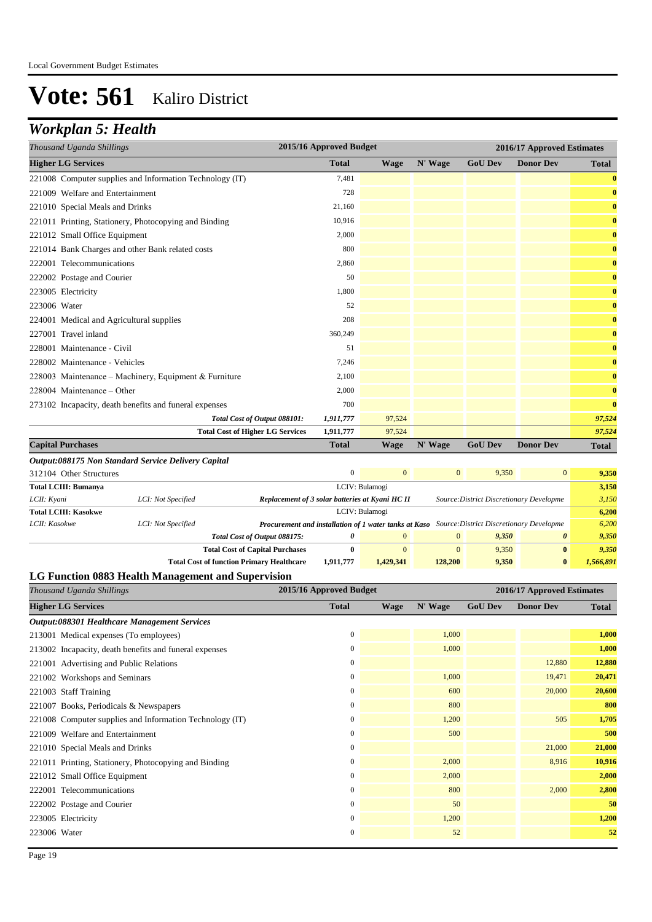## *Workplan 5: Health*

| 2015/16 Approved Budget<br>Thousand Uganda Shillings     |              |             |         | 2016/17 Approved Estimates |                  |              |  |
|----------------------------------------------------------|--------------|-------------|---------|----------------------------|------------------|--------------|--|
| <b>Higher LG Services</b>                                | <b>Total</b> | <b>Wage</b> | N' Wage | <b>GoU Dev</b>             | <b>Donor Dev</b> | <b>Total</b> |  |
| 221008 Computer supplies and Information Technology (IT) | 7,481        |             |         |                            |                  | $\bf{0}$     |  |
| 221009 Welfare and Entertainment                         | 728          |             |         |                            |                  | $\bf{0}$     |  |
| 221010 Special Meals and Drinks                          | 21,160       |             |         |                            |                  | $\bf{0}$     |  |
| 221011 Printing, Stationery, Photocopying and Binding    | 10,916       |             |         |                            |                  | $\bf{0}$     |  |
| 221012 Small Office Equipment                            | 2,000        |             |         |                            |                  | $\bf{0}$     |  |
| 221014 Bank Charges and other Bank related costs         | 800          |             |         |                            |                  | $\bf{0}$     |  |
| 222001 Telecommunications                                | 2,860        |             |         |                            |                  | $\bf{0}$     |  |
| 222002 Postage and Courier                               | 50           |             |         |                            |                  | $\bf{0}$     |  |
| 223005 Electricity                                       | 1,800        |             |         |                            |                  | $\bf{0}$     |  |
| 223006 Water                                             | 52           |             |         |                            |                  | $\bf{0}$     |  |
| 224001 Medical and Agricultural supplies                 | 208          |             |         |                            |                  | $\bf{0}$     |  |
| 227001 Travel inland                                     | 360,249      |             |         |                            |                  | $\bf{0}$     |  |
| 228001 Maintenance - Civil                               | 51           |             |         |                            |                  | $\bf{0}$     |  |
| 228002 Maintenance - Vehicles                            | 7,246        |             |         |                            |                  | $\bf{0}$     |  |
| 228003 Maintenance - Machinery, Equipment & Furniture    | 2,100        |             |         |                            |                  | $\bf{0}$     |  |
| 228004 Maintenance – Other                               | 2,000        |             |         |                            |                  | $\bf{0}$     |  |
| 273102 Incapacity, death benefits and funeral expenses   | 700          |             |         |                            |                  | $\bf{0}$     |  |
| Total Cost of Output 088101:                             | 1,911,777    | 97,524      |         |                            |                  | 97,524       |  |
| <b>Total Cost of Higher LG Services</b>                  | 1,911,777    | 97,524      |         |                            |                  | 97,524       |  |
| <b>Capital Purchases</b>                                 | <b>Total</b> | <b>Wage</b> | N' Wage | <b>GoU Dev</b>             | <b>Donor Dev</b> | <b>Total</b> |  |

| Output:088175 Non Standard Service Delivery Capital       |                    |                                                                                                       |                                                                                             |                |                |       |                       |           |  |  |
|-----------------------------------------------------------|--------------------|-------------------------------------------------------------------------------------------------------|---------------------------------------------------------------------------------------------|----------------|----------------|-------|-----------------------|-----------|--|--|
| $\mathbf{0}$<br>312104 Other Structures<br>$\overline{0}$ |                    |                                                                                                       |                                                                                             |                |                | 9,350 | $\overline{0}$        | 9,350     |  |  |
| <b>Total LCIII: Bumanya</b>                               | LCIV: Bulamogi     |                                                                                                       |                                                                                             |                |                |       | 3,150                 |           |  |  |
| LCII: Kvani                                               | LCI: Not Specified |                                                                                                       | Replacement of 3 solar batteries at Kyani HC II<br>Source: District Discretionary Developme |                |                |       |                       |           |  |  |
| <b>Total LCIII: Kasokwe</b>                               |                    | LCIV: Bulamogi                                                                                        |                                                                                             |                |                |       |                       | 6,200     |  |  |
| LCII: Kasokwe                                             | LCI: Not Specified | <b>Procurement and installation of 1 water tanks at Kaso</b> Source: District Discretionary Developme |                                                                                             |                |                |       |                       | 6.200     |  |  |
|                                                           |                    | Total Cost of Output 088175:                                                                          | 0                                                                                           | $\overline{0}$ | $\overline{0}$ | 9,350 | $\boldsymbol{\theta}$ | 9,350     |  |  |
|                                                           |                    | <b>Total Cost of Capital Purchases</b>                                                                | 0                                                                                           | $\mathbf{0}$   | $\overline{0}$ | 9.350 | $\bf{0}$              | 9.350     |  |  |
|                                                           |                    | <b>Total Cost of function Primary Healthcare</b>                                                      | 1,911,777                                                                                   | 1.429.341      | 128,200        | 9,350 | $\mathbf{0}$          | 1,566,891 |  |  |

### **LG Function 0883 Health Management and Supervision**

| Thousand Uganda Shillings                                | 2015/16 Approved Budget |             |         | 2016/17 Approved Estimates |                  |              |
|----------------------------------------------------------|-------------------------|-------------|---------|----------------------------|------------------|--------------|
| <b>Higher LG Services</b>                                | <b>Total</b>            | <b>Wage</b> | N' Wage | <b>GoU Dev</b>             | <b>Donor Dev</b> | <b>Total</b> |
| Output:088301 Healthcare Management Services             |                         |             |         |                            |                  |              |
| 213001 Medical expenses (To employees)                   | $\mathbf{0}$            |             | 1,000   |                            |                  | 1,000        |
| 213002 Incapacity, death benefits and funeral expenses   | $\mathbf{0}$            |             | 1,000   |                            |                  | 1,000        |
| 221001 Advertising and Public Relations                  | $\overline{0}$          |             |         |                            | 12,880           | 12,880       |
| 221002 Workshops and Seminars                            | $\overline{0}$          |             | 1,000   |                            | 19,471           | 20,471       |
| 221003 Staff Training                                    | $\mathbf{0}$            |             | 600     |                            | 20,000           | 20,600       |
| 221007 Books, Periodicals & Newspapers                   | $\mathbf{0}$            |             | 800     |                            |                  | 800          |
| 221008 Computer supplies and Information Technology (IT) | $\mathbf{0}$            |             | 1,200   |                            | 505              | 1,705        |
| 221009 Welfare and Entertainment                         | $\overline{0}$          |             | 500     |                            |                  | 500          |
| 221010 Special Meals and Drinks                          | $\boldsymbol{0}$        |             |         |                            | 21,000           | 21,000       |
| 221011 Printing, Stationery, Photocopying and Binding    | $\overline{0}$          |             | 2,000   |                            | 8,916            | 10,916       |
| 221012 Small Office Equipment                            | $\overline{0}$          |             | 2,000   |                            |                  | 2,000        |
| 222001 Telecommunications                                | $\overline{0}$          |             | 800     |                            | 2,000            | 2,800        |
| 222002 Postage and Courier                               | $\overline{0}$          |             | 50      |                            |                  | 50           |
| 223005 Electricity                                       | $\mathbf{0}$            |             | 1,200   |                            |                  | 1,200        |
| 223006 Water                                             | $\boldsymbol{0}$        |             | 52      |                            |                  | 52           |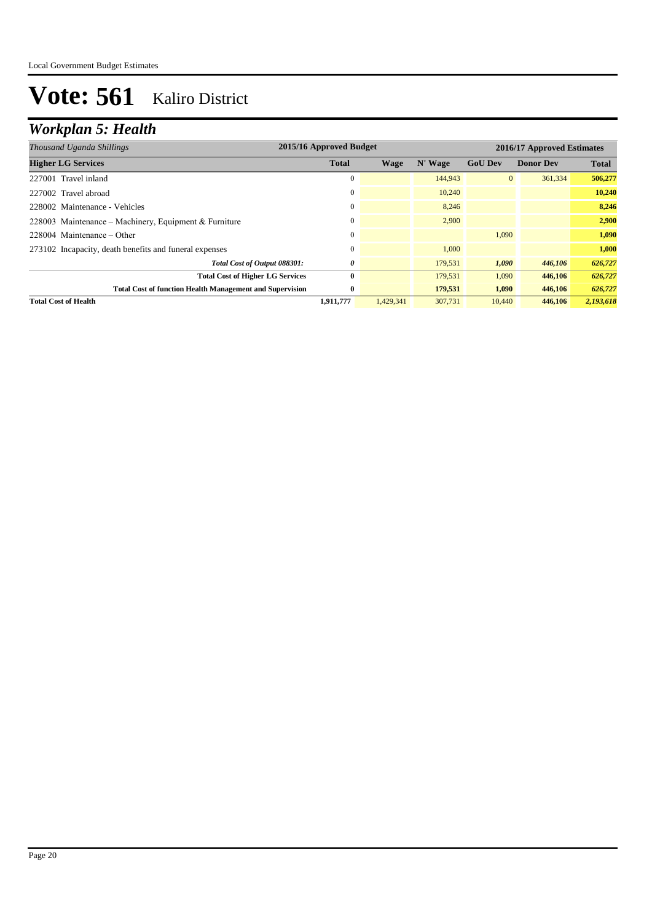## *Workplan 5: Health*

| Thousand Uganda Shillings                                       | 2015/16 Approved Budget<br>2016/17 Approved Estimates |           |         |                |                  |              |
|-----------------------------------------------------------------|-------------------------------------------------------|-----------|---------|----------------|------------------|--------------|
| <b>Higher LG Services</b>                                       | <b>Total</b>                                          | Wage      | N' Wage | <b>GoU Dev</b> | <b>Donor Dev</b> | <b>Total</b> |
| 227001 Travel inland                                            | $\theta$                                              |           | 144,943 | $\overline{0}$ | 361,334          | 506,277      |
| 227002 Travel abroad                                            | 0                                                     |           | 10,240  |                |                  | 10,240       |
| 228002 Maintenance - Vehicles                                   | $\Omega$                                              |           | 8,246   |                |                  | 8,246        |
| 228003 Maintenance - Machinery, Equipment & Furniture           | $\Omega$                                              |           | 2.900   |                |                  | 2,900        |
| $228004$ Maintenance – Other                                    | $\Omega$                                              |           |         | 1,090          |                  | 1,090        |
| 273102 Incapacity, death benefits and funeral expenses          | $\mathbf{0}$                                          |           | 1.000   |                |                  | 1,000        |
| Total Cost of Output 088301:                                    | 0                                                     |           | 179,531 | 1,090          | 446,106          | 626,727      |
| <b>Total Cost of Higher LG Services</b>                         | 0                                                     |           | 179,531 | 1,090          | 446,106          | 626,727      |
| <b>Total Cost of function Health Management and Supervision</b> | $\bf{0}$                                              |           | 179,531 | 1,090          | 446,106          | 626,727      |
| <b>Total Cost of Health</b>                                     | 1,911,777                                             | 1,429,341 | 307,731 | 10,440         | 446,106          | 2,193,618    |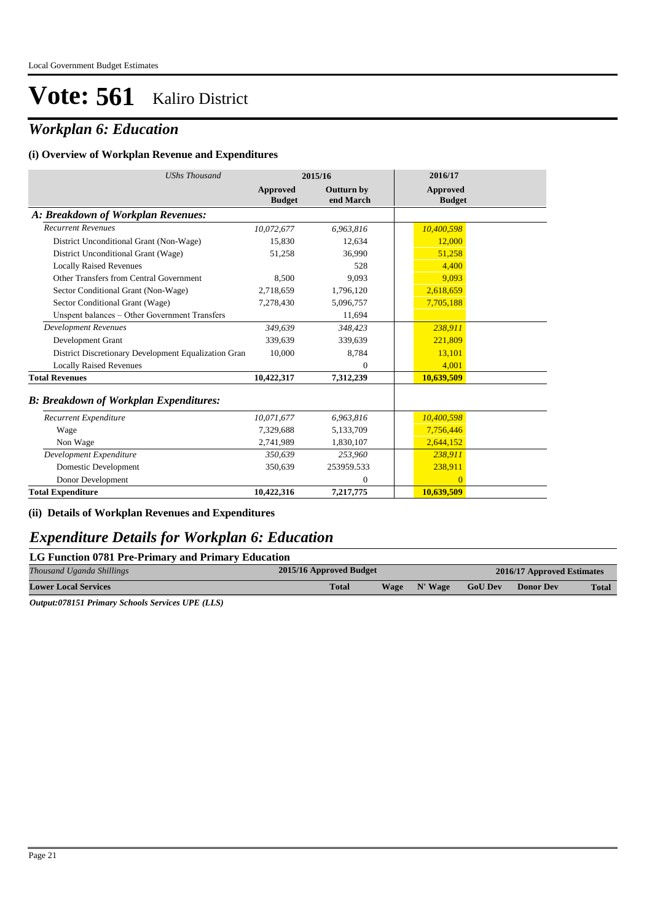## *Workplan 6: Education*

#### **(i) Overview of Workplan Revenue and Expenditures**

| <b>UShs Thousand</b>                                 |                                  | 2015/16                        | 2016/17                          |
|------------------------------------------------------|----------------------------------|--------------------------------|----------------------------------|
|                                                      | <b>Approved</b><br><b>Budget</b> | <b>Outturn by</b><br>end March | <b>Approved</b><br><b>Budget</b> |
| A: Breakdown of Workplan Revenues:                   |                                  |                                |                                  |
| <b>Recurrent Revenues</b>                            | 10,072,677                       | 6,963,816                      | 10,400,598                       |
| District Unconditional Grant (Non-Wage)              | 15,830                           | 12.634                         | 12,000                           |
| District Unconditional Grant (Wage)                  | 51,258                           | 36,990                         | 51,258                           |
| <b>Locally Raised Revenues</b>                       |                                  | 528                            | 4,400                            |
| Other Transfers from Central Government              | 8,500                            | 9,093                          | 9,093                            |
| Sector Conditional Grant (Non-Wage)                  | 2,718,659                        | 1,796,120                      | 2,618,659                        |
| Sector Conditional Grant (Wage)                      | 7,278,430                        | 5,096,757                      | 7,705,188                        |
| Unspent balances - Other Government Transfers        |                                  | 11,694                         |                                  |
| <b>Development Revenues</b>                          | 349.639                          | 348,423                        | 238,911                          |
| Development Grant                                    | 339.639                          | 339,639                        | 221,809                          |
| District Discretionary Development Equalization Gran | 10,000                           | 8,784                          | 13,101                           |
| <b>Locally Raised Revenues</b>                       |                                  | $\mathbf{0}$                   | 4,001                            |
| <b>Total Revenues</b>                                | 10,422,317                       | 7,312,239                      | 10,639,509                       |
| <b>B: Breakdown of Workplan Expenditures:</b>        |                                  |                                |                                  |
| Recurrent Expenditure                                | 10,071,677                       | 6,963,816                      | 10,400,598                       |
| Wage                                                 | 7.329.688                        | 5,133,709                      | 7,756,446                        |
| Non Wage                                             | 2,741,989                        | 1,830,107                      | 2,644,152                        |
| Development Expenditure                              | 350,639                          | 253,960                        | 238,911                          |
| Domestic Development                                 | 350,639                          | 253959.533                     | 238,911                          |
| Donor Development                                    |                                  | $\boldsymbol{0}$               | $\Omega$                         |
| <b>Total Expenditure</b>                             | 10,422,316                       | 7,217,775                      | 10,639,509                       |

### **(ii) Details of Workplan Revenues and Expenditures**

### *Expenditure Details for Workplan 6: Education*

| LG Function 0781 Pre-Primary and Primary Education |                             |                            |                |           |              |  |  |  |  |  |
|----------------------------------------------------|-----------------------------|----------------------------|----------------|-----------|--------------|--|--|--|--|--|
| Thousand Uganda Shillings                          | 2015/16 Approved Budget     | 2016/17 Approved Estimates |                |           |              |  |  |  |  |  |
| <b>Lower Local Services</b>                        | <b>Total</b><br><b>Wage</b> | $N'$ Wage                  | <b>GoU Dev</b> | Donor Dev | <b>Total</b> |  |  |  |  |  |

*Output:078151 Primary Schools Services UPE (LLS)*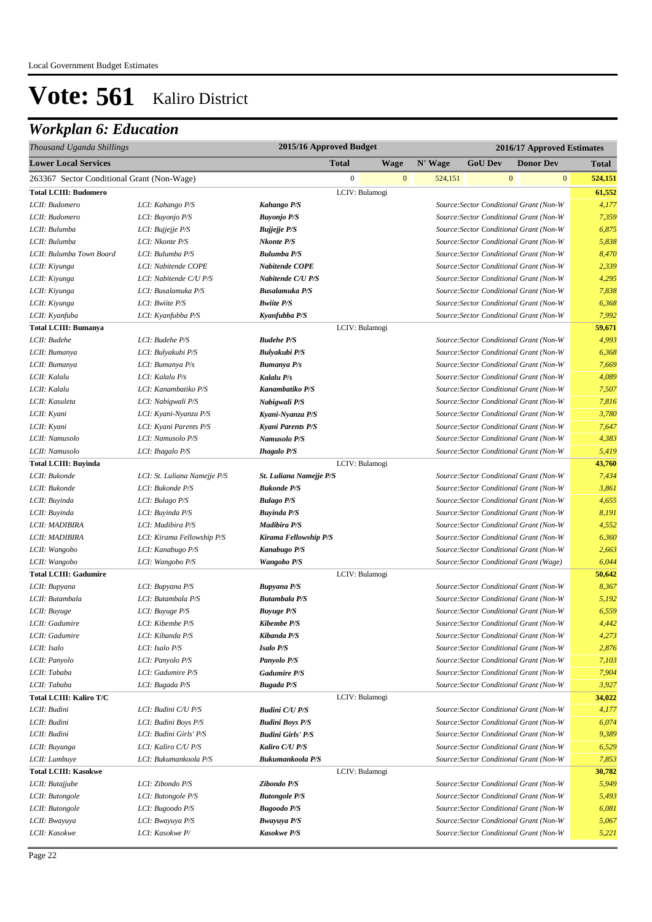## *Workplan 6: Education*

| Thousand Uganda Shillings                  |                              | 2015/16 Approved Budget<br>2016/17 Approved Estimates |                |              |         |                |                                         |                         |
|--------------------------------------------|------------------------------|-------------------------------------------------------|----------------|--------------|---------|----------------|-----------------------------------------|-------------------------|
| <b>Lower Local Services</b>                |                              |                                                       | <b>Total</b>   | <b>Wage</b>  | N' Wage | <b>GoU Dev</b> | <b>Donor Dev</b>                        | <b>Total</b>            |
| 263367 Sector Conditional Grant (Non-Wage) |                              |                                                       | $\mathbf{0}$   | $\mathbf{0}$ | 524,151 |                | $\mathbf{0}$                            | $\mathbf{0}$<br>524,151 |
| <b>Total LCIII: Budomero</b>               |                              |                                                       | LCIV: Bulamogi |              |         |                |                                         | 61,552                  |
| LCII: Budomero                             | LCI: Kahango P/S             | Kahango P/S                                           |                |              |         |                | Source: Sector Conditional Grant (Non-W | 4,177                   |
| LCII: Budomero                             | LCI: Buyonjo P/S             | <b>Buyonjo P/S</b>                                    |                |              |         |                | Source: Sector Conditional Grant (Non-W | 7,359                   |
| LCII: Bulumba                              | LCI: Bujjejje P/S            | <b>Bujjejje P/S</b>                                   |                |              |         |                | Source: Sector Conditional Grant (Non-W | 6,875                   |
| LCII: Bulumba                              | LCI: Nkonte P/S              | <b>Nkonte P/S</b>                                     |                |              |         |                | Source: Sector Conditional Grant (Non-W | 5,838                   |
| LCII: Bulumba Town Board                   | LCI: Bulumba P/S             | <b>Bulumba P/S</b>                                    |                |              |         |                | Source: Sector Conditional Grant (Non-W | 8,470                   |
| LCII: Kiyunga                              | LCI: Nabitende COPE          | Nabitende COPE                                        |                |              |         |                | Source: Sector Conditional Grant (Non-W | 2,339                   |
| LCII: Kiyunga                              | LCI: Nabitende C/U P/S       | Nabitende C/U P/S                                     |                |              |         |                | Source: Sector Conditional Grant (Non-W | 4,295                   |
| LCII: Kiyunga                              | LCI: Busalamuka P/S          | <b>Busalamuka P/S</b>                                 |                |              |         |                | Source: Sector Conditional Grant (Non-W | 7,838                   |
| LCII: Kiyunga                              | LCI: Bwiite P/S              | <b>Bwiite P/S</b>                                     |                |              |         |                | Source: Sector Conditional Grant (Non-W | 6,368                   |
| LCII: Kyanfuba                             | LCI: Kyanfubba P/S           | Kyanfubba P/S                                         |                |              |         |                | Source: Sector Conditional Grant (Non-W | 7,992                   |
| <b>Total LCIII: Bumanya</b>                |                              |                                                       | LCIV: Bulamogi |              |         |                |                                         | 59,671                  |
| LCII: Budehe                               | LCI: Budehe P/S              | <b>Budehe P/S</b>                                     |                |              |         |                | Source: Sector Conditional Grant (Non-W | 4,993                   |
| LCII: Bumanya                              | LCI: Bulyakubi P/S           | <b>Bulyakubi P/S</b>                                  |                |              |         |                | Source: Sector Conditional Grant (Non-W | 6,368                   |
| LCII: Bumanya                              | LCI: Bumanya P/s             | <b>Bumanya P/s</b>                                    |                |              |         |                | Source: Sector Conditional Grant (Non-W | 7,669                   |
| LCII: Kalalu                               | LCI: Kalalu P/s              | Kalalu P/s                                            |                |              |         |                | Source: Sector Conditional Grant (Non-W | 4,089                   |
| LCII: Kalalu                               | LCI: Kanambatiko P/S         | Kanambatiko P/S                                       |                |              |         |                | Source: Sector Conditional Grant (Non-W | 7,507                   |
| LCII: Kasuleta                             | LCI: Nabigwali P/S           | Nabigwali P/S                                         |                |              |         |                | Source: Sector Conditional Grant (Non-W | 7,816                   |
| LCII: Kyani                                | LCI: Kyani-Nyanza P/S        | Kyani-Nyanza P/S                                      |                |              |         |                | Source: Sector Conditional Grant (Non-W | 3,780                   |
| LCII: Kyani                                | LCI: Kyani Parents P/S       | Kyani Parents P/S                                     |                |              |         |                | Source: Sector Conditional Grant (Non-W | 7,647                   |
| LCII: Namusolo                             | LCI: Namusolo P/S            | Namusolo P/S                                          |                |              |         |                | Source: Sector Conditional Grant (Non-W | 4,383                   |
| LCII: Namusolo                             | LCI: Ihagalo P/S             | <b>Ihagalo P/S</b>                                    |                |              |         |                | Source: Sector Conditional Grant (Non-W | 5,419                   |
| <b>Total LCIII: Buyinda</b>                |                              |                                                       | LCIV: Bulamogi |              |         |                |                                         | 43,760                  |
| LCII: Bukonde                              | LCI: St. Luliana Namejje P/S | St. Luliana Namejje P/S                               |                |              |         |                | Source: Sector Conditional Grant (Non-W | 7,434                   |
| LCII: Bukonde                              | LCI: Bukonde P/S             | <b>Bukonde P/S</b>                                    |                |              |         |                | Source: Sector Conditional Grant (Non-W | 3,861                   |
| LCII: Buyinda                              | LCI: Bulago P/S              | <b>Bulago P/S</b>                                     |                |              |         |                | Source: Sector Conditional Grant (Non-W | 4,655                   |
| LCII: Buyinda                              | LCI: Buyinda P/S             | <b>Buyinda P/S</b>                                    |                |              |         |                | Source: Sector Conditional Grant (Non-W | 8,191                   |
| LCII: MADIBIRA                             | LCI: Madibira P/S            | Madibira P/S                                          |                |              |         |                | Source: Sector Conditional Grant (Non-W | 4,552                   |
| LCII: MADIBIRA                             | LCI: Kirama Fellowship P/S   | Kirama Fellowship P/S                                 |                |              |         |                | Source: Sector Conditional Grant (Non-W | 6,360                   |
| LCII: Wangobo                              | LCI: Kanabugo P/S            | Kanabugo P/S                                          |                |              |         |                | Source: Sector Conditional Grant (Non-W | 2,663                   |
| LCII: Wangobo                              | LCI: Wangobo P/S             | Wangobo P/S                                           |                |              |         |                | Source: Sector Conditional Grant (Wage) | 6,044                   |
| <b>Total LCIII: Gadumire</b>               |                              |                                                       | LCIV: Bulamogi |              |         |                |                                         | 50,642                  |
| LCII: Bupyana                              | LCI: Bupyana P/S             | <b>Bupyana P/S</b>                                    |                |              |         |                | Source: Sector Conditional Grant (Non-W | 8,367                   |
| LCII: Butambala                            | LCI: Butambala P/S           | <b>Butambala P/S</b>                                  |                |              |         |                | Source: Sector Conditional Grant (Non-W | 5,192                   |
| LCII: Buyuge                               | LCI: Buyuge P/S              | <b>Buyuge P/S</b>                                     |                |              |         |                | Source: Sector Conditional Grant (Non-W | 6,559                   |
| LCII: Gadumire                             | LCI: Kibembe P/S             | <b>Kibembe P/S</b>                                    |                |              |         |                | Source: Sector Conditional Grant (Non-W | 4,442                   |
| LCII: Gadumire                             | LCI: Kibanda P/S             | Kibanda P/S                                           |                |              |         |                | Source: Sector Conditional Grant (Non-W | 4,273                   |
| LCII: Isalo                                | LCI: Isalo P/S               | <b>Isalo P/S</b>                                      |                |              |         |                | Source: Sector Conditional Grant (Non-W | 2,876                   |
| LCII: Panyolo                              | LCI: Panyolo P/S             | Panyolo P/S                                           |                |              |         |                | Source: Sector Conditional Grant (Non-W | 7,103                   |
| LCII: Tababa                               | LCI: Gadumire P/S            | <b>Gadumire P/S</b>                                   |                |              |         |                | Source: Sector Conditional Grant (Non-W | 7,904                   |
| LCII: Tababa                               | LCI: Bugada P/S              | <b>Bugada P/S</b>                                     |                |              |         |                | Source: Sector Conditional Grant (Non-W | 3,927                   |
| <b>Total LCIII: Kaliro T/C</b>             |                              |                                                       | LCIV: Bulamogi |              |         |                |                                         | 34,022                  |
| LCII: Budini                               | LCI: Budini C/U P/S          | <b>Budini C/U P/S</b>                                 |                |              |         |                | Source: Sector Conditional Grant (Non-W | 4,177                   |
| LCII: Budini                               | LCI: Budini Boys P/S         | <b>Budini Boys P/S</b>                                |                |              |         |                | Source: Sector Conditional Grant (Non-W | 6,074                   |
| LCII: Budini                               | LCI: Budini Girls' P/S       | <b>Budini Girls' P/S</b>                              |                |              |         |                | Source: Sector Conditional Grant (Non-W | 9,389                   |
| LCII: Buyunga                              | LCI: Kaliro C/U P/S          | Kaliro C/U P/S                                        |                |              |         |                | Source: Sector Conditional Grant (Non-W | 6,529                   |
| LCII: Lumbuye                              | LCI: Bukumankoola P/S        | Bukumankoola P/S                                      |                |              |         |                | Source: Sector Conditional Grant (Non-W | 7,853                   |
| <b>Total LCIII: Kasokwe</b>                |                              |                                                       | LCIV: Bulamogi |              |         |                |                                         | 30,782                  |
| LCII: Butajjube                            | LCI: Zibondo P/S             | Zibondo P/S                                           |                |              |         |                | Source: Sector Conditional Grant (Non-W | 5,949                   |
| LCII: Butongole                            | LCI: Butongole P/S           | <b>Butongole P/S</b>                                  |                |              |         |                | Source: Sector Conditional Grant (Non-W | 5,493                   |
| LCII: Butongole                            | LCI: Bugoodo P/S             | <b>Bugoodo P/S</b>                                    |                |              |         |                | Source: Sector Conditional Grant (Non-W | 6,081                   |
| LCII: Bwayuya                              | LCI: Bwayuya P/S             | <b>Bwayuya P/S</b>                                    |                |              |         |                | Source: Sector Conditional Grant (Non-W | 5,067                   |
| LCII: Kasokwe                              | LCI: Kasokwe P/              | <b>Kasokwe P/S</b>                                    |                |              |         |                | Source: Sector Conditional Grant (Non-W | 5,221                   |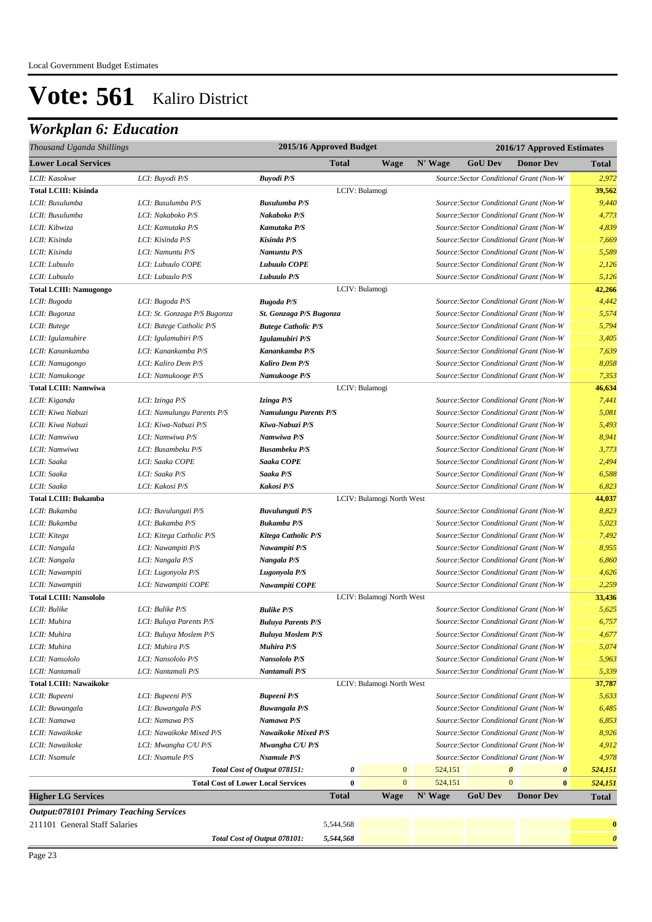## *Workplan 6: Education*

| Thousand Uganda Shillings                      |                              |                                           |              | 2015/16 Approved Budget<br>2016/17 Approved Estimates |         |                |                                                |                       |
|------------------------------------------------|------------------------------|-------------------------------------------|--------------|-------------------------------------------------------|---------|----------------|------------------------------------------------|-----------------------|
| <b>Lower Local Services</b>                    |                              |                                           | <b>Total</b> | Wage                                                  | N' Wage | <b>GoU Dev</b> | <b>Donor Dev</b>                               | <b>Total</b>          |
| LCII: Kasokwe                                  | LCI: Buyodi P/S              | <b>Buyodi P/S</b>                         |              |                                                       |         |                | Source: Sector Conditional Grant (Non-W        | 2,972                 |
| <b>Total LCIII: Kisinda</b>                    |                              |                                           |              | LCIV: Bulamogi                                        |         |                |                                                | 39,562                |
| LCII: Busulumba                                | LCI: Busulumba P/S           | <b>Busulumba P/S</b>                      |              |                                                       |         |                | Source: Sector Conditional Grant (Non-W        | 9,440                 |
| LCII: Busulumba                                | LCI: Nakaboko P/S            | Nakaboko P/S                              |              |                                                       |         |                | Source: Sector Conditional Grant (Non-W        | 4,773                 |
| LCII: Kibwiza                                  | LCI: Kamutaka P/S            | Kamutaka P/S                              |              |                                                       |         |                | Source: Sector Conditional Grant (Non-W        | 4,839                 |
| LCII: Kisinda                                  | LCI: Kisinda P/S             | Kisinda P/S                               |              |                                                       |         |                | Source: Sector Conditional Grant (Non-W        | 7,669                 |
| LCII: Kisinda                                  | LCI: Namuntu P/S             | Namuntu P/S                               |              |                                                       |         |                | Source: Sector Conditional Grant (Non-W        | 5,589                 |
| LCII: Lubuulo                                  | LCI: Lubuulo COPE            | <b>Lubuulo COPE</b>                       |              |                                                       |         |                | Source: Sector Conditional Grant (Non-W        | 2,126                 |
| LCII: Lubuulo                                  | LCI: Lubuulo P/S             | Lubuulo P/S                               |              |                                                       |         |                | Source: Sector Conditional Grant (Non-W        | 5,126                 |
| <b>Total LCIII: Namugongo</b>                  |                              |                                           |              | LCIV: Bulamogi                                        |         |                |                                                | 42,266                |
| LCII: Bugoda                                   | LCI: Bugoda P/S              | <b>Bugoda P/S</b>                         |              |                                                       |         |                | Source: Sector Conditional Grant (Non-W        | 4,442                 |
| LCII: Bugonza                                  | LCI: St. Gonzaga P/S Bugonza | St. Gonzaga P/S Bugonza                   |              |                                                       |         |                | Source: Sector Conditional Grant (Non-W        | 5,574                 |
| LCII: Butege                                   | LCI: Butege Catholic P/S     | <b>Butege Catholic P/S</b>                |              |                                                       |         |                | Source: Sector Conditional Grant (Non-W        | 5,794                 |
| LCII: Igulamubire                              | LCI: Igulamubiri P/S         | Igulamubiri P/S                           |              |                                                       |         |                | Source: Sector Conditional Grant (Non-W        | 3,405                 |
| LCII: Kanankamba                               | LCI: Kanankamba P/S          | Kanankamba P/S                            |              |                                                       |         |                | Source: Sector Conditional Grant (Non-W        | 7,639                 |
| LCII: Namugongo                                | LCI: Kaliro Dem P/S          | <b>Kaliro Dem P/S</b>                     |              |                                                       |         |                | Source: Sector Conditional Grant (Non-W        | 8,058                 |
| LCII: Namukooge                                | LCI: Namukooge P/S           | Namukooge P/S                             |              |                                                       |         |                | Source: Sector Conditional Grant (Non-W        | 7,353                 |
| <b>Total LCIII: Namwiwa</b>                    |                              |                                           |              | LCIV: Bulamogi                                        |         |                |                                                | 46,634                |
| LCII: Kiganda                                  | LCI: Izinga P/S              | Izinga P/S                                |              |                                                       |         |                | Source: Sector Conditional Grant (Non-W        | 7,441                 |
| LCII: Kiwa Nabuzi                              | LCI: Namulungu Parents P/S   | <b>Namulungu Parents P/S</b>              |              |                                                       |         |                | Source: Sector Conditional Grant (Non-W        | 5,081                 |
| LCII: Kiwa Nabuzi                              | LCI: Kiwa-Nabuzi P/S         | Kiwa-Nabuzi P/S                           |              |                                                       |         |                | Source: Sector Conditional Grant (Non-W        | 5,493                 |
| LCII: Namwiwa                                  | LCI: Namwiwa P/S             | Namwiwa P/S                               |              |                                                       |         |                | Source: Sector Conditional Grant (Non-W        | 8,941                 |
| LCII: Namwiwa                                  | LCI: Busambeku P/S           | <b>Busambeku P/S</b>                      |              |                                                       |         |                | Source: Sector Conditional Grant (Non-W        | 3,773                 |
| LCII: Saaka                                    | LCI: Saaka COPE              | Saaka COPE                                |              |                                                       |         |                | Source: Sector Conditional Grant (Non-W        | 2,494                 |
| LCII: Saaka                                    | LCI: Saaka P/S               | Saaka P/S                                 |              |                                                       |         |                | Source: Sector Conditional Grant (Non-W        | 6,588                 |
| LCII: Saaka                                    | LCI: Kakosi P/S              | Kakosi P/S                                |              |                                                       |         |                | Source: Sector Conditional Grant (Non-W        | 6,823                 |
| <b>Total LCIII: Bukamba</b>                    |                              |                                           |              | LCIV: Bulamogi North West                             |         |                |                                                | 44,037                |
| LCII: Bukamba                                  | LCI: Buvulunguti P/S         | Buvulunguti P/S                           |              |                                                       |         |                | Source: Sector Conditional Grant (Non-W        | 8,823                 |
| LCII: Bukamba                                  | LCI: Bukamba P/S             | <b>Bukamba P/S</b>                        |              |                                                       |         |                | Source: Sector Conditional Grant (Non-W        | 5,023                 |
| LCII: Kitega                                   | LCI: Kitega Catholic P/S     | Kitega Catholic P/S                       |              |                                                       |         |                | Source: Sector Conditional Grant (Non-W        | 7,492                 |
| LCII: Nangala                                  | LCI: Nawampiti P/S           | Nawampiti P/S                             |              |                                                       |         |                | Source: Sector Conditional Grant (Non-W        | 8,955                 |
| LCII: Nangala                                  | LCI: Nangala P/S             | Nangala P/S                               |              |                                                       |         |                | Source: Sector Conditional Grant (Non-W        | 6,860                 |
| LCII: Nawampiti                                | LCI: Lugonyola P/S           | Lugonyola P/S                             |              |                                                       |         |                | Source: Sector Conditional Grant (Non-W        | 4,626                 |
| LCII: Nawampiti                                | LCI: Nawampiti COPE          | Nawampiti COPE                            |              |                                                       |         |                | Source: Sector Conditional Grant (Non-W        | 2,259                 |
| <b>Total LCIII: Nansololo</b>                  |                              |                                           |              | LCIV: Bulamogi North West                             |         |                |                                                | 33,436                |
| LCII: Bulike                                   | LCI: Bulike P/S              | <b>Bulike P/S</b>                         |              |                                                       |         |                | Source: Sector Conditional Grant (Non-W        | 5,625                 |
| LCII: Muhira                                   | LCI: Buluya Parents P/S      | <b>Buluya Parents P/S</b>                 |              |                                                       |         |                | Source: Sector Conditional Grant (Non-W        | 6,757                 |
| LCII: Muhira                                   | LCI: Buluya Moslem P/S       | <b>Buluya Moslem P/S</b>                  |              |                                                       |         |                | Source: Sector Conditional Grant (Non-W        | 4,677                 |
| LCII: Muhira                                   | LCI: Muhira P/S              | Muhira P/S                                |              |                                                       |         |                | Source: Sector Conditional Grant (Non-W        | 5,074                 |
| LCII: Nansololo                                | LCI: Nansololo P/S           | Nansololo P/S                             |              |                                                       |         |                | Source: Sector Conditional Grant (Non-W        | 5,963                 |
| LCII: Nantamali                                | LCI: Nantamali P/S           | Nantamali P/S                             |              |                                                       |         |                | Source: Sector Conditional Grant (Non-W        | 5,339                 |
| <b>Total LCIII: Nawaikoke</b>                  |                              |                                           |              | LCIV: Bulamogi North West                             |         |                |                                                | 37,787                |
| LCII: Bupeeni                                  | LCI: Bupeeni P/S             | <b>Bupeeni P/S</b>                        |              |                                                       |         |                | Source: Sector Conditional Grant (Non-W        | 5,633                 |
| LCII: Buwangala                                | LCI: Buwangala P/S           | <b>Buwangala P/S</b>                      |              |                                                       |         |                | Source: Sector Conditional Grant (Non-W        | 6,485                 |
| LCII: Namawa                                   | LCI: Namawa P/S              | Namawa P/S                                |              |                                                       |         |                | Source: Sector Conditional Grant (Non-W        | 6,853                 |
| LCII: Nawaikoke                                | LCI: Nawaikoke Mixed P/S     | Nawaikoke Mixed P/S                       |              |                                                       |         |                | Source: Sector Conditional Grant (Non-W        | 8,926                 |
| LCII: Nawaikoke                                | LCI: Mwangha C/U P/S         | Mwangha C/U P/S                           |              |                                                       |         |                | Source: Sector Conditional Grant (Non-W        | 4,912                 |
| LCII: Nsamule                                  | LCI: Nsamule P/S             | <b>Nsamule P/S</b>                        |              |                                                       |         |                | Source: Sector Conditional Grant (Non-W        | 4,978                 |
|                                                |                              | Total Cost of Output 078151:              | 0            | $\bf{0}$                                              | 524,151 |                | $\boldsymbol{\theta}$<br>$\boldsymbol{\theta}$ | 524,151               |
|                                                |                              | <b>Total Cost of Lower Local Services</b> | $\bf{0}$     | $\overline{0}$                                        | 524,151 |                | $\mathbf{0}$<br>$\bf{0}$                       | 524,151               |
| <b>Higher LG Services</b>                      |                              |                                           | <b>Total</b> | <b>Wage</b>                                           | N' Wage | <b>GoU Dev</b> | <b>Donor Dev</b>                               | <b>Total</b>          |
| <b>Output:078101 Primary Teaching Services</b> |                              |                                           |              |                                                       |         |                |                                                |                       |
| 211101 General Staff Salaries                  |                              |                                           | 5,544,568    |                                                       |         |                |                                                | $\boldsymbol{0}$      |
|                                                |                              | Total Cost of Output 078101:              | 5,544,568    |                                                       |         |                |                                                | $\boldsymbol{\theta}$ |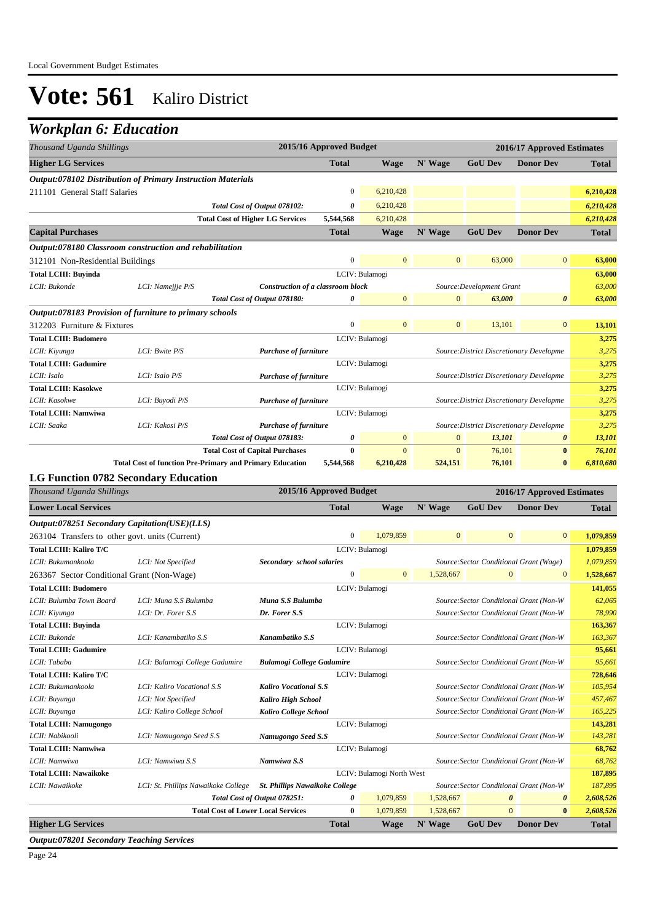## *Workplan 6: Education*

| Thousand Uganda Shillings        |                                                             | 2015/16 Approved Budget<br>2016/17 Approved Estimates           |              |                |                |                                          |                       |              |
|----------------------------------|-------------------------------------------------------------|-----------------------------------------------------------------|--------------|----------------|----------------|------------------------------------------|-----------------------|--------------|
| <b>Higher LG Services</b>        |                                                             |                                                                 | <b>Total</b> | <b>Wage</b>    | N' Wage        | <b>GoU Dev</b>                           | <b>Donor Dev</b>      | <b>Total</b> |
|                                  | Output:078102 Distribution of Primary Instruction Materials |                                                                 |              |                |                |                                          |                       |              |
| 211101 General Staff Salaries    |                                                             |                                                                 | 0            | 6,210,428      |                |                                          |                       | 6,210,428    |
|                                  |                                                             | Total Cost of Output 078102:                                    | 0            | 6,210,428      |                |                                          |                       | 6,210,428    |
|                                  |                                                             | <b>Total Cost of Higher LG Services</b>                         | 5,544,568    | 6,210,428      |                |                                          |                       | 6,210,428    |
| <b>Capital Purchases</b>         |                                                             |                                                                 | <b>Total</b> | <b>Wage</b>    | N' Wage        | <b>GoU Dev</b>                           | <b>Donor Dev</b>      | <b>Total</b> |
|                                  | Output:078180 Classroom construction and rehabilitation     |                                                                 |              |                |                |                                          |                       |              |
| 312101 Non-Residential Buildings |                                                             |                                                                 | $\mathbf{0}$ | $\mathbf{0}$   | $\overline{0}$ | 63,000                                   | $\mathbf{0}$          | 63,000       |
| <b>Total LCIII: Buyinda</b>      |                                                             |                                                                 |              | LCIV: Bulamogi |                |                                          |                       | 63,000       |
| LCII: Bukonde                    | LCI: Namejjje P/S                                           | <b>Construction of a classroom block</b>                        |              |                |                | Source: Development Grant                |                       | 63,000       |
|                                  |                                                             | Total Cost of Output 078180:                                    | 0            | $\overline{0}$ | $\mathbf{0}$   | 63,000                                   | $\boldsymbol{\theta}$ | 63,000       |
|                                  | Output:078183 Provision of furniture to primary schools     |                                                                 |              |                |                |                                          |                       |              |
| 312203 Furniture & Fixtures      |                                                             |                                                                 | $\mathbf{0}$ | $\overline{0}$ | $\mathbf{0}$   | 13,101                                   | $\overline{0}$        | 13,101       |
| <b>Total LCIII: Budomero</b>     |                                                             |                                                                 |              | LCIV: Bulamogi |                |                                          |                       | 3,275        |
| LCII: Kiyunga                    | LCI: Bwite P/S                                              | <b>Purchase of furniture</b>                                    |              |                |                | Source: District Discretionary Developme |                       | 3,275        |
| <b>Total LCIII: Gadumire</b>     |                                                             |                                                                 |              | LCIV: Bulamogi |                |                                          |                       | 3,275        |
| LCII: Isalo                      | LCI: Isalo P/S                                              | Purchase of furniture                                           |              |                |                | Source: District Discretionary Developme |                       | 3,275        |
| <b>Total LCIII: Kasokwe</b>      |                                                             |                                                                 |              | LCIV: Bulamogi |                |                                          |                       | 3,275        |
| LCII: Kasokwe                    | LCI: Buyodi P/S                                             | Purchase of furniture                                           |              |                |                | Source: District Discretionary Developme |                       | 3,275        |
| <b>Total LCIII: Namwiwa</b>      |                                                             |                                                                 |              | LCIV: Bulamogi |                |                                          |                       | 3,275        |
| LCII: Saaka                      | LCI: Kakosi P/S                                             | <b>Purchase of furniture</b>                                    |              |                |                | Source: District Discretionary Developme |                       | 3,275        |
|                                  |                                                             | Total Cost of Output 078183:                                    | 0            | $\overline{0}$ | $\mathbf{0}$   | 13,101                                   | $\boldsymbol{\theta}$ | 13,101       |
|                                  |                                                             | <b>Total Cost of Capital Purchases</b>                          | $\bf{0}$     | $\overline{0}$ | $\mathbf{0}$   | 76,101                                   | $\bf{0}$              | 76,101       |
|                                  |                                                             | <b>Total Cost of function Pre-Primary and Primary Education</b> | 5,544,568    | 6,210,428      | 524,151        | 76,101                                   | $\bf{0}$              | 6,810,680    |
|                                  | <b>LG Function 0782 Secondary Education</b>                 |                                                                 |              |                |                |                                          |                       |              |

| Thousand Uganda Shillings                                                             | 2015/16 Approved Budget                   |              |                           |              |                                         | 2016/17 Approved Estimates |              |
|---------------------------------------------------------------------------------------|-------------------------------------------|--------------|---------------------------|--------------|-----------------------------------------|----------------------------|--------------|
| <b>Lower Local Services</b>                                                           |                                           | <b>Total</b> | <b>Wage</b>               | N' Wage      | <b>GoU Dev</b>                          | <b>Donor Dev</b>           | <b>Total</b> |
| Output:078251 Secondary Capitation(USE)(LLS)                                          |                                           |              |                           |              |                                         |                            |              |
| 263104 Transfers to other govt. units (Current)                                       |                                           | $\mathbf{0}$ | 1,079,859                 | $\mathbf{0}$ | $\overline{0}$                          | $\overline{0}$             | 1,079,859    |
| <b>Total LCIII: Kaliro T/C</b>                                                        |                                           |              | LCIV: Bulamogi            |              |                                         |                            | 1,079,859    |
| LCII: Bukumankoola<br>LCI: Not Specified                                              | Secondary school salaries                 |              |                           |              | Source: Sector Conditional Grant (Wage) |                            | 1,079,859    |
| 263367 Sector Conditional Grant (Non-Wage)                                            |                                           | $\mathbf{0}$ | $\overline{0}$            | 1,528,667    | $\overline{0}$                          | $\overline{0}$             | 1,528,667    |
| <b>Total LCIII: Budomero</b>                                                          |                                           |              | LCIV: Bulamogi            |              |                                         |                            | 141,055      |
| LCII: Bulumba Town Board<br>LCI: Muna S.S Bulumba                                     | Muna S.S Bulumba                          |              |                           |              | Source: Sector Conditional Grant (Non-W |                            | 62,065       |
| LCII: Kiyunga<br>LCI: Dr. Forer S.S.                                                  | Dr. Forer S.S.                            |              |                           |              | Source: Sector Conditional Grant (Non-W |                            | 78,990       |
| <b>Total LCIII: Buvinda</b>                                                           |                                           |              | LCIV: Bulamogi            |              |                                         |                            | 163,367      |
| LCII: Bukonde<br>LCI: Kanambatiko S.S                                                 | Kanambatiko S.S                           |              |                           |              | Source: Sector Conditional Grant (Non-W |                            | 163,367      |
| <b>Total LCIII: Gadumire</b>                                                          |                                           |              | LCIV: Bulamogi            |              |                                         |                            | 95,661       |
| LCII: Tababa<br>LCI: Bulamogi College Gadumire                                        | <b>Bulamogi College Gadumire</b>          |              |                           |              | Source: Sector Conditional Grant (Non-W |                            | 95,661       |
| <b>Total LCIII: Kaliro T/C</b>                                                        |                                           |              | LCIV: Bulamogi            |              |                                         |                            | 728,646      |
| LCII: Bukumankoola<br>LCI: Kaliro Vocational S.S.                                     | <b>Kaliro Vocational S.S.</b>             |              |                           |              | Source: Sector Conditional Grant (Non-W |                            | 105,954      |
| LCII: Buyunga<br>LCI: Not Specified                                                   | <b>Kaliro High School</b>                 |              |                           |              | Source: Sector Conditional Grant (Non-W |                            | 457,467      |
| LCII: Buyunga<br>LCI: Kaliro College School                                           | Kaliro College School                     |              |                           |              | Source: Sector Conditional Grant (Non-W |                            | 165,225      |
| <b>Total LCIII: Namugongo</b>                                                         |                                           |              | LCIV: Bulamogi            |              |                                         |                            | 143,281      |
| LCII: Nabikooli<br>LCI: Namugongo Seed S.S                                            | Namugongo Seed S.S                        |              |                           |              | Source: Sector Conditional Grant (Non-W |                            | 143,281      |
| <b>Total LCIII: Namwiwa</b>                                                           |                                           |              | LCIV: Bulamogi            |              |                                         |                            | 68,762       |
| LCII: Namwiwa<br>LCI: Namwiwa S.S                                                     | Namwiwa S.S                               |              |                           |              | Source: Sector Conditional Grant (Non-W |                            | 68.762       |
| <b>Total LCIII: Nawaikoke</b>                                                         |                                           |              | LCIV: Bulamogi North West |              |                                         |                            | 187,895      |
| LCII: Nawaikoke<br>LCI: St. Phillips Nawaikoke College St. Phillips Nawaikoke College |                                           |              |                           |              | Source: Sector Conditional Grant (Non-W |                            | 187,895      |
|                                                                                       | Total Cost of Output 078251:              | 0            | 1,079,859                 | 1,528,667    | $\boldsymbol{\theta}$                   | $\boldsymbol{\theta}$      | 2,608,526    |
|                                                                                       | <b>Total Cost of Lower Local Services</b> | $\bf{0}$     | 1,079,859                 | 1,528,667    | $\overline{0}$                          | $\mathbf{0}$               | 2,608,526    |
| <b>Higher LG Services</b>                                                             |                                           | <b>Total</b> | Wage                      | N' Wage      | <b>GoU Dev</b>                          | <b>Donor Dev</b>           | <b>Total</b> |

*Output:078201 Secondary Teaching Services*

Page 24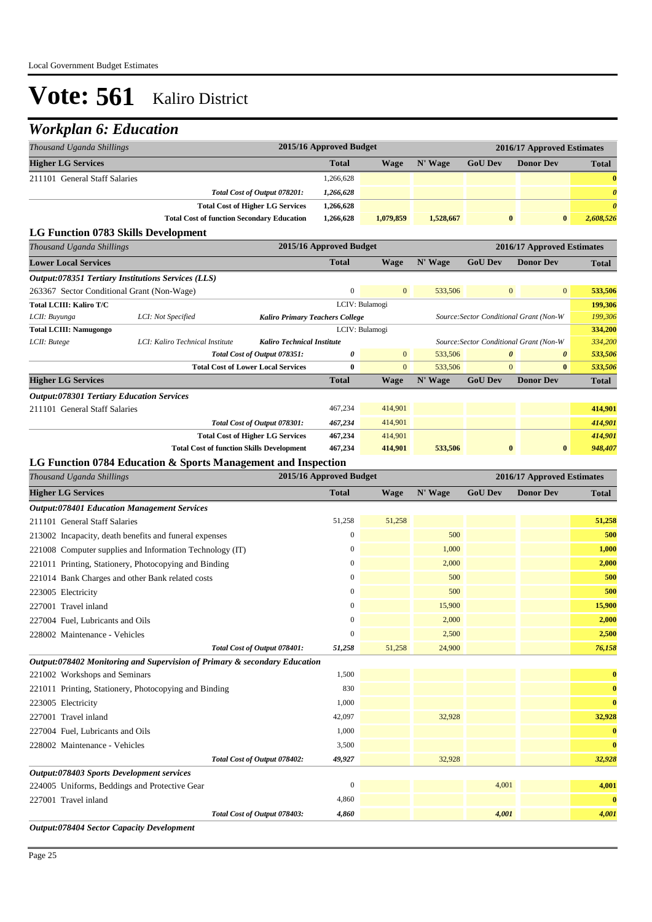## *Workplan 6: Education*

| Thousand Uganda Shillings            |                                                   | 2015/16 Approved Budget |           |           |                | 2016/17 Approved Estimates |              |  |  |
|--------------------------------------|---------------------------------------------------|-------------------------|-----------|-----------|----------------|----------------------------|--------------|--|--|
| <b>Higher LG Services</b>            |                                                   | <b>Total</b>            | Wage      | N' Wage   | <b>GoU Dev</b> | <b>Donor Dev</b>           | <b>Total</b> |  |  |
| 211101 General Staff Salaries        |                                                   | 1,266,628               |           |           |                |                            | $\bf{0}$     |  |  |
|                                      | Total Cost of Output 078201:                      | 1,266,628               |           |           |                |                            | $\theta$     |  |  |
|                                      | <b>Total Cost of Higher LG Services</b>           | 1,266,628               |           |           |                |                            | $\theta$     |  |  |
|                                      | <b>Total Cost of function Secondary Education</b> | 1.266.628               | 1,079,859 | 1,528,667 | $\bf{0}$       | $\bf{0}$                   | 2,608,526    |  |  |
| LC Eunation 0792 Strilla Development |                                                   |                         |           |           |                |                            |              |  |  |

#### **LG Function 0783 Skills Development**

| Thousand Uganda Shillings                                                                                            |                                                  | 2015/16 Approved Budget<br>2016/17 Approved Estimates |              |                |         |                                         |                                         |         |
|----------------------------------------------------------------------------------------------------------------------|--------------------------------------------------|-------------------------------------------------------|--------------|----------------|---------|-----------------------------------------|-----------------------------------------|---------|
| <b>Lower Local Services</b>                                                                                          |                                                  |                                                       | <b>Total</b> | <b>Wage</b>    | N' Wage | <b>GoU Dev</b>                          | <b>Donor Dev</b>                        | Total   |
| <b>Output:078351 Tertiary Institutions Services (LLS)</b>                                                            |                                                  |                                                       |              |                |         |                                         |                                         |         |
| 263367 Sector Conditional Grant (Non-Wage)                                                                           |                                                  |                                                       | $\mathbf{0}$ | $\overline{0}$ | 533,506 |                                         | $\overline{0}$<br>$\overline{0}$        | 533,506 |
| Total LCIII: Kaliro T/C                                                                                              |                                                  |                                                       |              | LCIV: Bulamogi |         |                                         |                                         | 199,306 |
| LCII: Buyunga                                                                                                        | LCI: Not Specified                               | <b>Kaliro Primary Teachers College</b>                |              |                |         |                                         | Source: Sector Conditional Grant (Non-W | 199,306 |
| <b>Total LCIII: Namugongo</b>                                                                                        |                                                  |                                                       |              | LCIV: Bulamogi |         | 334,200                                 |                                         |         |
| LCI: Kaliro Technical Institute<br><b>Kaliro Technical Institute</b><br>LCII: Butege<br>Total Cost of Output 078351: |                                                  |                                                       |              |                |         | Source: Sector Conditional Grant (Non-W | 334,200                                 |         |
|                                                                                                                      |                                                  |                                                       | 0            | $\mathbf{0}$   | 533,506 |                                         | $\theta$<br>$\boldsymbol{\theta}$       | 533,506 |
|                                                                                                                      |                                                  | <b>Total Cost of Lower Local Services</b>             | 0            | $\overline{0}$ | 533,506 |                                         | $\mathbf{0}$<br>$\mathbf{0}$            | 533,506 |
| <b>Higher LG Services</b>                                                                                            |                                                  |                                                       | <b>Total</b> | <b>Wage</b>    | N' Wage | <b>GoU Dev</b>                          | <b>Donor Dev</b>                        | Total   |
| <b>Output:078301 Tertiary Education Services</b>                                                                     |                                                  |                                                       |              |                |         |                                         |                                         |         |
| 211101 General Staff Salaries                                                                                        |                                                  |                                                       | 467,234      | 414,901        |         |                                         |                                         | 414,901 |
|                                                                                                                      |                                                  | Total Cost of Output 078301:                          | 467,234      | 414,901        |         |                                         |                                         | 414,901 |
|                                                                                                                      |                                                  | <b>Total Cost of Higher LG Services</b>               | 467,234      | 414,901        |         |                                         |                                         | 414,901 |
|                                                                                                                      | <b>Total Cost of function Skills Development</b> |                                                       | 467,234      | 414,901        | 533,506 |                                         | $\bf{0}$<br>$\bf{0}$                    | 948,407 |

### **LG Function 0784 Education & Sports Management and Inspection**

| Thousand Uganda Shillings                                                 | 2015/16 Approved Budget |        |         | 2016/17 Approved Estimates |                  |              |  |
|---------------------------------------------------------------------------|-------------------------|--------|---------|----------------------------|------------------|--------------|--|
| <b>Higher LG Services</b>                                                 | <b>Total</b>            | Wage   | N' Wage | <b>GoU Dev</b>             | <b>Donor Dev</b> | <b>Total</b> |  |
| <b>Output:078401 Education Management Services</b>                        |                         |        |         |                            |                  |              |  |
| 211101 General Staff Salaries                                             | 51,258                  | 51,258 |         |                            |                  | 51,258       |  |
| 213002 Incapacity, death benefits and funeral expenses                    | $\Omega$                |        | 500     |                            |                  | 500          |  |
| 221008 Computer supplies and Information Technology (IT)                  | $\boldsymbol{0}$        |        | 1,000   |                            |                  | 1,000        |  |
| 221011 Printing, Stationery, Photocopying and Binding                     | $\mathbf{0}$            |        | 2,000   |                            |                  | 2,000        |  |
| 221014 Bank Charges and other Bank related costs                          | $\mathbf{0}$            |        | 500     |                            |                  | 500          |  |
| 223005 Electricity                                                        | $\mathbf{0}$            |        | 500     |                            |                  | 500          |  |
| 227001 Travel inland                                                      | $\mathbf{0}$            |        | 15,900  |                            |                  | 15,900       |  |
| 227004 Fuel, Lubricants and Oils                                          | $\mathbf{0}$            |        | 2,000   |                            |                  | 2,000        |  |
| 228002 Maintenance - Vehicles                                             | $\mathbf{0}$            |        | 2,500   |                            |                  | 2,500        |  |
| Total Cost of Output 078401:                                              | 51,258                  | 51,258 | 24,900  |                            |                  | 76,158       |  |
| Output:078402 Monitoring and Supervision of Primary & secondary Education |                         |        |         |                            |                  |              |  |
| 221002 Workshops and Seminars                                             | 1,500                   |        |         |                            |                  | $\bf{0}$     |  |
| 221011 Printing, Stationery, Photocopying and Binding                     | 830                     |        |         |                            |                  | $\bf{0}$     |  |
| 223005 Electricity                                                        | 1,000                   |        |         |                            |                  | $\bf{0}$     |  |
| 227001 Travel inland                                                      | 42,097                  |        | 32,928  |                            |                  | 32,928       |  |
| 227004 Fuel, Lubricants and Oils                                          | 1.000                   |        |         |                            |                  | $\bf{0}$     |  |
| 228002 Maintenance - Vehicles                                             | 3,500                   |        |         |                            |                  | $\bf{0}$     |  |
| Total Cost of Output 078402:                                              | 49,927                  |        | 32,928  |                            |                  | 32,928       |  |
| Output:078403 Sports Development services                                 |                         |        |         |                            |                  |              |  |
| 224005 Uniforms, Beddings and Protective Gear                             | $\mathbf{0}$            |        |         | 4,001                      |                  | 4,001        |  |
| 227001 Travel inland                                                      | 4,860                   |        |         |                            |                  | $\bf{0}$     |  |
| Total Cost of Output 078403:                                              | 4,860                   |        |         | 4,001                      |                  | 4,001        |  |
| Output:078404 Sector Capacity Development                                 |                         |        |         |                            |                  |              |  |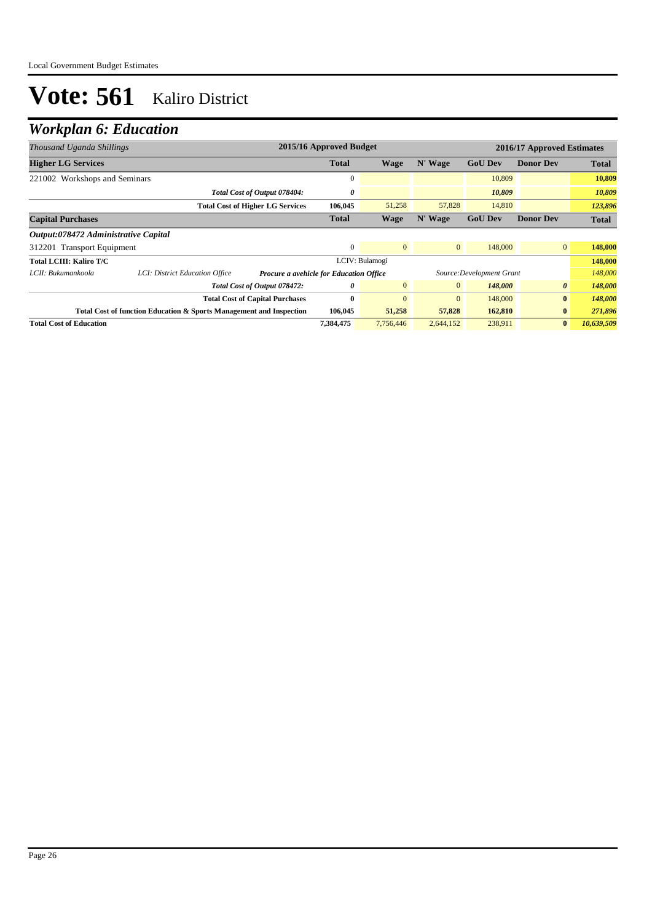## *Workplan 6: Education*

| Thousand Uganda Shillings            |                                                                     | 2015/16 Approved Budget<br>2016/17 Approved Estimates |                |                |                           |                  |              |
|--------------------------------------|---------------------------------------------------------------------|-------------------------------------------------------|----------------|----------------|---------------------------|------------------|--------------|
| <b>Higher LG Services</b>            |                                                                     | <b>Total</b>                                          | Wage           | N' Wage        | <b>GoU Dev</b>            | <b>Donor Dev</b> | <b>Total</b> |
| 221002 Workshops and Seminars        |                                                                     | $\mathbf{0}$                                          |                |                | 10.809                    |                  | 10,809       |
|                                      | Total Cost of Output 078404:                                        | 0                                                     |                |                | 10,809                    |                  | 10,809       |
|                                      | <b>Total Cost of Higher LG Services</b>                             | 106,045                                               | 51,258         | 57,828         | 14,810                    |                  | 123,896      |
| <b>Capital Purchases</b>             |                                                                     | <b>Total</b>                                          | <b>Wage</b>    | N' Wage        | <b>GoU Dev</b>            | <b>Donor Dev</b> | <b>Total</b> |
| Output:078472 Administrative Capital |                                                                     |                                                       |                |                |                           |                  |              |
| 312201 Transport Equipment           |                                                                     | $\Omega$                                              | $\mathbf{0}$   | $\overline{0}$ | 148,000                   | $\overline{0}$   | 148,000      |
| Total LCIII: Kaliro T/C              |                                                                     |                                                       | LCIV: Bulamogi |                |                           |                  | 148,000      |
| LCII: Bukumankoola                   | LCI: District Education Office                                      | Procure a avehicle for Education Office               |                |                | Source: Development Grant |                  | 148,000      |
|                                      | Total Cost of Output 078472:                                        | 0                                                     | $\mathbf{0}$   | $\mathbf{0}$   | 148,000                   | $\theta$         | 148,000      |
|                                      | <b>Total Cost of Capital Purchases</b>                              | $\mathbf{0}$                                          | $\mathbf{0}$   | $\mathbf{0}$   | 148,000                   | $\bf{0}$         | 148,000      |
|                                      | Total Cost of function Education & Sports Management and Inspection | 106,045                                               | 51,258         | 57,828         | 162,810                   | $\bf{0}$         | 271,896      |
| <b>Total Cost of Education</b>       |                                                                     | 7,384,475                                             | 7,756,446      | 2,644,152      | 238,911                   | $\bf{0}$         | 10,639,509   |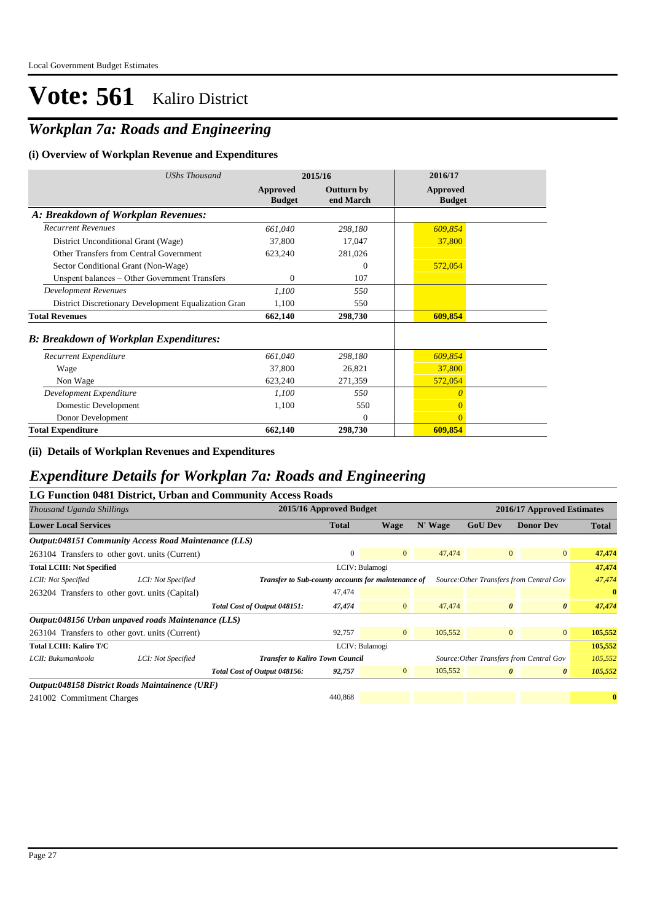## *Workplan 7a: Roads and Engineering*

#### **(i) Overview of Workplan Revenue and Expenditures**

| <b>UShs Thousand</b>                                 | 2015/16                   |                                | 2016/17                   |  |
|------------------------------------------------------|---------------------------|--------------------------------|---------------------------|--|
|                                                      | Approved<br><b>Budget</b> | <b>Outturn by</b><br>end March | Approved<br><b>Budget</b> |  |
| A: Breakdown of Workplan Revenues:                   |                           |                                |                           |  |
| <b>Recurrent Revenues</b>                            | 661,040                   | 298,180                        | 609,854                   |  |
| District Unconditional Grant (Wage)                  | 37,800                    | 17,047                         | 37,800                    |  |
| Other Transfers from Central Government              | 623,240                   | 281,026                        |                           |  |
| Sector Conditional Grant (Non-Wage)                  |                           | $\Omega$                       | 572,054                   |  |
| Unspent balances - Other Government Transfers        | $\Omega$                  | 107                            |                           |  |
| <b>Development Revenues</b>                          | 1,100                     | 550                            |                           |  |
| District Discretionary Development Equalization Gran | 1,100                     | 550                            |                           |  |
| <b>Total Revenues</b>                                | 662,140                   | 298,730                        | 609,854                   |  |
| <b>B: Breakdown of Workplan Expenditures:</b>        |                           |                                |                           |  |
| Recurrent Expenditure                                | 661,040                   | 298,180                        | 609,854                   |  |
| Wage                                                 | 37,800                    | 26,821                         | 37,800                    |  |
| Non Wage                                             | 623,240                   | 271,359                        | 572,054                   |  |
| Development Expenditure                              | 1,100                     | 550                            | $\Omega$                  |  |
| Domestic Development                                 | 1,100                     | 550                            | $\overline{0}$            |  |
| Donor Development                                    |                           | $\mathbf{0}$                   | $\overline{0}$            |  |
| <b>Total Expenditure</b>                             | 662,140                   | 298,730                        | 609,854                   |  |

**(ii) Details of Workplan Revenues and Expenditures**

### *Expenditure Details for Workplan 7a: Roads and Engineering*

|                                                 |                                                       | LG Function 0481 District, Urban and Community Access Roads |                         |                |                |                                          |                            |          |
|-------------------------------------------------|-------------------------------------------------------|-------------------------------------------------------------|-------------------------|----------------|----------------|------------------------------------------|----------------------------|----------|
| Thousand Uganda Shillings                       |                                                       |                                                             | 2015/16 Approved Budget |                |                |                                          | 2016/17 Approved Estimates |          |
| <b>Lower Local Services</b>                     |                                                       | <b>Total</b>                                                | Wage                    | N' Wage        | <b>GoU Dev</b> | <b>Donor Dev</b>                         | <b>Total</b>               |          |
|                                                 | Output:048151 Community Access Road Maintenance (LLS) |                                                             |                         |                |                |                                          |                            |          |
| 263104 Transfers to other govt. units (Current) |                                                       |                                                             | $\mathbf{0}$            | $\overline{0}$ | 47,474         | $\overline{0}$                           | $\overline{0}$             | 47,474   |
| <b>Total LCIII: Not Specified</b>               |                                                       |                                                             | LCIV: Bulamogi          |                |                |                                          |                            | 47,474   |
| LCII: Not Specified                             | LCI: Not Specified                                    | Transfer to Sub-county accounts for maintenance of          |                         |                |                | Source: Other Transfers from Central Gov |                            | 47,474   |
| 263204 Transfers to other govt. units (Capital) |                                                       |                                                             | 47,474                  |                |                |                                          |                            | $\bf{0}$ |
|                                                 |                                                       | Total Cost of Output 048151:                                | 47,474                  | $\overline{0}$ | 47,474         | $\boldsymbol{\theta}$                    | $\boldsymbol{\theta}$      | 47,474   |
|                                                 | Output:048156 Urban unpaved roads Maintenance (LLS)   |                                                             |                         |                |                |                                          |                            |          |
| 263104 Transfers to other govt. units (Current) |                                                       |                                                             | 92,757                  | $\overline{0}$ | 105,552        | $\overline{0}$                           | $\overline{0}$             | 105,552  |
| Total LCIII: Kaliro T/C                         |                                                       |                                                             | LCIV: Bulamogi          |                |                |                                          |                            | 105,552  |
| LCII: Bukumankoola                              | LCI: Not Specified                                    | <b>Transfer to Kaliro Town Council</b>                      |                         |                |                | Source: Other Transfers from Central Gov |                            | 105,552  |
|                                                 |                                                       | Total Cost of Output 048156:                                | 92,757                  | $\overline{0}$ | 105,552        | $\boldsymbol{\theta}$                    | $\boldsymbol{\theta}$      | 105,552  |
|                                                 | Output:048158 District Roads Maintainence (URF)       |                                                             |                         |                |                |                                          |                            |          |
| 241002 Commitment Charges                       |                                                       |                                                             | 440,868                 |                |                |                                          |                            | $\bf{0}$ |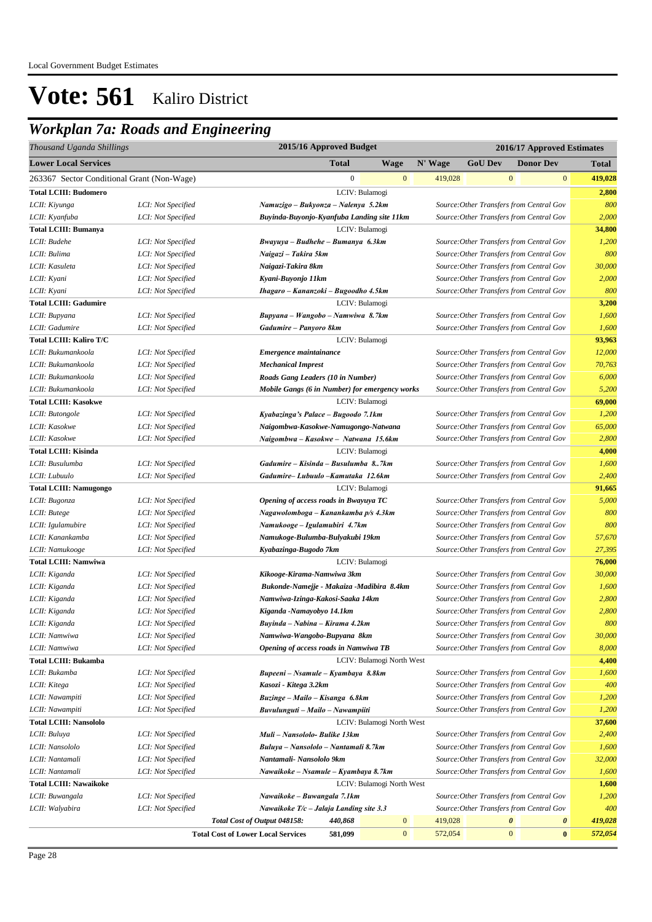## *Workplan 7a: Roads and Engineering*

| Thousand Uganda Shillings                  | 2015/16 Approved Budget<br>2016/17 Approved Estimates |                                                                     |              |                           |         |                                          |                  |                       |                |
|--------------------------------------------|-------------------------------------------------------|---------------------------------------------------------------------|--------------|---------------------------|---------|------------------------------------------|------------------|-----------------------|----------------|
| <b>Lower Local Services</b>                |                                                       |                                                                     | <b>Total</b> | <b>Wage</b>               | N' Wage | <b>GoU Dev</b>                           |                  | <b>Donor Dev</b>      | Total          |
| 263367 Sector Conditional Grant (Non-Wage) |                                                       |                                                                     | $\mathbf{0}$ | $\mathbf{0}$              | 419,028 |                                          | $\mathbf{0}$     | $\mathbf{0}$          | 419,028        |
| <b>Total LCIII: Budomero</b>               |                                                       |                                                                     |              | LCIV: Bulamogi            |         |                                          |                  |                       | 2,800          |
| LCII: Kiyunga                              | LCI: Not Specified                                    | Namuzigo – Bukyonza – Nalenya 5.2km                                 |              |                           |         | Source: Other Transfers from Central Gov |                  |                       | 800            |
| LCII: Kyanfuba                             | LCI: Not Specified                                    | Buyinda-Buyonjo-Kyanfuba Landing site 11km                          |              |                           |         | Source: Other Transfers from Central Gov |                  |                       | 2,000          |
| <b>Total LCIII: Bumanya</b>                |                                                       |                                                                     |              | LCIV: Bulamogi            |         |                                          |                  |                       | 34,800         |
| LCII: Budehe                               | LCI: Not Specified                                    | Bwayuya – Budhehe – Bumanya 6.3km                                   |              |                           |         | Source: Other Transfers from Central Gov |                  |                       | 1,200          |
| LCII: Bulima                               | LCI: Not Specified                                    | Naigazi – Takira 5km                                                |              |                           |         | Source: Other Transfers from Central Gov |                  |                       | 800            |
| LCII: Kasuleta                             | LCI: Not Specified                                    | Naigazi-Takira 8km                                                  |              |                           |         | Source: Other Transfers from Central Gov |                  |                       | 30,000         |
| LCII: Kyani                                | LCI: Not Specified                                    | Kyani-Buyonjo 11km                                                  |              |                           |         | Source: Other Transfers from Central Gov |                  |                       | 2,000          |
| LCII: Kyani                                | LCI: Not Specified                                    | Ihagaro - Kananzoki - Bugoodho 4.5km                                |              |                           |         | Source: Other Transfers from Central Gov |                  |                       | 800            |
| <b>Total LCIII: Gadumire</b>               |                                                       |                                                                     |              | LCIV: Bulamogi            |         |                                          |                  |                       | 3,200          |
| LCII: Bupyana                              | LCI: Not Specified                                    | Bupyana - Wangobo - Namwiwa 8.7km                                   |              |                           |         | Source: Other Transfers from Central Gov |                  |                       | 1,600          |
| LCII: Gadumire                             | LCI: Not Specified                                    | Gadumire - Panyoro 8km                                              |              |                           |         | Source: Other Transfers from Central Gov |                  |                       | 1,600          |
| <b>Total LCIII: Kaliro T/C</b>             |                                                       |                                                                     |              | LCIV: Bulamogi            |         |                                          |                  |                       | 93,963         |
| LCII: Bukumankoola                         | LCI: Not Specified                                    | Emergence maintainance                                              |              |                           |         | Source: Other Transfers from Central Gov |                  |                       | 12,000         |
| LCII: Bukumankoola                         | LCI: Not Specified                                    | <b>Mechanical Imprest</b>                                           |              |                           |         | Source: Other Transfers from Central Gov |                  |                       | 70,763         |
| LCII: Bukumankoola                         | LCI: Not Specified                                    | Roads Gang Leaders (10 in Number)                                   |              |                           |         | Source: Other Transfers from Central Gov |                  |                       | 6,000          |
| LCII: Bukumankoola                         | LCI: Not Specified                                    | Mobile Gangs (6 in Number) for emergency works                      |              |                           |         | Source: Other Transfers from Central Gov |                  |                       | 5,200          |
| <b>Total LCIII: Kasokwe</b>                |                                                       |                                                                     |              | LCIV: Bulamogi            |         |                                          |                  |                       | 69,000         |
| LCII: Butongole                            | LCI: Not Specified                                    | Kyabazinga's Palace - Bugoodo 7.1km                                 |              |                           |         | Source: Other Transfers from Central Gov |                  |                       | 1,200          |
| LCII: Kasokwe                              | LCI: Not Specified                                    | Naigombwa-Kasokwe-Namugongo-Natwana                                 |              |                           |         | Source: Other Transfers from Central Gov |                  |                       | 65,000         |
| LCII: Kasokwe                              | LCI: Not Specified                                    | Naigombwa - Kasokwe - Natwana 15.6km                                |              |                           |         | Source: Other Transfers from Central Gov |                  |                       | 2,800          |
| <b>Total LCIII: Kisinda</b>                |                                                       |                                                                     |              | LCIV: Bulamogi            |         |                                          |                  |                       | 4,000          |
| LCII: Busulumba                            | LCI: Not Specified                                    | Gadumire – Kisinda – Busulumba 87km                                 |              |                           |         | Source: Other Transfers from Central Gov |                  |                       | 1,600          |
| LCII: Lubuulo                              | LCI: Not Specified                                    | Gadumire-Lubuulo -Kamutaka 12.6km                                   |              |                           |         | Source: Other Transfers from Central Gov |                  |                       | 2,400          |
| <b>Total LCIII: Namugongo</b>              |                                                       |                                                                     |              | LCIV: Bulamogi            |         |                                          |                  |                       | 91,665         |
| LCII: Bugonza                              | LCI: Not Specified                                    | Opening of access roads in Bwayuya TC                               |              |                           |         | Source: Other Transfers from Central Gov |                  |                       | 5,000          |
| LCII: Butege                               | LCI: Not Specified                                    | Nagawolomboga - Kanankamba p/s 4.3km                                |              |                           |         | Source: Other Transfers from Central Gov |                  |                       | 800            |
| LCII: Igulamubire                          | LCI: Not Specified                                    | Namukooge - Igulamubiri 4.7km                                       |              |                           |         | Source: Other Transfers from Central Gov |                  |                       | 800            |
| LCII: Kanankamba                           | LCI: Not Specified                                    | Namukoge-Bulumba-Bulyakubi 19km                                     |              |                           |         | Source: Other Transfers from Central Gov |                  |                       | 57,670         |
| LCII: Namukooge                            | LCI: Not Specified                                    | Kyabazinga-Bugodo 7km                                               |              |                           |         | Source: Other Transfers from Central Gov |                  |                       | 27,395         |
| <b>Total LCIII: Namwiwa</b>                |                                                       |                                                                     |              | LCIV: Bulamogi            |         |                                          |                  |                       | 76,000         |
| LCII: Kiganda                              | LCI: Not Specified                                    | Kikooge-Kirama-Namwiwa 3km                                          |              |                           |         | Source: Other Transfers from Central Gov |                  |                       | 30,000         |
| LCII: Kiganda                              | LCI: Not Specified                                    | Bukonde-Namejje - Makaiza - Madibira 8.4km                          |              |                           |         | Source: Other Transfers from Central Gov |                  |                       | 1,600          |
| LCII: Kiganda                              | LCI: Not Specified                                    | Namwiwa-Izinga-Kakosi-Saaka 14km                                    |              |                           |         | Source: Other Transfers from Central Gov |                  |                       | 2,800          |
| LCII: Kiganda                              | LCI: Not Specified                                    | Kiganda -Namayobyo 14.1km                                           |              |                           |         | Source: Other Transfers from Central Gov |                  |                       | 2,800          |
| LCII: Kiganda                              | LCI: Not Specified                                    | Buyinda – Nabina – Kirama 4.2km                                     |              |                           |         | Source: Other Transfers from Central Gov |                  |                       | 800            |
| LCII: Namwiwa                              | LCI: Not Specified                                    | Namwiwa-Wangobo-Bupyana 8km                                         |              |                           |         | Source: Other Transfers from Central Gov |                  |                       | 30,000         |
| LCII: Namwiwa                              | LCI: Not Specified                                    | <b>Opening of access roads in Namwiwa TB</b>                        |              |                           |         | Source: Other Transfers from Central Gov |                  |                       | 8,000          |
| <b>Total LCIII: Bukamba</b>                |                                                       |                                                                     |              | LCIV: Bulamogi North West |         |                                          |                  |                       | 4,400          |
| LCII: Bukamba                              | LCI: Not Specified                                    | Bupeeni - Nsamule - Kyambaya 8.8km                                  |              |                           |         | Source: Other Transfers from Central Gov |                  |                       | 1,600          |
| LCII: Kitega                               | LCI: Not Specified                                    | Kasozi - Kitega 3.2km                                               |              |                           |         | Source: Other Transfers from Central Gov |                  |                       | 400            |
| LCII: Nawampiti                            | LCI: Not Specified                                    |                                                                     |              |                           |         | Source: Other Transfers from Central Gov |                  |                       | 1,200          |
|                                            |                                                       | Buzinge - Mailo - Kisanga 6.8km<br>Buvulunguti - Mailo - Nawampiiti |              |                           |         | Source: Other Transfers from Central Gov |                  |                       | 1,200          |
| LCII: Nawampiti                            | LCI: Not Specified                                    |                                                                     |              |                           |         |                                          |                  |                       |                |
| <b>Total LCIII: Nansololo</b>              |                                                       |                                                                     |              | LCIV: Bulamogi North West |         |                                          |                  |                       | 37,600         |
| LCII: Buluya<br>LCII: Nansololo            | LCI: Not Specified                                    | Muli - Nansololo- Bulike 13km                                       |              |                           |         | Source: Other Transfers from Central Gov |                  |                       | 2,400<br>1,600 |
|                                            | LCI: Not Specified                                    | Buluya -- Nansololo -- Nantamali 8.7km                              |              |                           |         | Source: Other Transfers from Central Gov |                  |                       | 32,000         |
| LCII: Nantamali                            | LCI: Not Specified                                    | Nantamali- Nansololo 9km                                            |              |                           |         | Source: Other Transfers from Central Gov |                  |                       |                |
| LCII: Nantamali                            | LCI: Not Specified                                    | Nawaikoke – Nsamule – Kyambaya 8.7km                                |              |                           |         | Source: Other Transfers from Central Gov |                  |                       | 1,600          |
| <b>Total LCIII: Nawaikoke</b>              |                                                       |                                                                     |              | LCIV: Bulamogi North West |         |                                          |                  |                       | 1,600          |
| LCII: Buwangala                            | LCI: Not Specified                                    | Nawaikoke – Buwangala 7.1km                                         |              |                           |         | Source: Other Transfers from Central Gov |                  |                       | 1,200          |
| LCII: Walyabira                            | LCI: Not Specified                                    | Nawaikoke T/c - Jalaja Landing site 3.3                             |              |                           |         | Source: Other Transfers from Central Gov |                  |                       | 400            |
|                                            |                                                       | Total Cost of Output 048158:                                        | 440,868      | $\bf{0}$                  | 419,028 |                                          | 0                | $\boldsymbol{\theta}$ | 419,028        |
|                                            |                                                       | <b>Total Cost of Lower Local Services</b>                           | 581,099      | $\mathbf{0}$              | 572,054 |                                          | $\boldsymbol{0}$ | $\bf{0}$              | 572,054        |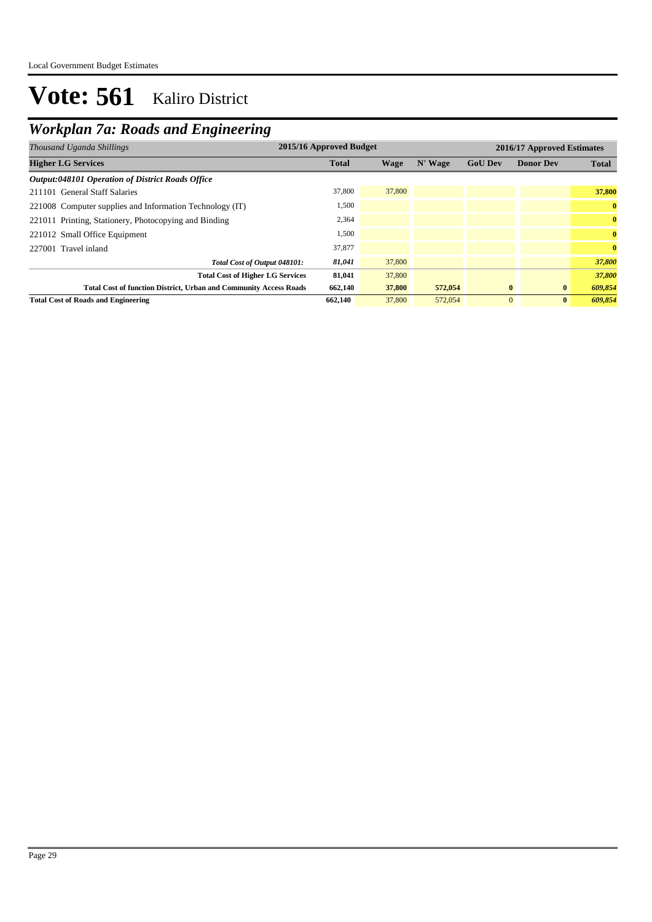## *Workplan 7a: Roads and Engineering*

| Thousand Uganda Shillings                                                | 2015/16 Approved Budget |        |         |                | 2016/17 Approved Estimates |              |  |  |
|--------------------------------------------------------------------------|-------------------------|--------|---------|----------------|----------------------------|--------------|--|--|
| <b>Higher LG Services</b>                                                | <b>Total</b>            | Wage   | N' Wage | <b>GoU Dev</b> | <b>Donor Dev</b>           | <b>Total</b> |  |  |
| <b>Output:048101 Operation of District Roads Office</b>                  |                         |        |         |                |                            |              |  |  |
| 211101 General Staff Salaries                                            | 37,800                  | 37,800 |         |                |                            | 37,800       |  |  |
| 221008 Computer supplies and Information Technology (IT)                 | 1,500                   |        |         |                |                            | $\bf{0}$     |  |  |
| 221011 Printing, Stationery, Photocopying and Binding                    | 2,364                   |        |         |                |                            | $\bf{0}$     |  |  |
| 221012 Small Office Equipment                                            | 1,500                   |        |         |                |                            | $\bf{0}$     |  |  |
| 227001 Travel inland                                                     | 37,877                  |        |         |                |                            | $\bf{0}$     |  |  |
| Total Cost of Output 048101:                                             | 81,041                  | 37,800 |         |                |                            | 37,800       |  |  |
| <b>Total Cost of Higher LG Services</b>                                  | 81,041                  | 37,800 |         |                |                            | 37,800       |  |  |
| <b>Total Cost of function District, Urban and Community Access Roads</b> | 662,140                 | 37,800 | 572,054 | $\mathbf{0}$   | $\bf{0}$                   | 609,854      |  |  |
| <b>Total Cost of Roads and Engineering</b>                               | 662,140                 | 37,800 | 572,054 | $\overline{0}$ | $\mathbf{0}$               | 609,854      |  |  |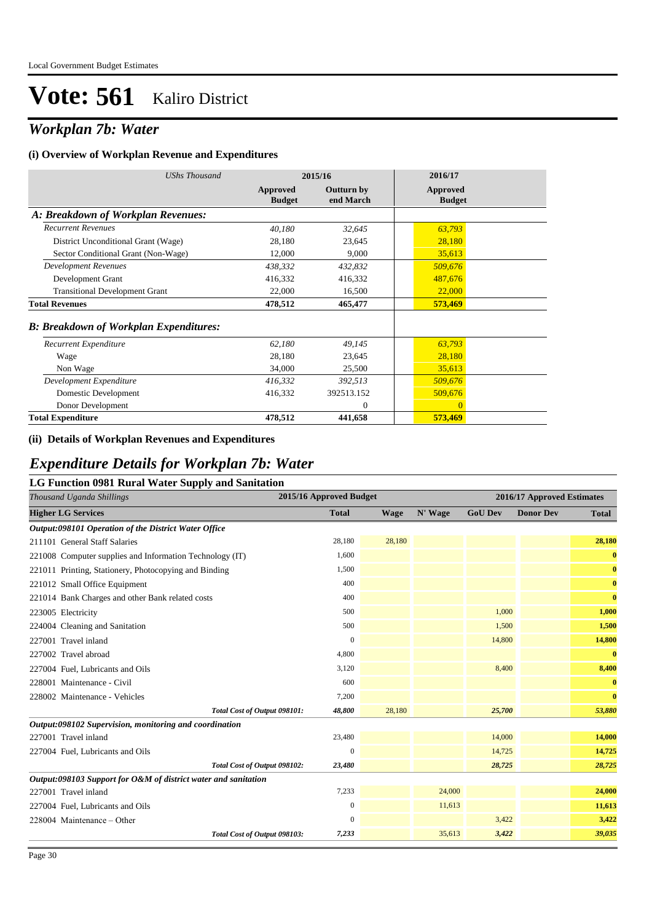## *Workplan 7b: Water*

#### **(i) Overview of Workplan Revenue and Expenditures**

| <b>UShs Thousand</b>                          | 2015/16                   |                         | 2016/17                   |
|-----------------------------------------------|---------------------------|-------------------------|---------------------------|
|                                               | Approved<br><b>Budget</b> | Outturn by<br>end March | Approved<br><b>Budget</b> |
| A: Breakdown of Workplan Revenues:            |                           |                         |                           |
| <b>Recurrent Revenues</b>                     | 40,180                    | 32,645                  | 63,793                    |
| District Unconditional Grant (Wage)           | 28,180                    | 23,645                  | 28,180                    |
| Sector Conditional Grant (Non-Wage)           | 12,000                    | 9,000                   | 35,613                    |
| <b>Development Revenues</b>                   | 438,332                   | 432,832                 | 509,676                   |
| Development Grant                             | 416,332                   | 416,332                 | 487,676                   |
| <b>Transitional Development Grant</b>         | 22,000                    | 16,500                  | 22,000                    |
| <b>Total Revenues</b>                         | 478,512                   | 465,477                 | 573,469                   |
| <b>B: Breakdown of Workplan Expenditures:</b> |                           |                         |                           |
| Recurrent Expenditure                         | 62,180                    | 49,145                  | 63,793                    |
| Wage                                          | 28,180                    | 23,645                  | 28,180                    |
| Non Wage                                      | 34,000                    | 25,500                  | 35,613                    |
| Development Expenditure                       | 416,332                   | 392,513                 | 509,676                   |
| Domestic Development                          | 416,332                   | 392513.152              | 509,676                   |
| Donor Development                             |                           | $\Omega$                | $\Omega$                  |
| <b>Total Expenditure</b>                      | 478,512                   | 441,658                 | 573,469                   |

### **(ii) Details of Workplan Revenues and Expenditures**

### *Expenditure Details for Workplan 7b: Water*

### **LG Function 0981 Rural Water Supply and Sanitation**

| Thousand Uganda Shillings                                      | 2015/16 Approved Budget |             |         | 2016/17 Approved Estimates |                  |              |  |
|----------------------------------------------------------------|-------------------------|-------------|---------|----------------------------|------------------|--------------|--|
| <b>Higher LG Services</b>                                      | <b>Total</b>            | <b>Wage</b> | N' Wage | <b>GoU Dev</b>             | <b>Donor Dev</b> | <b>Total</b> |  |
| <b>Output:098101 Operation of the District Water Office</b>    |                         |             |         |                            |                  |              |  |
| 211101 General Staff Salaries                                  | 28,180                  | 28,180      |         |                            |                  | 28,180       |  |
| 221008 Computer supplies and Information Technology (IT)       | 1,600                   |             |         |                            |                  | $\bf{0}$     |  |
| 221011 Printing, Stationery, Photocopying and Binding          | 1,500                   |             |         |                            |                  | $\bf{0}$     |  |
| 221012 Small Office Equipment                                  | 400                     |             |         |                            |                  | $\bf{0}$     |  |
| 221014 Bank Charges and other Bank related costs               | 400                     |             |         |                            |                  | $\bf{0}$     |  |
| 223005 Electricity                                             | 500                     |             |         | 1,000                      |                  | 1,000        |  |
| 224004 Cleaning and Sanitation                                 | 500                     |             |         | 1,500                      |                  | 1,500        |  |
| 227001 Travel inland                                           | $\mathbf{0}$            |             |         | 14,800                     |                  | 14,800       |  |
| 227002 Travel abroad                                           | 4,800                   |             |         |                            |                  | $\bf{0}$     |  |
| 227004 Fuel, Lubricants and Oils                               | 3,120                   |             |         | 8,400                      |                  | 8,400        |  |
| 228001 Maintenance - Civil                                     | 600                     |             |         |                            |                  | $\bf{0}$     |  |
| 228002 Maintenance - Vehicles                                  | 7,200                   |             |         |                            |                  | $\bf{0}$     |  |
| Total Cost of Output 098101:                                   | 48,800                  | 28,180      |         | 25,700                     |                  | 53,880       |  |
| Output:098102 Supervision, monitoring and coordination         |                         |             |         |                            |                  |              |  |
| 227001 Travel inland                                           | 23,480                  |             |         | 14,000                     |                  | 14,000       |  |
| 227004 Fuel, Lubricants and Oils                               | $\mathbf{0}$            |             |         | 14,725                     |                  | 14,725       |  |
| Total Cost of Output 098102:                                   | 23,480                  |             |         | 28,725                     |                  | 28,725       |  |
| Output:098103 Support for O&M of district water and sanitation |                         |             |         |                            |                  |              |  |
| 227001 Travel inland                                           | 7,233                   |             | 24,000  |                            |                  | 24,000       |  |
| 227004 Fuel, Lubricants and Oils                               | $\mathbf{0}$            |             | 11,613  |                            |                  | 11,613       |  |
| 228004 Maintenance - Other                                     | $\mathbf{0}$            |             |         | 3,422                      |                  | 3,422        |  |
| Total Cost of Output 098103:                                   | 7,233                   |             | 35,613  | 3,422                      |                  | 39,035       |  |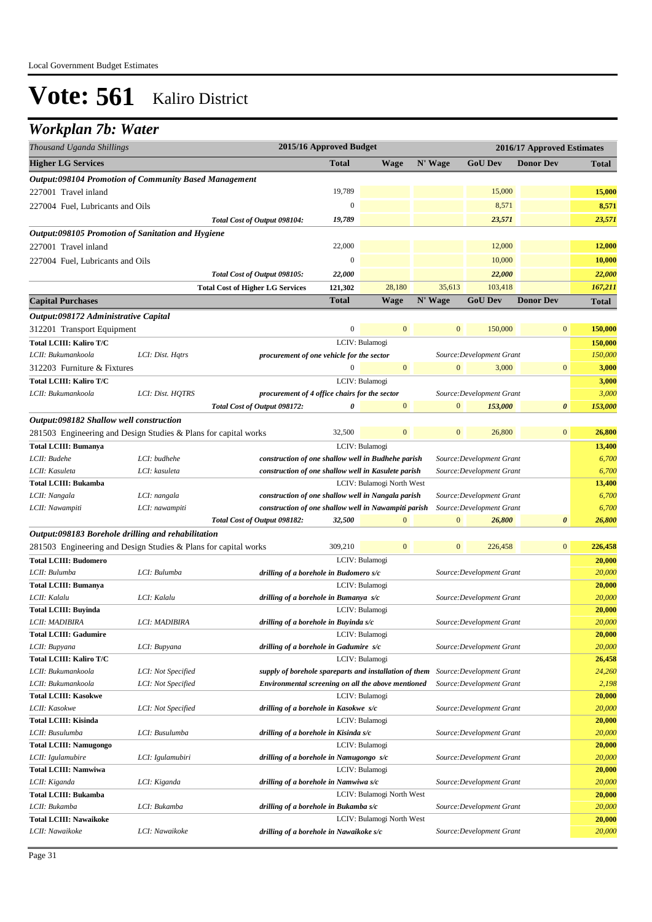## *Workplan 7b: Water*

| Thousand Uganda Shillings                          |                                                                 |                                                                                  | 2015/16 Approved Budget |                           |                  |                           | 2016/17 Approved Estimates |              |
|----------------------------------------------------|-----------------------------------------------------------------|----------------------------------------------------------------------------------|-------------------------|---------------------------|------------------|---------------------------|----------------------------|--------------|
| <b>Higher LG Services</b>                          |                                                                 |                                                                                  | <b>Total</b>            | <b>Wage</b>               | N' Wage          | <b>GoU Dev</b>            | <b>Donor Dev</b>           | <b>Total</b> |
|                                                    | Output:098104 Promotion of Community Based Management           |                                                                                  |                         |                           |                  |                           |                            |              |
| 227001 Travel inland                               |                                                                 |                                                                                  | 19,789                  |                           |                  | 15,000                    |                            | 15,000       |
| 227004 Fuel. Lubricants and Oils                   |                                                                 |                                                                                  | $\mathbf{0}$            |                           |                  | 8,571                     |                            | 8,571        |
|                                                    |                                                                 | Total Cost of Output 098104:                                                     | 19,789                  |                           |                  | 23,571                    |                            | 23,571       |
| Output:098105 Promotion of Sanitation and Hygiene  |                                                                 |                                                                                  |                         |                           |                  |                           |                            |              |
|                                                    |                                                                 |                                                                                  | 22,000                  |                           |                  | 12,000                    |                            |              |
| 227001 Travel inland                               |                                                                 |                                                                                  |                         |                           |                  |                           |                            | 12,000       |
| 227004 Fuel. Lubricants and Oils                   |                                                                 |                                                                                  | $\mathbf{0}$            |                           |                  | 10,000                    |                            | 10,000       |
|                                                    |                                                                 | Total Cost of Output 098105:                                                     | 22,000                  |                           |                  | 22,000                    |                            | 22,000       |
|                                                    |                                                                 | <b>Total Cost of Higher LG Services</b>                                          | 121,302                 | 28,180                    | 35,613           | 103,418                   |                            | 167,211      |
| <b>Capital Purchases</b>                           |                                                                 |                                                                                  | <b>Total</b>            | <b>Wage</b>               | N' Wage          | <b>GoU Dev</b>            | <b>Donor Dev</b>           | <b>Total</b> |
| Output:098172 Administrative Capital               |                                                                 |                                                                                  |                         |                           |                  |                           |                            |              |
| 312201 Transport Equipment                         |                                                                 |                                                                                  | $\boldsymbol{0}$        | $\mathbf{0}$              | $\boldsymbol{0}$ | 150,000                   | $\boldsymbol{0}$           | 150,000      |
| Total LCIII: Kaliro T/C                            |                                                                 |                                                                                  |                         | LCIV: Bulamogi            |                  |                           |                            | 150,000      |
| LCII: Bukumankoola                                 | LCI: Dist. Hatrs                                                | procurement of one vehicle for the sector                                        |                         |                           |                  | Source: Development Grant |                            | 150,000      |
| 312203 Furniture & Fixtures                        |                                                                 |                                                                                  | $\mathbf{0}$            | $\mathbf{0}$              | $\mathbf{0}$     | 3,000                     | $\boldsymbol{0}$           | 3,000        |
| <b>Total LCIII: Kaliro T/C</b>                     |                                                                 |                                                                                  |                         | LCIV: Bulamogi            |                  |                           |                            | 3,000        |
| LCII: Bukumankoola                                 | LCI: Dist. HQTRS                                                | procurement of 4 office chairs for the sector                                    |                         |                           |                  | Source: Development Grant |                            | 3,000        |
|                                                    |                                                                 | Total Cost of Output 098172:                                                     | $\theta$                | $\overline{0}$            | $\mathbf{0}$     | 153,000                   | 0                          | 153,000      |
| Output:098182 Shallow well construction            |                                                                 |                                                                                  |                         |                           |                  |                           |                            |              |
|                                                    | 281503 Engineering and Design Studies & Plans for capital works |                                                                                  | 32,500                  | $\mathbf{0}$              | $\mathbf{0}$     | 26,800                    | $\overline{0}$             | 26,800       |
| <b>Total LCIII: Bumanya</b>                        |                                                                 |                                                                                  |                         | LCIV: Bulamogi            |                  |                           |                            | 13,400       |
| LCII: Budehe                                       | LCI: budhehe                                                    | construction of one shallow well in Budhehe parish                               |                         |                           |                  | Source: Development Grant |                            | 6,700        |
| LCII: Kasuleta                                     | LCI: kasuleta                                                   | construction of one shallow well in Kasulete parish                              |                         |                           |                  | Source: Development Grant |                            | 6,700        |
| <b>Total LCIII: Bukamba</b>                        |                                                                 |                                                                                  |                         | LCIV: Bulamogi North West |                  |                           |                            | 13,400       |
| LCII: Nangala                                      | LCI: nangala                                                    | construction of one shallow well in Nangala parish                               |                         |                           |                  | Source: Development Grant |                            | 6,700        |
| LCII: Nawampiti                                    | LCI: nawampiti                                                  | construction of one shallow well in Nawampiti parish                             |                         |                           |                  | Source: Development Grant |                            | 6,700        |
|                                                    |                                                                 | Total Cost of Output 098182:                                                     | 32,500                  | $\bf{0}$                  | $\boldsymbol{0}$ | 26,800                    | 0                          | 26,800       |
| Output:098183 Borehole drilling and rehabilitation |                                                                 |                                                                                  |                         |                           |                  |                           |                            |              |
|                                                    | 281503 Engineering and Design Studies & Plans for capital works |                                                                                  | 309,210                 | $\mathbf{0}$              | $\mathbf{0}$     | 226,458                   | $\bf{0}$                   | 226,458      |
| <b>Total LCIII: Budomero</b>                       |                                                                 |                                                                                  |                         | LCIV: Bulamogi            |                  |                           |                            | 20,000       |
| LCII: Bulumba                                      | LCI: Bulumba                                                    | drilling of a borehole in Budomero s/c                                           |                         |                           |                  | Source: Development Grant |                            | 20,000       |
| <b>Total LCIII: Bumanya</b>                        |                                                                 |                                                                                  |                         | LCIV: Bulamogi            |                  |                           |                            | 20,000       |
| LCII: Kalalu                                       | LCI: Kalalu                                                     | drilling of a borehole in Bumanya s/c                                            |                         |                           |                  | Source: Development Grant |                            | 20,000       |
| Total LCIII: Buyinda                               |                                                                 |                                                                                  |                         | LCIV: Bulamogi            |                  |                           |                            | 20,000       |
| LCII: MADIBIRA                                     | LCI: MADIBIRA                                                   | drilling of a borehole in Buyinda s/c                                            |                         |                           |                  | Source: Development Grant |                            | 20,000       |
| <b>Total LCIII: Gadumire</b>                       |                                                                 |                                                                                  |                         | LCIV: Bulamogi            |                  |                           |                            | 20,000       |
| LCII: Bupyana                                      | LCI: Bupyana                                                    | drilling of a borehole in Gadumire s/c                                           |                         |                           |                  | Source: Development Grant |                            | 20,000       |
| Total LCIII: Kaliro T/C                            |                                                                 |                                                                                  |                         | LCIV: Bulamogi            |                  |                           |                            | 26,458       |
| LCII: Bukumankoola                                 | LCI: Not Specified                                              | supply of borehole spareparts and installation of them Source: Development Grant |                         |                           |                  |                           |                            | 24,260       |
| LCII: Bukumankoola                                 | LCI: Not Specified                                              | Environmental screening on all the above mentioned                               |                         |                           |                  | Source: Development Grant |                            | 2,198        |
| <b>Total LCIII: Kasokwe</b>                        |                                                                 |                                                                                  |                         | LCIV: Bulamogi            |                  |                           |                            | 20,000       |
| LCII: Kasokwe                                      | LCI: Not Specified                                              | drilling of a borehole in Kasokwe s/c                                            |                         |                           |                  | Source: Development Grant |                            | 20,000       |
| <b>Total LCIII: Kisinda</b>                        |                                                                 |                                                                                  |                         | LCIV: Bulamogi            |                  |                           |                            | 20,000       |
| LCII: Busulumba                                    | LCI: Busulumba                                                  | drilling of a borehole in Kisinda s/c                                            |                         |                           |                  | Source: Development Grant |                            | 20,000       |
| <b>Total LCIII: Namugongo</b>                      |                                                                 |                                                                                  |                         | LCIV: Bulamogi            |                  |                           |                            | 20,000       |
| LCII: Igulamubire                                  | LCI: Igulamubiri                                                | drilling of a borehole in Namugongo s/c                                          |                         |                           |                  | Source: Development Grant |                            | 20,000       |
| <b>Total LCIII: Namwiwa</b>                        |                                                                 |                                                                                  |                         | LCIV: Bulamogi            |                  |                           |                            | 20,000       |
| LCII: Kiganda                                      | LCI: Kiganda                                                    | drilling of a borehole in Namwiwa s/c                                            |                         |                           |                  | Source: Development Grant |                            | 20,000       |
| <b>Total LCIII: Bukamba</b>                        |                                                                 |                                                                                  |                         | LCIV: Bulamogi North West |                  |                           |                            | 20,000       |
| LCII: Bukamba                                      | LCI: Bukamba                                                    | drilling of a borehole in Bukamba s/c                                            |                         |                           |                  | Source: Development Grant |                            | 20,000       |
| <b>Total LCIII: Nawaikoke</b>                      |                                                                 |                                                                                  |                         | LCIV: Bulamogi North West |                  |                           |                            | 20,000       |
| LCII: Nawaikoke                                    | LCI: Nawaikoke                                                  | drilling of a borehole in Nawaikoke s/c                                          |                         |                           |                  | Source: Development Grant |                            | 20,000       |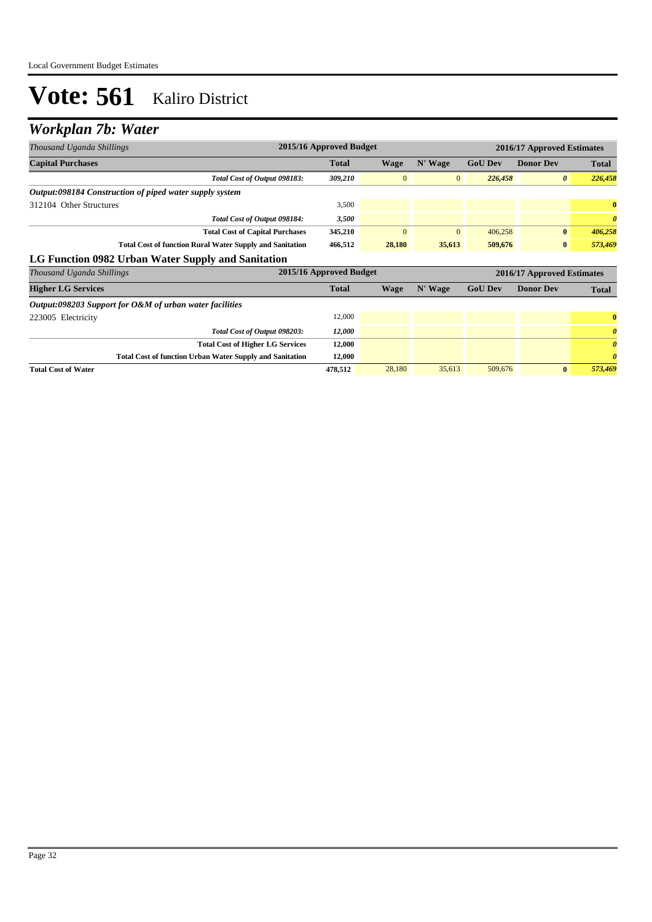### *Workplan 7b: Water*

| Thousand Uganda Shillings                                       | 2015/16 Approved Budget |              |                |                |                            | 2016/17 Approved Estimates |  |  |  |
|-----------------------------------------------------------------|-------------------------|--------------|----------------|----------------|----------------------------|----------------------------|--|--|--|
| <b>Capital Purchases</b>                                        | <b>Total</b>            | <b>Wage</b>  | N' Wage        | <b>GoU Dev</b> | <b>Donor Dev</b>           | Total                      |  |  |  |
| Total Cost of Output 098183:                                    | 309,210                 | $\mathbf{0}$ | $\overline{0}$ | 226,458        | $\theta$                   | 226,458                    |  |  |  |
| Output:098184 Construction of piped water supply system         |                         |              |                |                |                            |                            |  |  |  |
| 312104 Other Structures                                         | 3,500                   |              |                |                |                            | $\bf{0}$                   |  |  |  |
| Total Cost of Output 098184:                                    | 3,500                   |              |                |                |                            | $\boldsymbol{\theta}$      |  |  |  |
| <b>Total Cost of Capital Purchases</b>                          | 345,210                 | $\mathbf{0}$ | $\mathbf{0}$   | 406,258        | $\bf{0}$                   | 406,258                    |  |  |  |
| <b>Total Cost of function Rural Water Supply and Sanitation</b> | 466,512                 | 28,180       | 35,613         | 509,676        | $\bf{0}$                   | 573,469                    |  |  |  |
| LG Function 0982 Urban Water Supply and Sanitation              |                         |              |                |                |                            |                            |  |  |  |
| Thousand Uganda Shillings                                       | 2015/16 Approved Budget |              |                |                | 2016/17 Approved Estimates |                            |  |  |  |
| <b>Higher LG Services</b>                                       | <b>Total</b>            | <b>Wage</b>  | N' Wage        | <b>GoU Dev</b> | <b>Donor Dev</b>           | <b>Total</b>               |  |  |  |
| Output:098203 Support for O&M of urban water facilities         |                         |              |                |                |                            |                            |  |  |  |
| 223005 Electricity                                              | 12,000                  |              |                |                |                            | $\bf{0}$                   |  |  |  |
| Total Cost of Output 098203:                                    | 12,000                  |              |                |                |                            | $\boldsymbol{\theta}$      |  |  |  |
| <b>Total Cost of Higher LG Services</b>                         | 12,000                  |              |                |                |                            | $\boldsymbol{\theta}$      |  |  |  |
| <b>Total Cost of function Urban Water Supply and Sanitation</b> | 12,000                  |              |                |                |                            | $\boldsymbol{\theta}$      |  |  |  |
| <b>Total Cost of Water</b>                                      | 478,512                 | 28,180       | 35,613         | 509,676        | $\bf{0}$                   | 573,469                    |  |  |  |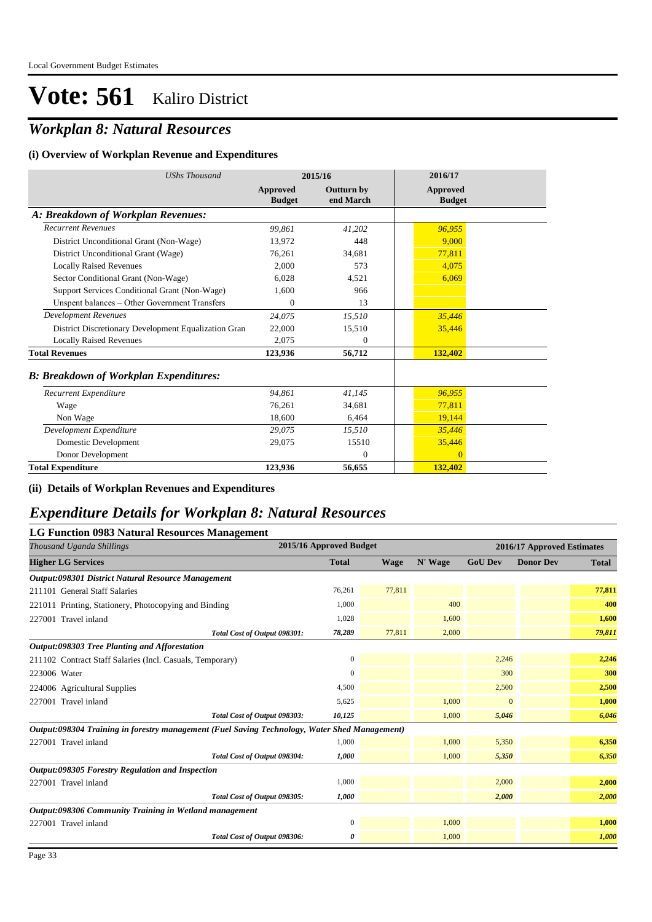## *Workplan 8: Natural Resources*

#### **(i) Overview of Workplan Revenue and Expenditures**

| <b>UShs Thousand</b>                                 | 2015/16                   |                         | 2016/17                   |  |
|------------------------------------------------------|---------------------------|-------------------------|---------------------------|--|
|                                                      | Approved<br><b>Budget</b> | Outturn by<br>end March | Approved<br><b>Budget</b> |  |
| A: Breakdown of Workplan Revenues:                   |                           |                         |                           |  |
| <b>Recurrent Revenues</b>                            | 99.861                    | 41,202                  | 96,955                    |  |
| District Unconditional Grant (Non-Wage)              | 13.972                    | 448                     | 9.000                     |  |
| District Unconditional Grant (Wage)                  | 76,261                    | 34,681                  | 77,811                    |  |
| <b>Locally Raised Revenues</b>                       | 2,000                     | 573                     | 4,075                     |  |
| Sector Conditional Grant (Non-Wage)                  | 6.028                     | 4.521                   | 6,069                     |  |
| Support Services Conditional Grant (Non-Wage)        | 1,600                     | 966                     |                           |  |
| Unspent balances - Other Government Transfers        | $\Omega$                  | 13                      |                           |  |
| <b>Development Revenues</b>                          | 24,075                    | 15,510                  | 35,446                    |  |
| District Discretionary Development Equalization Gran | 22,000                    | 15,510                  | 35,446                    |  |
| <b>Locally Raised Revenues</b>                       | 2.075                     | $\theta$                |                           |  |
| <b>Total Revenues</b>                                | 123,936                   | 56,712                  | 132,402                   |  |
| <b>B: Breakdown of Workplan Expenditures:</b>        |                           |                         |                           |  |
| Recurrent Expenditure                                | 94.861                    | 41.145                  | 96,955                    |  |
| Wage                                                 | 76,261                    | 34,681                  | 77,811                    |  |
| Non Wage                                             | 18.600                    | 6,464                   | 19,144                    |  |
| Development Expenditure                              | 29,075                    | 15,510                  | 35,446                    |  |
| Domestic Development                                 | 29.075                    | 15510                   | 35,446                    |  |
| Donor Development                                    |                           | $\Omega$                | $\Omega$                  |  |
| <b>Total Expenditure</b>                             | 123,936                   | 56,655                  | 132,402                   |  |

**(ii) Details of Workplan Revenues and Expenditures**

### *Expenditure Details for Workplan 8: Natural Resources*

| LG Function 0983 Natural Resources Management                                                 |                         |        |         |                            |                  |              |  |
|-----------------------------------------------------------------------------------------------|-------------------------|--------|---------|----------------------------|------------------|--------------|--|
| Thousand Uganda Shillings                                                                     | 2015/16 Approved Budget |        |         | 2016/17 Approved Estimates |                  |              |  |
| <b>Higher LG Services</b>                                                                     | <b>Total</b>            | Wage   | N' Wage | <b>GoU Dev</b>             | <b>Donor Dev</b> | <b>Total</b> |  |
| Output:098301 District Natural Resource Management                                            |                         |        |         |                            |                  |              |  |
| 211101 General Staff Salaries                                                                 | 76,261                  | 77,811 |         |                            |                  | 77,811       |  |
| 221011 Printing, Stationery, Photocopying and Binding                                         | 1,000                   |        | 400     |                            |                  | 400          |  |
| 227001 Travel inland                                                                          | 1,028                   |        | 1,600   |                            |                  | 1,600        |  |
| Total Cost of Output 098301:                                                                  | 78,289                  | 77,811 | 2,000   |                            |                  | 79,811       |  |
| Output:098303 Tree Planting and Afforestation                                                 |                         |        |         |                            |                  |              |  |
| 211102 Contract Staff Salaries (Incl. Casuals, Temporary)                                     | $\mathbf{0}$            |        |         | 2,246                      |                  | 2,246        |  |
| 223006 Water                                                                                  | 0                       |        |         | 300                        |                  | 300          |  |
| 224006 Agricultural Supplies                                                                  | 4,500                   |        |         | 2,500                      |                  | 2,500        |  |
| 227001 Travel inland                                                                          | 5,625                   |        | 1,000   | $\overline{0}$             |                  | 1,000        |  |
| Total Cost of Output 098303:                                                                  | 10,125                  |        | 1,000   | 5,046                      |                  | 6,046        |  |
| Output:098304 Training in forestry management (Fuel Saving Technology, Water Shed Management) |                         |        |         |                            |                  |              |  |
| 227001 Travel inland                                                                          | 1,000                   |        | 1,000   | 5,350                      |                  | 6,350        |  |
| Total Cost of Output 098304:                                                                  | 1,000                   |        | 1,000   | 5,350                      |                  | 6,350        |  |
| Output:098305 Forestry Regulation and Inspection                                              |                         |        |         |                            |                  |              |  |
| 227001 Travel inland                                                                          | 1,000                   |        |         | 2,000                      |                  | 2,000        |  |
| Total Cost of Output 098305:                                                                  | 1,000                   |        |         | 2,000                      |                  | 2,000        |  |
| Output:098306 Community Training in Wetland management                                        |                         |        |         |                            |                  |              |  |
| 227001 Travel inland                                                                          | $\overline{0}$          |        | 1,000   |                            |                  | 1,000        |  |
| Total Cost of Output 098306:                                                                  | 0                       |        | 1,000   |                            |                  | 1,000        |  |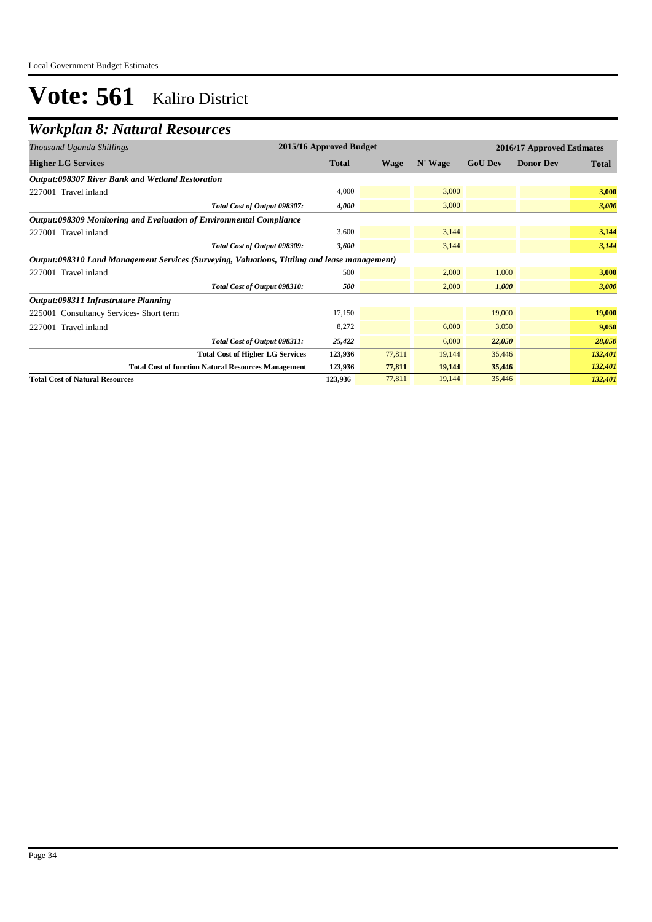### *Workplan 8: Natural Resources*

| Thousand Uganda Shillings                                                                     | 2015/16 Approved Budget |             |         |                | 2016/17 Approved Estimates |              |  |  |
|-----------------------------------------------------------------------------------------------|-------------------------|-------------|---------|----------------|----------------------------|--------------|--|--|
| <b>Higher LG Services</b>                                                                     | <b>Total</b>            | <b>Wage</b> | N' Wage | <b>GoU Dev</b> | <b>Donor Dev</b>           | <b>Total</b> |  |  |
| Output:098307 River Bank and Wetland Restoration                                              |                         |             |         |                |                            |              |  |  |
| 227001 Travel inland                                                                          | 4,000                   |             | 3,000   |                |                            | 3,000        |  |  |
| Total Cost of Output 098307:                                                                  | 4,000                   |             | 3,000   |                |                            | 3,000        |  |  |
| <b>Output:098309 Monitoring and Evaluation of Environmental Compliance</b>                    |                         |             |         |                |                            |              |  |  |
| 227001 Travel inland                                                                          | 3,600                   |             | 3,144   |                |                            | 3,144        |  |  |
| Total Cost of Output 098309:                                                                  | 3,600                   |             | 3,144   |                |                            | 3,144        |  |  |
| Output:098310 Land Management Services (Surveying, Valuations, Tittling and lease management) |                         |             |         |                |                            |              |  |  |
| 227001 Travel inland                                                                          | 500                     |             | 2,000   | 1,000          |                            | 3,000        |  |  |
| Total Cost of Output 098310:                                                                  | 500                     |             | 2,000   | 1,000          |                            | 3,000        |  |  |
| Output:098311 Infrastruture Planning                                                          |                         |             |         |                |                            |              |  |  |
| 225001 Consultancy Services-Short term                                                        | 17,150                  |             |         | 19,000         |                            | 19,000       |  |  |
| 227001 Travel inland                                                                          | 8,272                   |             | 6,000   | 3,050          |                            | 9,050        |  |  |
| Total Cost of Output 098311:                                                                  | 25,422                  |             | 6,000   | 22,050         |                            | 28,050       |  |  |
| <b>Total Cost of Higher LG Services</b>                                                       | 123,936                 | 77,811      | 19,144  | 35,446         |                            | 132,401      |  |  |
| <b>Total Cost of function Natural Resources Management</b>                                    | 123,936                 | 77,811      | 19,144  | 35,446         |                            | 132,401      |  |  |
| <b>Total Cost of Natural Resources</b>                                                        | 123,936                 | 77,811      | 19,144  | 35,446         |                            | 132,401      |  |  |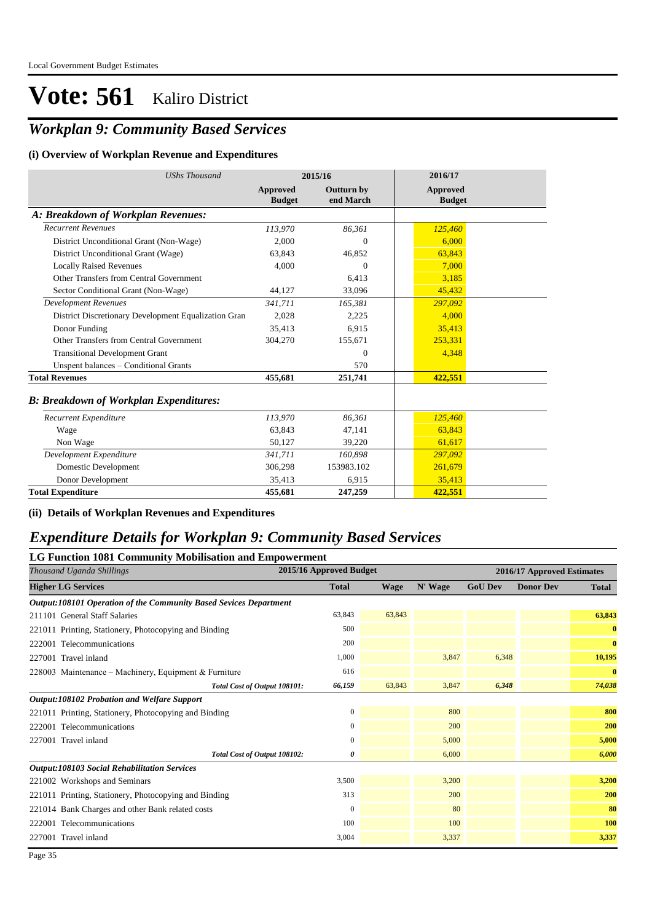### *Workplan 9: Community Based Services*

### **(i) Overview of Workplan Revenue and Expenditures**

| <b>UShs Thousand</b>                                 |                           | 2015/16                        | 2016/17                          |
|------------------------------------------------------|---------------------------|--------------------------------|----------------------------------|
|                                                      | Approved<br><b>Budget</b> | <b>Outturn by</b><br>end March | <b>Approved</b><br><b>Budget</b> |
| A: Breakdown of Workplan Revenues:                   |                           |                                |                                  |
| <b>Recurrent Revenues</b>                            | 113,970                   | 86,361                         | 125,460                          |
| District Unconditional Grant (Non-Wage)              | 2,000                     | $\Omega$                       | 6,000                            |
| District Unconditional Grant (Wage)                  | 63,843                    | 46,852                         | 63,843                           |
| <b>Locally Raised Revenues</b>                       | 4,000                     | $\Omega$                       | 7,000                            |
| Other Transfers from Central Government              |                           | 6.413                          | 3,185                            |
| Sector Conditional Grant (Non-Wage)                  | 44,127                    | 33,096                         | 45,432                           |
| <b>Development Revenues</b>                          | 341.711                   | 165,381                        | 297,092                          |
| District Discretionary Development Equalization Gran | 2.028                     | 2,225                          | 4,000                            |
| Donor Funding                                        | 35,413                    | 6.915                          | 35,413                           |
| Other Transfers from Central Government              | 304,270                   | 155,671                        | 253,331                          |
| <b>Transitional Development Grant</b>                |                           | $\mathbf{0}$                   | 4,348                            |
| Unspent balances - Conditional Grants                |                           | 570                            |                                  |
| <b>Total Revenues</b>                                | 455,681                   | 251,741                        | 422,551                          |
| <b>B: Breakdown of Workplan Expenditures:</b>        |                           |                                |                                  |
| Recurrent Expenditure                                | 113,970                   | 86,361                         | 125,460                          |
| Wage                                                 | 63.843                    | 47,141                         | 63.843                           |
| Non Wage                                             | 50,127                    | 39,220                         | 61,617                           |
| Development Expenditure                              | 341,711                   | 160,898                        | 297,092                          |
| Domestic Development                                 | 306,298                   | 153983.102                     | 261,679                          |
| Donor Development                                    | 35,413                    | 6,915                          | 35,413                           |
| <b>Total Expenditure</b>                             | 455,681                   | 247,259                        | 422,551                          |

#### **(ii) Details of Workplan Revenues and Expenditures**

### *Expenditure Details for Workplan 9: Community Based Services*

| <b>LG Function 1081 Community Mobilisation and Empowerment</b>    |                         |        |         |                |                            |              |
|-------------------------------------------------------------------|-------------------------|--------|---------|----------------|----------------------------|--------------|
| Thousand Uganda Shillings                                         | 2015/16 Approved Budget |        |         |                | 2016/17 Approved Estimates |              |
| <b>Higher LG Services</b>                                         | <b>Total</b>            | Wage   | N' Wage | <b>GoU Dev</b> | <b>Donor Dev</b>           | <b>Total</b> |
| Output:108101 Operation of the Community Based Sevices Department |                         |        |         |                |                            |              |
| 211101 General Staff Salaries                                     | 63,843                  | 63,843 |         |                |                            | 63,843       |
| 221011 Printing, Stationery, Photocopying and Binding             | 500                     |        |         |                |                            | $\bf{0}$     |
| 222001 Telecommunications                                         | 200                     |        |         |                |                            | $\bf{0}$     |
| 227001 Travel inland                                              | 1,000                   |        | 3,847   | 6,348          |                            | 10,195       |
| 228003 Maintenance – Machinery, Equipment & Furniture             | 616                     |        |         |                |                            | $\bf{0}$     |
| Total Cost of Output 108101:                                      | 66,159                  | 63,843 | 3,847   | 6,348          |                            | 74,038       |
| Output:108102 Probation and Welfare Support                       |                         |        |         |                |                            |              |
| 221011 Printing, Stationery, Photocopying and Binding             | $\mathbf{0}$            |        | 800     |                |                            | 800          |
| 222001 Telecommunications                                         | $\Omega$                |        | 200     |                |                            | <b>200</b>   |
| 227001 Travel inland                                              | $\mathbf{0}$            |        | 5,000   |                |                            | 5,000        |
| Total Cost of Output 108102:                                      | 0                       |        | 6,000   |                |                            | 6,000        |
| <b>Output:108103 Social Rehabilitation Services</b>               |                         |        |         |                |                            |              |
| 221002 Workshops and Seminars                                     | 3,500                   |        | 3,200   |                |                            | 3,200        |
| 221011 Printing, Stationery, Photocopying and Binding             | 313                     |        | 200     |                |                            | 200          |
| 221014 Bank Charges and other Bank related costs                  | $\mathbf{0}$            |        | 80      |                |                            | 80           |
| 222001 Telecommunications                                         | 100                     |        | 100     |                |                            | 100          |
| 227001 Travel inland                                              | 3,004                   |        | 3,337   |                |                            | 3,337        |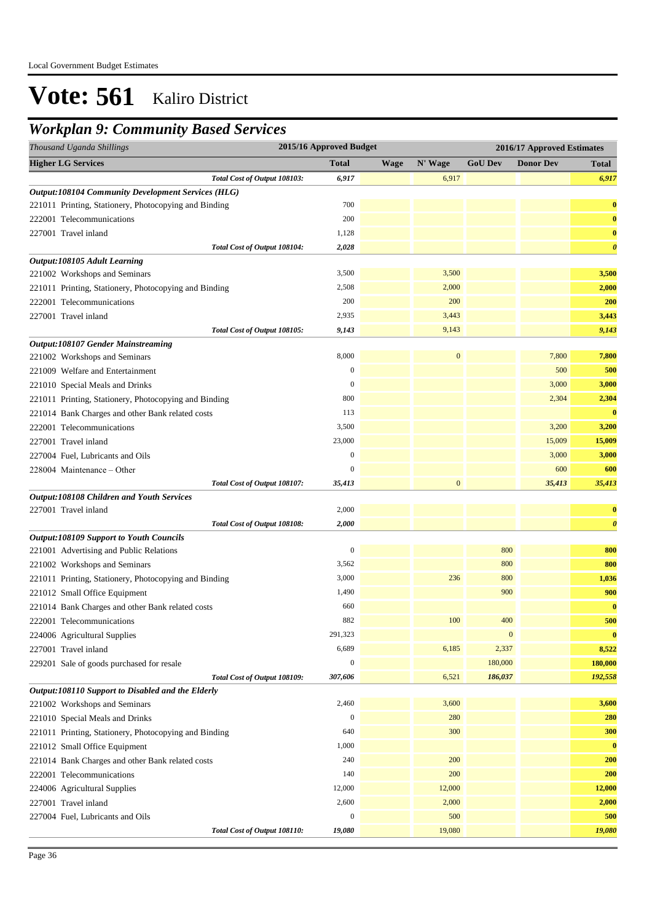## *Workplan 9: Community Based Services*

| 2015/16 Approved Budget<br>Thousand Uganda Shillings<br>2016/17 Approved Estimates |                  |             |              |                  |                  |                       |
|------------------------------------------------------------------------------------|------------------|-------------|--------------|------------------|------------------|-----------------------|
| <b>Higher LG Services</b>                                                          | <b>Total</b>     | <b>Wage</b> | N' Wage      | <b>GoU Dev</b>   | <b>Donor Dev</b> | <b>Total</b>          |
| Total Cost of Output 108103:                                                       | 6,917            |             | 6,917        |                  |                  | 6,917                 |
| <b>Output:108104 Community Development Services (HLG)</b>                          |                  |             |              |                  |                  |                       |
| 221011 Printing, Stationery, Photocopying and Binding                              | 700              |             |              |                  |                  | $\bf{0}$              |
| 222001 Telecommunications                                                          | 200              |             |              |                  |                  | $\bf{0}$              |
| 227001 Travel inland                                                               | 1,128            |             |              |                  |                  | $\bf{0}$              |
| Total Cost of Output 108104:                                                       | 2,028            |             |              |                  |                  | $\boldsymbol{\theta}$ |
| Output:108105 Adult Learning                                                       |                  |             |              |                  |                  |                       |
| 221002 Workshops and Seminars                                                      | 3,500            |             | 3,500        |                  |                  | 3,500                 |
| 221011 Printing, Stationery, Photocopying and Binding                              | 2,508            |             | 2,000        |                  |                  | 2,000                 |
| 222001 Telecommunications                                                          | 200              |             | 200          |                  |                  | 200                   |
| 227001 Travel inland                                                               | 2,935            |             | 3,443        |                  |                  | 3,443                 |
| Total Cost of Output 108105:                                                       | 9,143            |             | 9,143        |                  |                  | 9,143                 |
| Output:108107 Gender Mainstreaming                                                 |                  |             |              |                  |                  |                       |
| 221002 Workshops and Seminars                                                      | 8,000            |             | $\mathbf{0}$ |                  | 7,800            | 7,800                 |
| 221009 Welfare and Entertainment                                                   | $\mathbf{0}$     |             |              |                  | 500              | 500                   |
| 221010 Special Meals and Drinks                                                    | $\mathbf{0}$     |             |              |                  | 3,000            | 3,000                 |
| 221011 Printing, Stationery, Photocopying and Binding                              | 800              |             |              |                  | 2,304            | 2,304                 |
| 221014 Bank Charges and other Bank related costs                                   | 113              |             |              |                  |                  | $\bf{0}$              |
| 222001 Telecommunications                                                          | 3,500            |             |              |                  | 3,200            | 3,200                 |
| 227001 Travel inland                                                               | 23,000           |             |              |                  | 15,009           | 15,009                |
| 227004 Fuel, Lubricants and Oils                                                   | $\mathbf{0}$     |             |              |                  | 3,000            | 3,000                 |
| 228004 Maintenance - Other                                                         | $\overline{0}$   |             |              |                  | 600              | 600                   |
| Total Cost of Output 108107:                                                       | 35,413           |             | $\mathbf{0}$ |                  | 35,413           | 35,413                |
| Output:108108 Children and Youth Services                                          |                  |             |              |                  |                  |                       |
| 227001 Travel inland                                                               | 2,000            |             |              |                  |                  | $\bf{0}$              |
| Total Cost of Output 108108:                                                       | 2,000            |             |              |                  |                  | $\boldsymbol{\theta}$ |
| <b>Output:108109 Support to Youth Councils</b>                                     |                  |             |              |                  |                  |                       |
| 221001 Advertising and Public Relations                                            | $\boldsymbol{0}$ |             |              | 800              |                  | 800                   |
| 221002 Workshops and Seminars                                                      | 3,562            |             |              | 800              |                  | 800                   |
| 221011 Printing, Stationery, Photocopying and Binding                              | 3,000            |             | 236          | 800              |                  | 1,036                 |
| 221012 Small Office Equipment                                                      | 1,490            |             |              | 900              |                  | 900                   |
| 221014 Bank Charges and other Bank related costs                                   | 660              |             |              |                  |                  | $\bf{0}$              |
| 222001 Telecommunications                                                          | 882              |             | 100          | 400              |                  | 500                   |
| 224006 Agricultural Supplies                                                       | 291,323          |             |              | $\boldsymbol{0}$ |                  | $\bf{0}$              |
| 227001 Travel inland                                                               | 6,689            |             | 6,185        | 2,337            |                  | 8,522                 |
| 229201 Sale of goods purchased for resale                                          | $\boldsymbol{0}$ |             |              | 180,000          |                  | 180,000               |
| Total Cost of Output 108109:                                                       | 307,606          |             | 6,521        | 186,037          |                  | 192,558               |
| Output:108110 Support to Disabled and the Elderly                                  |                  |             |              |                  |                  |                       |
| 221002 Workshops and Seminars                                                      | 2,460            |             | 3,600        |                  |                  | 3,600                 |
| 221010 Special Meals and Drinks                                                    | $\mathbf{0}$     |             | 280          |                  |                  | 280                   |
| 221011 Printing, Stationery, Photocopying and Binding                              | 640              |             | 300          |                  |                  | 300                   |
| 221012 Small Office Equipment                                                      | 1,000            |             |              |                  |                  | $\bf{0}$              |
| 221014 Bank Charges and other Bank related costs                                   | 240              |             | 200          |                  |                  | 200                   |
| 222001 Telecommunications                                                          | 140              |             | 200          |                  |                  | 200                   |
| 224006 Agricultural Supplies                                                       | 12,000           |             | 12,000       |                  |                  | 12,000                |
| 227001 Travel inland                                                               | 2,600            |             | 2,000        |                  |                  | 2,000                 |
| 227004 Fuel, Lubricants and Oils                                                   | $\boldsymbol{0}$ |             | 500          |                  |                  | 500                   |
| Total Cost of Output 108110:                                                       | 19,080           |             | 19,080       |                  |                  | 19,080                |
|                                                                                    |                  |             |              |                  |                  |                       |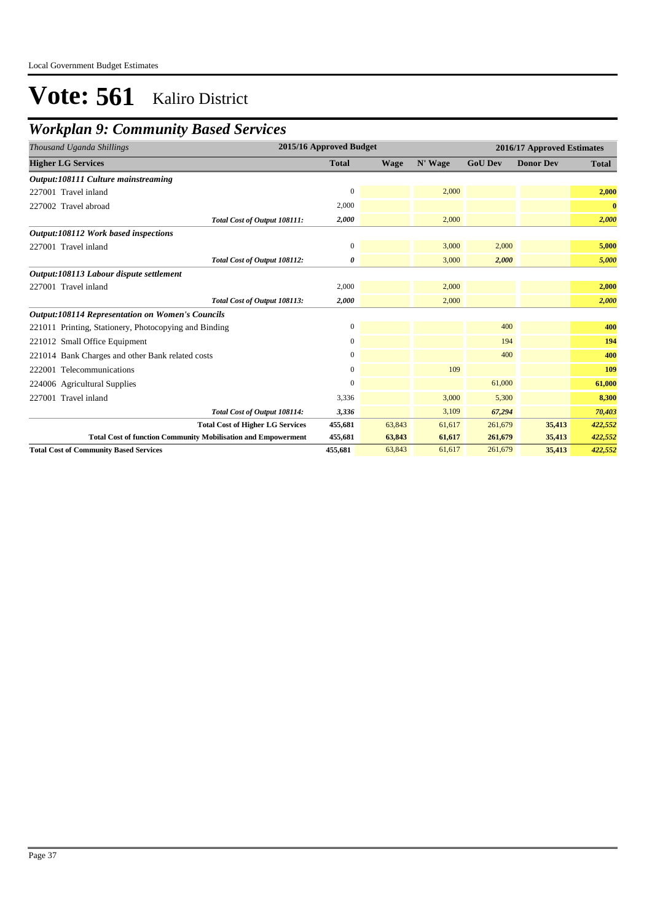## *Workplan 9: Community Based Services*

| Thousand Uganda Shillings                                            | 2015/16 Approved Budget |             |         |                | 2016/17 Approved Estimates |              |
|----------------------------------------------------------------------|-------------------------|-------------|---------|----------------|----------------------------|--------------|
| <b>Higher LG Services</b>                                            | <b>Total</b>            | <b>Wage</b> | N' Wage | <b>GoU Dev</b> | <b>Donor Dev</b>           | <b>Total</b> |
| Output:108111 Culture mainstreaming                                  |                         |             |         |                |                            |              |
| 227001 Travel inland                                                 | 0                       |             | 2,000   |                |                            | 2,000        |
| 227002 Travel abroad                                                 | 2,000                   |             |         |                |                            | $\bf{0}$     |
| Total Cost of Output 108111:                                         | 2,000                   |             | 2,000   |                |                            | 2,000        |
| Output:108112 Work based inspections                                 |                         |             |         |                |                            |              |
| 227001 Travel inland                                                 | $\boldsymbol{0}$        |             | 3,000   | 2,000          |                            | 5,000        |
| Total Cost of Output 108112:                                         | 0                       |             | 3,000   | 2,000          |                            | 5,000        |
| Output:108113 Labour dispute settlement                              |                         |             |         |                |                            |              |
| 227001 Travel inland                                                 | 2,000                   |             | 2,000   |                |                            | 2,000        |
| Total Cost of Output 108113:                                         | 2,000                   |             | 2,000   |                |                            | 2,000        |
| <b>Output:108114 Representation on Women's Councils</b>              |                         |             |         |                |                            |              |
| 221011 Printing, Stationery, Photocopying and Binding                | 0                       |             |         | 400            |                            | 400          |
| 221012 Small Office Equipment                                        | $\overline{0}$          |             |         | 194            |                            | 194          |
| 221014 Bank Charges and other Bank related costs                     | 0                       |             |         | 400            |                            | 400          |
| 222001 Telecommunications                                            | $\overline{0}$          |             | 109     |                |                            | 109          |
| 224006 Agricultural Supplies                                         | 0                       |             |         | 61,000         |                            | 61,000       |
| 227001 Travel inland                                                 | 3,336                   |             | 3,000   | 5,300          |                            | 8,300        |
| Total Cost of Output 108114:                                         | 3,336                   |             | 3,109   | 67,294         |                            | 70,403       |
| <b>Total Cost of Higher LG Services</b>                              | 455,681                 | 63,843      | 61,617  | 261,679        | 35,413                     | 422,552      |
| <b>Total Cost of function Community Mobilisation and Empowerment</b> | 455,681                 | 63,843      | 61,617  | 261,679        | 35,413                     | 422,552      |
| <b>Total Cost of Community Based Services</b>                        | 455,681                 | 63,843      | 61,617  | 261,679        | 35,413                     | 422,552      |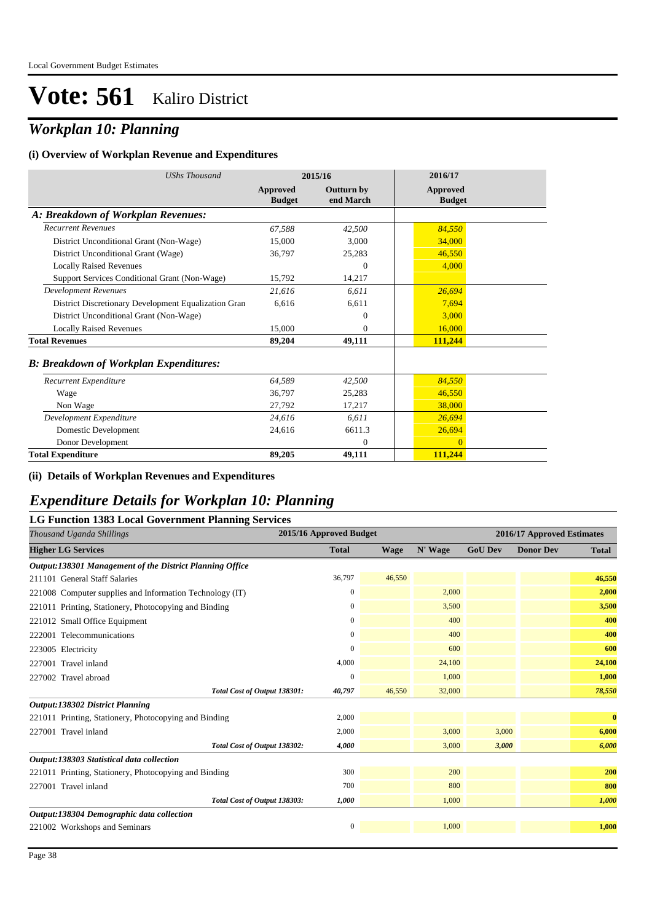## *Workplan 10: Planning*

#### **(i) Overview of Workplan Revenue and Expenditures**

| <b>UShs Thousand</b>                                 |                           | 2015/16                        | 2016/17                   |  |
|------------------------------------------------------|---------------------------|--------------------------------|---------------------------|--|
|                                                      | Approved<br><b>Budget</b> | <b>Outturn by</b><br>end March | Approved<br><b>Budget</b> |  |
| A: Breakdown of Workplan Revenues:                   |                           |                                |                           |  |
| <b>Recurrent Revenues</b>                            | 67.588                    | 42,500                         | 84,550                    |  |
| District Unconditional Grant (Non-Wage)              | 15,000                    | 3,000                          | 34,000                    |  |
| District Unconditional Grant (Wage)                  | 36,797                    | 25,283                         | 46,550                    |  |
| <b>Locally Raised Revenues</b>                       |                           | $\Omega$                       | 4.000                     |  |
| Support Services Conditional Grant (Non-Wage)        | 15,792                    | 14,217                         |                           |  |
| <b>Development Revenues</b>                          | 21.616                    | 6.611                          | 26.694                    |  |
| District Discretionary Development Equalization Gran | 6.616                     | 6.611                          | 7.694                     |  |
| District Unconditional Grant (Non-Wage)              |                           | $\Omega$                       | 3,000                     |  |
| <b>Locally Raised Revenues</b>                       | 15,000                    | $\Omega$                       | 16,000                    |  |
| <b>Total Revenues</b>                                | 89,204                    | 49,111                         | 111,244                   |  |
| <b>B: Breakdown of Workplan Expenditures:</b>        |                           |                                |                           |  |
| Recurrent Expenditure                                | 64,589                    | 42,500                         | 84,550                    |  |
| Wage                                                 | 36,797                    | 25,283                         | 46,550                    |  |
| Non Wage                                             | 27,792                    | 17,217                         | 38,000                    |  |
| Development Expenditure                              | 24,616                    | 6.611                          | 26,694                    |  |
| Domestic Development                                 | 24,616                    | 6611.3                         | 26,694                    |  |
| Donor Development                                    |                           | $\mathbf{0}$                   | $\Omega$                  |  |
| <b>Total Expenditure</b>                             | 89,205                    | 49,111                         | 111,244                   |  |

#### **(ii) Details of Workplan Revenues and Expenditures**

### *Expenditure Details for Workplan 10: Planning*

| <b>LG Function 1383 Local Government Planning Services</b> |                         |             |         |                |                            |              |
|------------------------------------------------------------|-------------------------|-------------|---------|----------------|----------------------------|--------------|
| Thousand Uganda Shillings                                  | 2015/16 Approved Budget |             |         |                | 2016/17 Approved Estimates |              |
| <b>Higher LG Services</b>                                  | <b>Total</b>            | <b>Wage</b> | N' Wage | <b>GoU Dev</b> | <b>Donor Dev</b>           | <b>Total</b> |
| Output:138301 Management of the District Planning Office   |                         |             |         |                |                            |              |
| 211101 General Staff Salaries                              | 36,797                  | 46,550      |         |                |                            | 46,550       |
| 221008 Computer supplies and Information Technology (IT)   | $\boldsymbol{0}$        |             | 2,000   |                |                            | 2,000        |
| 221011 Printing, Stationery, Photocopying and Binding      | $\mathbf{0}$            |             | 3,500   |                |                            | 3,500        |
| 221012 Small Office Equipment                              | $\mathbf{0}$            |             | 400     |                |                            | 400          |
| 222001 Telecommunications                                  | $\mathbf{0}$            |             | 400     |                |                            | 400          |
| 223005 Electricity                                         | $\Omega$                |             | 600     |                |                            | 600          |
| 227001 Travel inland                                       | 4,000                   |             | 24,100  |                |                            | 24,100       |
| 227002 Travel abroad                                       | $\mathbf{0}$            |             | 1,000   |                |                            | 1,000        |
| Total Cost of Output 138301:                               | 40,797                  | 46,550      | 32,000  |                |                            | 78,550       |
| <b>Output:138302 District Planning</b>                     |                         |             |         |                |                            |              |
| 221011 Printing, Stationery, Photocopying and Binding      | 2,000                   |             |         |                |                            | $\bf{0}$     |
| 227001 Travel inland                                       | 2,000                   |             | 3,000   | 3,000          |                            | 6,000        |
| Total Cost of Output 138302:                               | 4,000                   |             | 3,000   | 3,000          |                            | 6,000        |
| Output:138303 Statistical data collection                  |                         |             |         |                |                            |              |
| 221011 Printing, Stationery, Photocopying and Binding      | 300                     |             | 200     |                |                            | 200          |
| 227001 Travel inland                                       | 700                     |             | 800     |                |                            | 800          |
| Total Cost of Output 138303:                               | 1,000                   |             | 1,000   |                |                            | 1,000        |
| Output:138304 Demographic data collection                  |                         |             |         |                |                            |              |
| 221002 Workshops and Seminars                              | $\mathbf{0}$            |             | 1.000   |                |                            | 1,000        |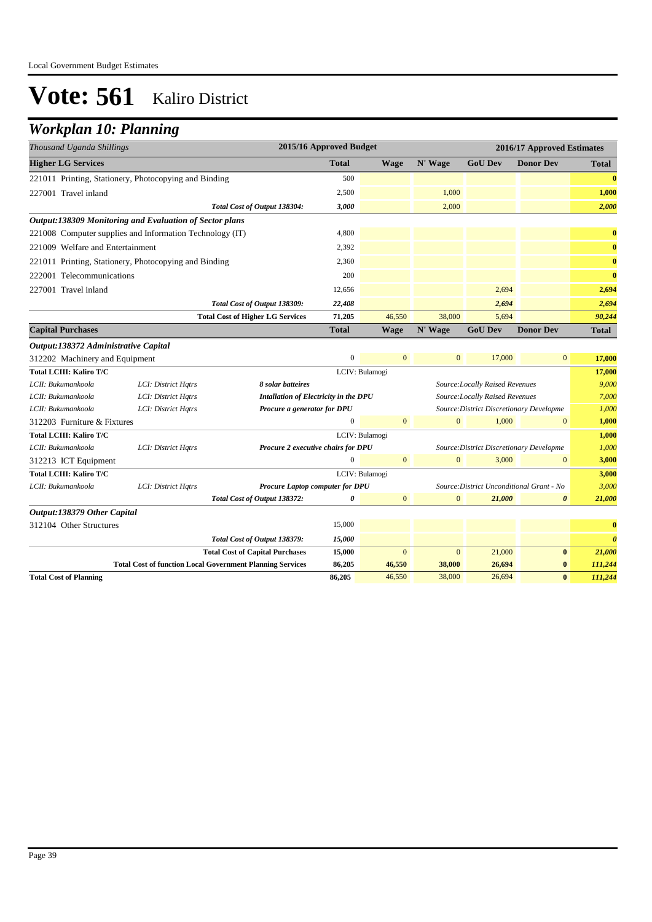## *Workplan 10: Planning*

| Thousand Uganda Shillings            |                                                          |                                         | 2015/16 Approved Budget |                |                |                                        | 2016/17 Approved Estimates |              |
|--------------------------------------|----------------------------------------------------------|-----------------------------------------|-------------------------|----------------|----------------|----------------------------------------|----------------------------|--------------|
| <b>Higher LG Services</b>            |                                                          |                                         | <b>Total</b>            | Wage           | N' Wage        | <b>GoU Dev</b>                         | <b>Donor Dev</b>           | <b>Total</b> |
|                                      | 221011 Printing, Stationery, Photocopying and Binding    |                                         | 500                     |                |                |                                        |                            | $\bf{0}$     |
| 227001 Travel inland                 |                                                          |                                         | 2,500                   |                | 1,000          |                                        |                            | 1,000        |
|                                      |                                                          | Total Cost of Output 138304:            | 3,000                   |                | 2,000          |                                        |                            | 2,000        |
|                                      | Output:138309 Monitoring and Evaluation of Sector plans  |                                         |                         |                |                |                                        |                            |              |
|                                      | 221008 Computer supplies and Information Technology (IT) |                                         | 4,800                   |                |                |                                        |                            | $\bf{0}$     |
| 221009 Welfare and Entertainment     |                                                          |                                         | 2,392                   |                |                |                                        |                            | $\bf{0}$     |
|                                      | 221011 Printing, Stationery, Photocopying and Binding    |                                         | 2,360                   |                |                |                                        |                            | $\bf{0}$     |
| 222001 Telecommunications            |                                                          |                                         | 200                     |                |                |                                        |                            | $\bf{0}$     |
| 227001 Travel inland                 |                                                          |                                         | 12,656                  |                |                | 2,694                                  |                            | 2,694        |
|                                      |                                                          | Total Cost of Output 138309:            | 22,408                  |                |                | 2,694                                  |                            | 2,694        |
|                                      |                                                          | <b>Total Cost of Higher LG Services</b> | 71,205                  | 46,550         | 38,000         | 5,694                                  |                            | 90,244       |
| <b>Capital Purchases</b>             |                                                          |                                         | <b>Total</b>            | <b>Wage</b>    | N' Wage        | <b>GoU Dev</b>                         | <b>Donor Dev</b>           | Total        |
| Output:138372 Administrative Capital |                                                          |                                         |                         |                |                |                                        |                            |              |
| 312202 Machinery and Equipment       |                                                          |                                         | $\mathbf{0}$            | $\overline{0}$ | $\overline{0}$ | 17,000                                 | $\overline{0}$             | 17,000       |
| Total LCIII: Kaliro T/C              |                                                          |                                         | LCIV: Bulamogi          |                |                |                                        |                            | 17,000       |
| LCII: Bukumankoola                   | LCI: District Hatrs                                      | 8 solar batteires                       |                         |                |                | Source: Locally Raised Revenues        |                            | 9.000        |
| LCII: Bukumankoola                   | LCI: District Hatrs                                      | Intallation of Electricity in the DPU   |                         |                |                | <b>Source: Locally Raised Revenues</b> |                            | 7.000        |

| LCII: Bukumankoola                        | LCI: District Hatrs                                              | Intallation of Electricity in the DPU<br>Source:Locally Raised Revenues |                                                                                     |                | 7.000        |                                          |                       |                       |
|-------------------------------------------|------------------------------------------------------------------|-------------------------------------------------------------------------|-------------------------------------------------------------------------------------|----------------|--------------|------------------------------------------|-----------------------|-----------------------|
| LCII: Bukumankoola                        | LCI: District Hatrs                                              |                                                                         | Procure a generator for DPU<br>Source: District Discretionary Developme             |                |              |                                          | 1,000                 |                       |
| 312203 Furniture & Fixtures               | $\mathbf{0}$<br>1,000<br>$\Omega$<br>$\mathbf{0}$                |                                                                         |                                                                                     |                | $\mathbf{0}$ | 1,000                                    |                       |                       |
| <b>Total LCIII: Kaliro T/C</b>            |                                                                  |                                                                         |                                                                                     | LCIV: Bulamogi |              |                                          |                       | 1,000                 |
| LCII: Bukumankoola                        | LCI: District Hatrs                                              | Procure 2 executive chairs for DPU                                      |                                                                                     |                |              | Source: District Discretionary Developme |                       | 1,000                 |
| 312213 ICT Equipment                      |                                                                  |                                                                         | 0                                                                                   | $\overline{0}$ | $\mathbf{0}$ | 3,000                                    | $\mathbf{0}$          | 3,000                 |
| Total LCIII: Kaliro T/C<br>LCIV: Bulamogi |                                                                  |                                                                         |                                                                                     |                | 3,000        |                                          |                       |                       |
| LCII: Bukumankoola                        | LCI: District Hatrs                                              |                                                                         | Source: District Unconditional Grant - No<br><b>Procure Laptop computer for DPU</b> |                |              |                                          | 3,000                 |                       |
|                                           |                                                                  | Total Cost of Output 138372:                                            | 0                                                                                   | $\mathbf{0}$   | $\mathbf{0}$ | 21,000                                   | $\boldsymbol{\theta}$ | 21,000                |
| Output:138379 Other Capital               |                                                                  |                                                                         |                                                                                     |                |              |                                          |                       |                       |
| 312104 Other Structures                   |                                                                  |                                                                         | 15,000                                                                              |                |              |                                          |                       | $\bf{0}$              |
|                                           |                                                                  | Total Cost of Output 138379:                                            | 15,000                                                                              |                |              |                                          |                       | $\boldsymbol{\theta}$ |
|                                           |                                                                  | <b>Total Cost of Capital Purchases</b>                                  | 15,000                                                                              | $\mathbf{0}$   | $\mathbf{0}$ | 21,000                                   | $\bf{0}$              | 21,000                |
|                                           | <b>Total Cost of function Local Government Planning Services</b> |                                                                         | 86,205                                                                              | 46,550         | 38,000       | 26,694                                   | $\bf{0}$              | 111,244               |
| <b>Total Cost of Planning</b>             |                                                                  |                                                                         | 86,205                                                                              | 46,550         | 38,000       | 26,694                                   | $\bf{0}$              | 111,244               |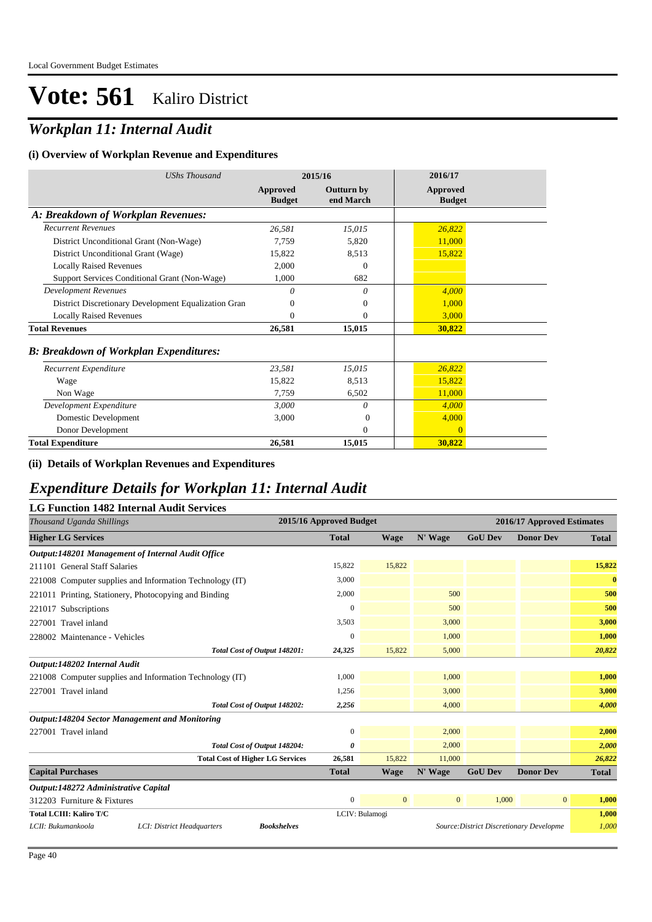## *Workplan 11: Internal Audit*

#### **(i) Overview of Workplan Revenue and Expenditures**

| <b>UShs Thousand</b>                                 |                           | 2015/16                        | 2016/17                   |  |
|------------------------------------------------------|---------------------------|--------------------------------|---------------------------|--|
|                                                      | Approved<br><b>Budget</b> | <b>Outturn by</b><br>end March | Approved<br><b>Budget</b> |  |
| A: Breakdown of Workplan Revenues:                   |                           |                                |                           |  |
| <b>Recurrent Revenues</b>                            | 26,581                    | 15,015                         | 26,822                    |  |
| District Unconditional Grant (Non-Wage)              | 7,759                     | 5,820                          | 11,000                    |  |
| District Unconditional Grant (Wage)                  | 15,822                    | 8,513                          | 15,822                    |  |
| <b>Locally Raised Revenues</b>                       | 2,000                     | $\boldsymbol{0}$               |                           |  |
| Support Services Conditional Grant (Non-Wage)        | 1,000                     | 682                            |                           |  |
| <b>Development Revenues</b>                          | 0                         | $\theta$                       | 4.000                     |  |
| District Discretionary Development Equalization Gran | $\Omega$                  | $\theta$                       | 1,000                     |  |
| <b>Locally Raised Revenues</b>                       | $\Omega$                  | $\mathbf{0}$                   | 3,000                     |  |
| <b>Total Revenues</b>                                | 26,581                    | 15,015                         | 30,822                    |  |
| <b>B</b> : Breakdown of Workplan Expenditures:       |                           |                                |                           |  |
| Recurrent Expenditure                                | 23,581                    | 15,015                         | 26,822                    |  |
| Wage                                                 | 15,822                    | 8,513                          | 15,822                    |  |
| Non Wage                                             | 7,759                     | 6,502                          | 11,000                    |  |
| Development Expenditure                              | 3,000                     | $\theta$                       | 4,000                     |  |
| Domestic Development                                 | 3,000                     | $\Omega$                       | 4,000                     |  |
| Donor Development                                    |                           | 0                              | $\Omega$                  |  |
| <b>Total Expenditure</b>                             | 26,581                    | 15,015                         | 30,822                    |  |

### **(ii) Details of Workplan Revenues and Expenditures**

### *Expenditure Details for Workplan 11: Internal Audit*

### **LG Function 1482 Internal Audit Services**

| Thousand Uganda Shillings                                              | 2015/16 Approved Budget |                |                |                | 2016/17 Approved Estimates               |              |
|------------------------------------------------------------------------|-------------------------|----------------|----------------|----------------|------------------------------------------|--------------|
| <b>Higher LG Services</b>                                              | <b>Total</b>            | <b>Wage</b>    | N' Wage        | <b>GoU Dev</b> | <b>Donor Dev</b>                         | <b>Total</b> |
| Output:148201 Management of Internal Audit Office                      |                         |                |                |                |                                          |              |
| 211101 General Staff Salaries                                          | 15,822                  | 15,822         |                |                |                                          | 15,822       |
| 221008 Computer supplies and Information Technology (IT)               | 3,000                   |                |                |                |                                          | $\bf{0}$     |
| 221011 Printing, Stationery, Photocopying and Binding                  | 2,000                   |                | 500            |                |                                          | 500          |
| 221017 Subscriptions                                                   | $\mathbf{0}$            |                | 500            |                |                                          | 500          |
| 227001 Travel inland                                                   | 3,503                   |                | 3,000          |                |                                          | 3,000        |
| 228002 Maintenance - Vehicles                                          | $\mathbf{0}$            |                | 1,000          |                |                                          | 1,000        |
| Total Cost of Output 148201:                                           | 24,325                  | 15,822         | 5,000          |                |                                          | 20,822       |
| Output:148202 Internal Audit                                           |                         |                |                |                |                                          |              |
| 221008 Computer supplies and Information Technology (IT)               | 1,000                   |                | 1,000          |                |                                          | 1,000        |
| 227001 Travel inland                                                   | 1,256                   |                | 3,000          |                |                                          | 3,000        |
| Total Cost of Output 148202:                                           | 2,256                   |                | 4,000          |                |                                          | 4,000        |
| <b>Output:148204 Sector Management and Monitoring</b>                  |                         |                |                |                |                                          |              |
| 227001 Travel inland                                                   | $\mathbf{0}$            |                | 2,000          |                |                                          | 2,000        |
| Total Cost of Output 148204:                                           | 0                       |                | 2,000          |                |                                          | 2,000        |
| <b>Total Cost of Higher LG Services</b>                                | 26,581                  | 15,822         | 11,000         |                |                                          | 26,822       |
| <b>Capital Purchases</b>                                               | <b>Total</b>            | <b>Wage</b>    | N' Wage        | <b>GoU Dev</b> | <b>Donor Dev</b>                         | <b>Total</b> |
| Output:148272 Administrative Capital                                   |                         |                |                |                |                                          |              |
| 312203 Furniture & Fixtures                                            | $\theta$                | $\mathbf{0}$   | $\overline{0}$ | 1,000          | 0                                        | 1,000        |
| <b>Total LCIII: Kaliro T/C</b>                                         |                         | LCIV: Bulamogi |                |                |                                          | 1,000        |
| LCII: Bukumankoola<br>LCI: District Headquarters<br><b>Bookshelves</b> |                         |                |                |                | Source: District Discretionary Developme | 1,000        |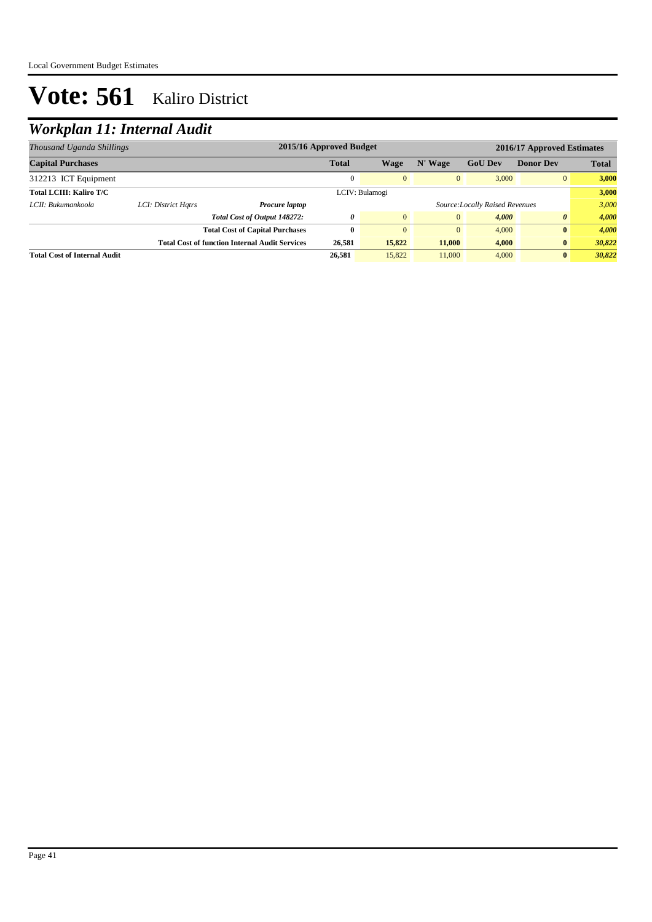## *Workplan 11: Internal Audit*

| Thousand Uganda Shillings           |                     | 2015/16 Approved Budget                               |              |                |              |                                | 2016/17 Approved Estimates |              |
|-------------------------------------|---------------------|-------------------------------------------------------|--------------|----------------|--------------|--------------------------------|----------------------------|--------------|
| <b>Capital Purchases</b>            |                     |                                                       | <b>Total</b> | Wage           | N' Wage      | <b>GoU Dev</b>                 | <b>Donor Dev</b>           | <b>Total</b> |
| 312213 ICT Equipment                |                     |                                                       | 0            | $\mathbf{0}$   | $\mathbf{0}$ | 3,000                          | $\overline{0}$             | 3,000        |
| <b>Total LCIII: Kaliro T/C</b>      |                     |                                                       |              | LCIV: Bulamogi |              |                                |                            | 3,000        |
| LCII: Bukumankoola                  | LCI: District Hatrs | Procure laptop                                        |              |                |              | Source:Locally Raised Revenues |                            | 3.000        |
|                                     |                     | Total Cost of Output 148272:                          | 0            | $\Omega$       | $\mathbf{0}$ | 4.000                          | $\theta$                   | 4,000        |
|                                     |                     | <b>Total Cost of Capital Purchases</b>                | 0            | $\Omega$       | $\mathbf{0}$ | 4.000                          | $\bf{0}$                   | 4.000        |
|                                     |                     | <b>Total Cost of function Internal Audit Services</b> | 26,581       | 15,822         | 11,000       | 4,000                          | $\bf{0}$                   | 30,822       |
| <b>Total Cost of Internal Audit</b> |                     |                                                       | 26,581       | 15,822         | 11,000       | 4.000                          | $\bf{0}$                   | 30.822       |